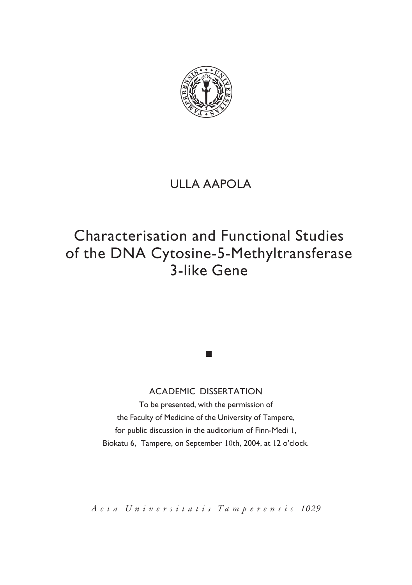

# ULLA AAPOLA

# Characterisation and Functional Studies of the DNA Cytosine-5-Methyltransferase 3-like Gene

# ACADEMIC DISSERTATION

**STAR** 

To be presented, with the permission of the Faculty of Medicine of the University of Tampere, for public discussion in the auditorium of Finn-Medi 1, Biokatu 6, Tampere, on September 10th, 2004, at 12 o'clock.

*A c t a U n i v e r s i t a t i s T a m p e r e n s i s 1029*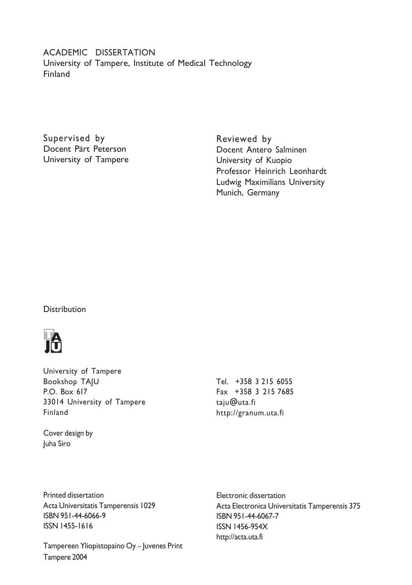ACADEMIC DISSERTATION University of Tampere, Institute of Medical Technology Finland

Supervised by Docent Pärt Peterson University of Tampere

Reviewed by Docent Antero Salminen University of Kuopio Professor Heinrich Leonhardt Ludwig Maximilians University Munich, Germany

**Distribution** 



University of Tampere Bookshop TAJU P.O. Box 617 33014 University of Tampere Finland

Cover design by Juha Siro

Tel. +358 3 215 6055 Fax +358 3 215 7685 taju@uta.fi http://granum.uta.fi

Printed dissertation Acta Universitatis Tamperensis 1029 ISBN 951-44-6066-9 ISSN 1455-1616

Tampereen Yliopistopaino Oy - Juvenes Print Tampere 2004

Electronic dissertation Acta Electronica Universitatis Tamperensis 375 ISBN 951-44-6067-7 ISSN 1456-954X http://acta.uta.fi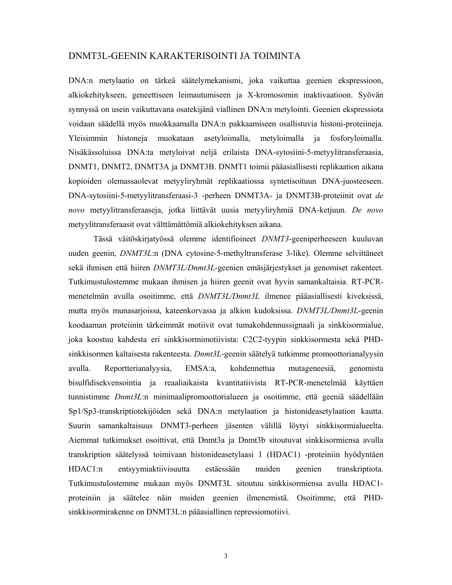# DNMT3L-GEENIN KARAKTERISOINTI JA TOIMINTA

DNA:n metylaatio on tärkeä säätelymekanismi, joka vaikuttaa geenien ekspressioon, alkiokehitykseen, geneettiseen leimautumiseen ja X-kromosomin inaktivaatioon. Syövän synnyssä on usein vaikuttavana osatekijänä viallinen DNA:n metylointi. Geenien ekspressiota voidaan säädellä myös muokkaamalla DNA:n pakkaamiseen osallistuvia histoni-proteiineja. Yleisimmin histoneja muokataan asetyloimalla, metyloimalla ja fosforyloimalla. Nisäkässoluissa DNA:ta metyloivat neljä erilaista DNA-sytosiini-5-metyylitransferaasia, DNMT1, DNMT2, DNMT3A ja DNMT3B. DNMT1 toimii pääasiallisesti replikaation aikana kopioiden olemassaolevat metyyliryhmät replikaatiossa syntetisoituun DNA-juosteeseen. DNA-sytosiini-5-metyylitransferaasi-3 -perheen DNMT3A- ja DNMT3B-proteiinit ovat *de novo* metyylitransferaaseja, jotka liittävät uusia metyyliryhmiä DNA-ketjuun. *De novo* metyylitransferaasit ovat välttämättömiä alkiokehityksen aikana.

Tässä väitöskirjatyössä olemme identifioineet *DNMT3*-geeniperheeseen kuuluvan uuden geenin, *DNMT3L*:n (DNA cytosine-5-methyltransferase 3-like). Olemme selvittäneet sekä ihmisen että hiiren *DNMT3L*/*Dnmt3L*-geenien emäsjärjestykset ja genomiset rakenteet. Tutkimustulostemme mukaan ihmisen ja hiiren geenit ovat hyvin samankaltaisia. RT-PCRmenetelmän avulla osoitimme, että *DNMT3L/Dnmt3L* ilmenee pääasiallisesti kiveksissä, mutta myös munasarjoissa, kateenkorvassa ja alkion kudoksissa. *DNMT3L/Dnmt3L*-geenin koodaaman proteiinin tärkeimmät motiivit ovat tumakohdennussignaali ja sinkkisormialue, joka koostuu kahdesta eri sinkkisormimotiivista: C2C2-tyypin sinkkisormesta sekä PHDsinkkisormen kaltaisesta rakenteesta. *Dnmt3L*-geenin säätelyä tutkimme promoottorianalyysin avulla. Reportterianalyysia, EMSA:a, kohdennettua mutageneesiä, genomista bisulfidisekvensointia ja reaaliaikaista kvantitatiivista RT-PCR-menetelmää käyttäen tunnistimme *Dnmt3L*:n minimaalipromoottorialueen ja osoitimme, että geeniä säädellään Sp1/Sp3-transkriptiotekijöiden sekä DNA:n metylaation ja histonideasetylaation kautta. Suurin samankaltaisuus DNMT3-perheen jäsenten välillä löytyi sinkkisormialueelta. Aiemmat tutkimukset osoittivat, että Dnmt3a ja Dnmt3b sitoutuvat sinkkisormiensa avulla transkription säätelyssä toimivaan histonideasetylaasi 1 (HDAC1) -proteiniin hyödyntäen HDAC1:n entsyymiaktiivisuutta estäessään muiden geenien transkriptiota. Tutkimustulostemme mukaan myös DNMT3L sitoutuu sinkkisormiensa avulla HDAC1 proteiniin ja säätelee näin muiden geenien ilmenemistä. Osoitimme, että PHDsinkkisormirakenne on DNMT3L:n pääasiallinen repressiomotiivi.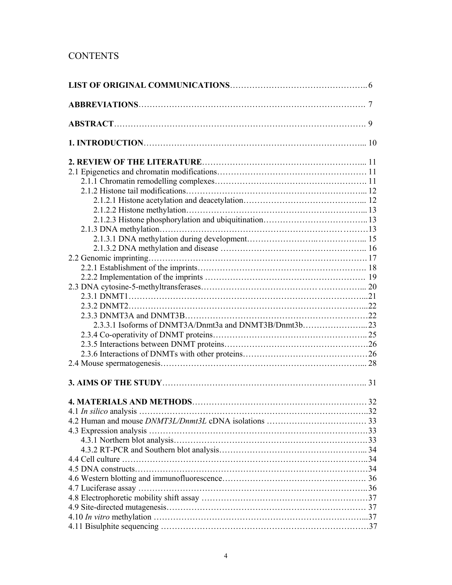# **CONTENTS**

| 2.3.3.1 Isoforms of DNMT3A/Dnmt3a and DNMT3B/Dnmt3b23 |  |
|-------------------------------------------------------|--|
|                                                       |  |
|                                                       |  |
|                                                       |  |
|                                                       |  |
|                                                       |  |
|                                                       |  |
|                                                       |  |
|                                                       |  |
|                                                       |  |
|                                                       |  |
|                                                       |  |
|                                                       |  |
|                                                       |  |
|                                                       |  |
|                                                       |  |
|                                                       |  |
|                                                       |  |
|                                                       |  |
|                                                       |  |
|                                                       |  |
|                                                       |  |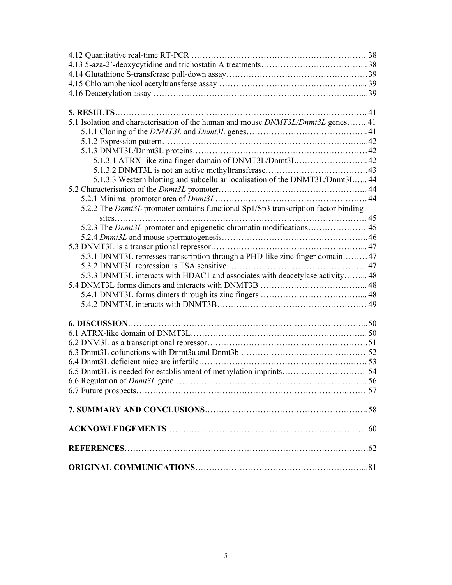| 5.1 Isolation and characterisation of the human and mouse DNMT3L/Dnmt3L genes 41          |
|-------------------------------------------------------------------------------------------|
|                                                                                           |
|                                                                                           |
|                                                                                           |
| 5.1.3.1 ATRX-like zinc finger domain of DNMT3L/Dnmt3L 42                                  |
|                                                                                           |
| 5.1.3.3 Western blotting and subcellular localisation of the DNMT3L/Dnmt3L 44             |
|                                                                                           |
|                                                                                           |
| 5.2.2 The <i>Dnmt3L</i> promoter contains functional Sp1/Sp3 transcription factor binding |
|                                                                                           |
|                                                                                           |
|                                                                                           |
|                                                                                           |
| 5.3.1 DNMT3L represses transcription through a PHD-like zinc finger domain47              |
|                                                                                           |
| 5.3.3 DNMT3L interacts with HDAC1 and associates with deacetylase activity 48             |
|                                                                                           |
|                                                                                           |
|                                                                                           |
|                                                                                           |
|                                                                                           |
|                                                                                           |
|                                                                                           |
|                                                                                           |
|                                                                                           |
|                                                                                           |
|                                                                                           |
|                                                                                           |
|                                                                                           |
|                                                                                           |
|                                                                                           |
|                                                                                           |
|                                                                                           |
|                                                                                           |
|                                                                                           |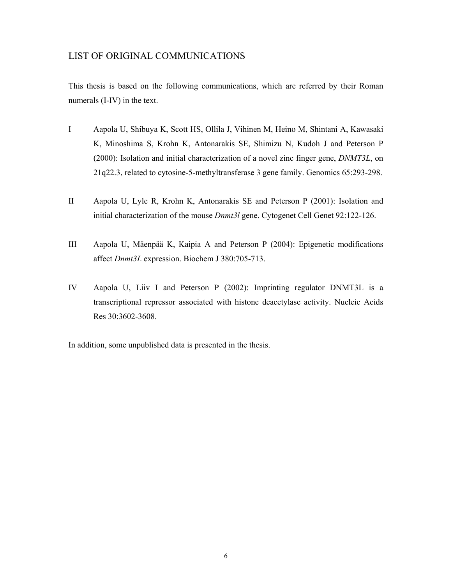# <span id="page-5-0"></span>LIST OF ORIGINAL COMMUNICATIONS

This thesis is based on the following communications, which are referred by their Roman numerals (I-IV) in the text.

- I Aapola U, Shibuya K, Scott HS, Ollila J, Vihinen M, Heino M, Shintani A, Kawasaki K, Minoshima S, Krohn K, Antonarakis SE, Shimizu N, Kudoh J and Peterson P (2000): Isolation and initial characterization of a novel zinc finger gene, *DNMT3L*, on 21q22.3, related to cytosine-5-methyltransferase 3 gene family. Genomics 65:293-298.
- II Aapola U, Lyle R, Krohn K, Antonarakis SE and Peterson P (2001): Isolation and initial characterization of the mouse *Dnmt3l* gene. Cytogenet Cell Genet 92:122-126.
- III Aapola U, Mäenpää K, Kaipia A and Peterson P (2004): Epigenetic modifications affect *Dnmt3L* expression. Biochem J 380:705-713.
- IV Aapola U, Liiv I and Peterson P (2002): Imprinting regulator DNMT3L is a transcriptional repressor associated with histone deacetylase activity. Nucleic Acids Res 30:3602-3608.

In addition, some unpublished data is presented in the thesis.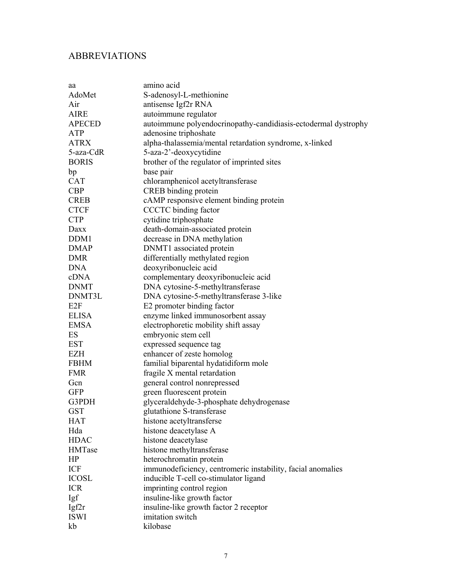# <span id="page-6-0"></span>ABBREVIATIONS

| aa              | amino acid                                                     |
|-----------------|----------------------------------------------------------------|
| AdoMet          | S-adenosyl-L-methionine                                        |
| Air             | antisense Igf2r RNA                                            |
| <b>AIRE</b>     | autoimmune regulator                                           |
| <b>APECED</b>   | autoimmune polyendocrinopathy-candidiasis-ectodermal dystrophy |
| <b>ATP</b>      | adenosine triphoshate                                          |
| <b>ATRX</b>     | alpha-thalassemia/mental retardation syndrome, x-linked        |
| 5-aza-CdR       | 5-aza-2'-deoxycytidine                                         |
| <b>BORIS</b>    | brother of the regulator of imprinted sites                    |
| bp              | base pair                                                      |
| <b>CAT</b>      | chloramphenicol acetyltransferase                              |
| <b>CBP</b>      | CREB binding protein                                           |
| <b>CREB</b>     | cAMP responsive element binding protein                        |
| <b>CTCF</b>     |                                                                |
|                 | <b>CCCTC</b> binding factor                                    |
| <b>CTP</b>      | cytidine triphosphate                                          |
| Daxx            | death-domain-associated protein                                |
| DDM1            | decrease in DNA methylation                                    |
| <b>DMAP</b>     | DNMT1 associated protein                                       |
| <b>DMR</b>      | differentially methylated region                               |
| <b>DNA</b>      | deoxyribonucleic acid                                          |
| cDNA            | complementary deoxyribonucleic acid                            |
| <b>DNMT</b>     | DNA cytosine-5-methyltransferase                               |
| DNMT3L          | DNA cytosine-5-methyltransferase 3-like                        |
| E <sub>2F</sub> | E2 promoter binding factor                                     |
| <b>ELISA</b>    | enzyme linked immunosorbent assay                              |
| <b>EMSA</b>     | electrophoretic mobility shift assay                           |
| ES              | embryonic stem cell                                            |
| <b>EST</b>      | expressed sequence tag                                         |
| <b>EZH</b>      | enhancer of zeste homolog                                      |
| <b>FBHM</b>     | familial biparental hydatidiform mole                          |
| <b>FMR</b>      | fragile X mental retardation                                   |
| Gcn             | general control nonrepressed                                   |
| <b>GFP</b>      | green fluorescent protein                                      |
| G3PDH           | glyceraldehyde-3-phosphate dehydrogenase                       |
| <b>GST</b>      | glutathione S-transferase                                      |
| <b>HAT</b>      |                                                                |
|                 | histone acetyltransferse                                       |
| Hda             | histone deacetylase A                                          |
| <b>HDAC</b>     | histone deacetylase                                            |
| HMTase          | histone methyltransferase                                      |
| HP              | heterochromatin protein                                        |
| ICF             | immunodeficiency, centromeric instability, facial anomalies    |
| <b>ICOSL</b>    | inducible T-cell co-stimulator ligand                          |
| <b>ICR</b>      | imprinting control region                                      |
| Igf             | insuline-like growth factor                                    |
| Igf2r           | insuline-like growth factor 2 receptor                         |
| <b>ISWI</b>     | imitation switch                                               |
| kb              | kilobase                                                       |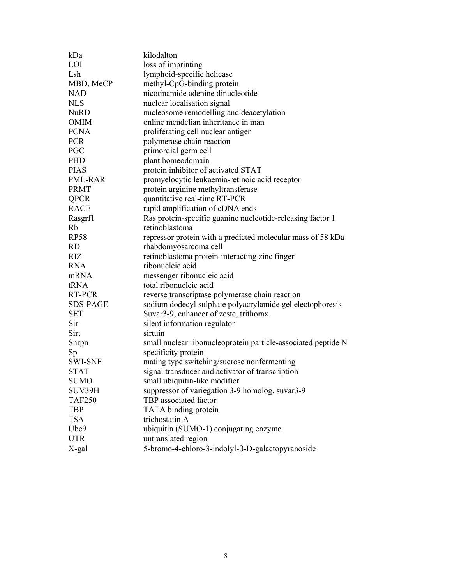| kDa             | kilodalton                                                    |
|-----------------|---------------------------------------------------------------|
| LOI             | loss of imprinting                                            |
| Lsh             | lymphoid-specific helicase                                    |
| MBD, MeCP       | methyl-CpG-binding protein                                    |
| <b>NAD</b>      | nicotinamide adenine dinucleotide                             |
| <b>NLS</b>      | nuclear localisation signal                                   |
| <b>NuRD</b>     | nucleosome remodelling and deacetylation                      |
| <b>OMIM</b>     | online mendelian inheritance in man                           |
| <b>PCNA</b>     | proliferating cell nuclear antigen                            |
| <b>PCR</b>      | polymerase chain reaction                                     |
| PGC             | primordial germ cell                                          |
| PHD             | plant homeodomain                                             |
| <b>PIAS</b>     | protein inhibitor of activated STAT                           |
| PML-RAR         | promyelocytic leukaemia-retinoic acid receptor                |
| <b>PRMT</b>     | protein arginine methyltransferase                            |
| <b>QPCR</b>     | quantitative real-time RT-PCR                                 |
| <b>RACE</b>     | rapid amplification of cDNA ends                              |
| Rasgrf1         | Ras protein-specific guanine nucleotide-releasing factor 1    |
| Rb              | retinoblastoma                                                |
| <b>RP58</b>     | repressor protein with a predicted molecular mass of 58 kDa   |
| <b>RD</b>       | rhabdomyosarcoma cell                                         |
| <b>RIZ</b>      | retinoblastoma protein-interacting zinc finger                |
| <b>RNA</b>      | ribonucleic acid                                              |
| mRNA            | messenger ribonucleic acid                                    |
| tRNA            | total ribonucleic acid                                        |
| RT-PCR          | reverse transcriptase polymerase chain reaction               |
| <b>SDS-PAGE</b> | sodium dodecyl sulphate polyacrylamide gel electophoresis     |
| <b>SET</b>      | Suvar3-9, enhancer of zeste, trithorax                        |
| Sir             | silent information regulator                                  |
| Sirt            | sirtuin                                                       |
| Snrpn           | small nuclear ribonucleoprotein particle-associated peptide N |
| Sp              | specificity protein                                           |
| <b>SWI-SNF</b>  | mating type switching/sucrose nonfermenting                   |
| <b>STAT</b>     | signal transducer and activator of transcription              |
| <b>SUMO</b>     | small ubiquitin-like modifier                                 |
| SUV39H          | suppressor of variegation 3-9 homolog, suvar3-9               |
| <b>TAF250</b>   | TBP associated factor                                         |
| <b>TBP</b>      | TATA binding protein                                          |
| <b>TSA</b>      | trichostatin A                                                |
| Ubc9            | ubiquitin (SUMO-1) conjugating enzyme                         |
| <b>UTR</b>      | untranslated region                                           |
| X-gal           | 5-bromo-4-chloro-3-indolyl-β-D-galactopyranoside              |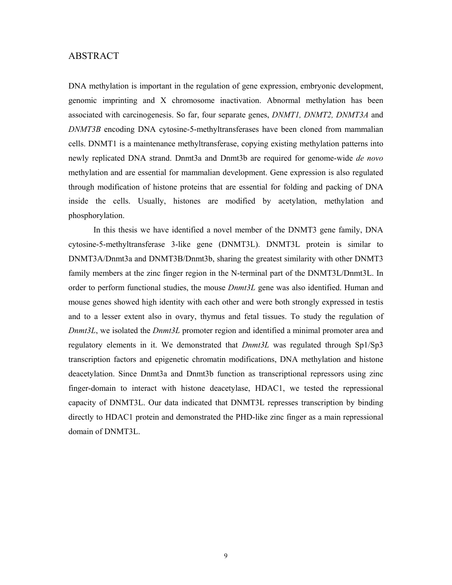# <span id="page-8-0"></span>ABSTRACT

DNA methylation is important in the regulation of gene expression, embryonic development, genomic imprinting and X chromosome inactivation. Abnormal methylation has been associated with carcinogenesis. So far, four separate genes, *DNMT1, DNMT2, DNMT3A* and *DNMT3B* encoding DNA cytosine-5-methyltransferases have been cloned from mammalian cells. DNMT1 is a maintenance methyltransferase, copying existing methylation patterns into newly replicated DNA strand. Dnmt3a and Dnmt3b are required for genome-wide *de novo* methylation and are essential for mammalian development. Gene expression is also regulated through modification of histone proteins that are essential for folding and packing of DNA inside the cells. Usually, histones are modified by acetylation, methylation and phosphorylation.

In this thesis we have identified a novel member of the DNMT3 gene family, DNA cytosine-5-methyltransferase 3-like gene (DNMT3L). DNMT3L protein is similar to DNMT3A/Dnmt3a and DNMT3B/Dnmt3b, sharing the greatest similarity with other DNMT3 family members at the zinc finger region in the N-terminal part of the DNMT3L/Dnmt3L. In order to perform functional studies, the mouse *Dnmt3L* gene was also identified. Human and mouse genes showed high identity with each other and were both strongly expressed in testis and to a lesser extent also in ovary, thymus and fetal tissues. To study the regulation of *Dnmt3L*, we isolated the *Dnmt3L* promoter region and identified a minimal promoter area and regulatory elements in it. We demonstrated that *Dnmt3L* was regulated through Sp1/Sp3 transcription factors and epigenetic chromatin modifications, DNA methylation and histone deacetylation. Since Dnmt3a and Dnmt3b function as transcriptional repressors using zinc finger-domain to interact with histone deacetylase, HDAC1, we tested the repressional capacity of DNMT3L. Our data indicated that DNMT3L represses transcription by binding directly to HDAC1 protein and demonstrated the PHD-like zinc finger as a main repressional domain of DNMT3L.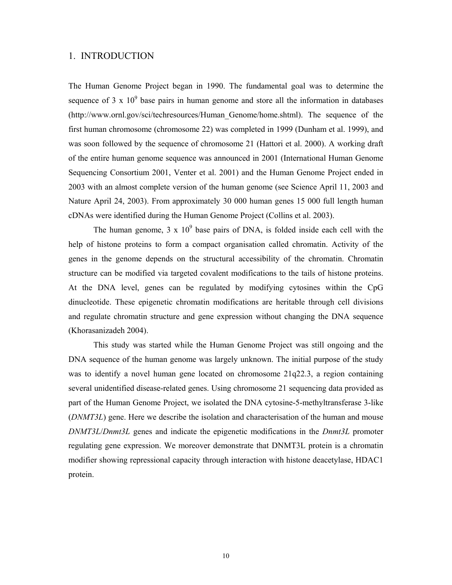# <span id="page-9-0"></span>1. INTRODUCTION

The Human Genome Project began in 1990. The fundamental goal was to determine the sequence of 3 x  $10^9$  base pairs in human genome and store all the information in databases (http://www.ornl.gov/sci/techresources/Human\_Genome/home.shtml). The sequence of the first human chromosome (chromosome 22) was completed in 1999 (Dunham et al. 1999), and was soon followed by the sequence of chromosome 21 (Hattori et al. 2000). A working draft of the entire human genome sequence was announced in 2001 (International Human Genome Sequencing Consortium 2001, Venter et al. 2001) and the Human Genome Project ended in 2003 with an almost complete version of the human genome (see Science April 11, 2003 and Nature April 24, 2003). From approximately 30 000 human genes 15 000 full length human cDNAs were identified during the Human Genome Project (Collins et al. 2003).

The human genome, 3 x  $10^9$  base pairs of DNA, is folded inside each cell with the help of histone proteins to form a compact organisation called chromatin. Activity of the genes in the genome depends on the structural accessibility of the chromatin. Chromatin structure can be modified via targeted covalent modifications to the tails of histone proteins. At the DNA level, genes can be regulated by modifying cytosines within the CpG dinucleotide. These epigenetic chromatin modifications are heritable through cell divisions and regulate chromatin structure and gene expression without changing the DNA sequence (Khorasanizadeh 2004).

This study was started while the Human Genome Project was still ongoing and the DNA sequence of the human genome was largely unknown. The initial purpose of the study was to identify a novel human gene located on chromosome 21q22.3, a region containing several unidentified disease-related genes. Using chromosome 21 sequencing data provided as part of the Human Genome Project, we isolated the DNA cytosine-5-methyltransferase 3-like (*DNMT3L*) gene. Here we describe the isolation and characterisation of the human and mouse *DNMT3L*/*Dnmt3L* genes and indicate the epigenetic modifications in the *Dnmt3L* promoter regulating gene expression. We moreover demonstrate that DNMT3L protein is a chromatin modifier showing repressional capacity through interaction with histone deacetylase, HDAC1 protein.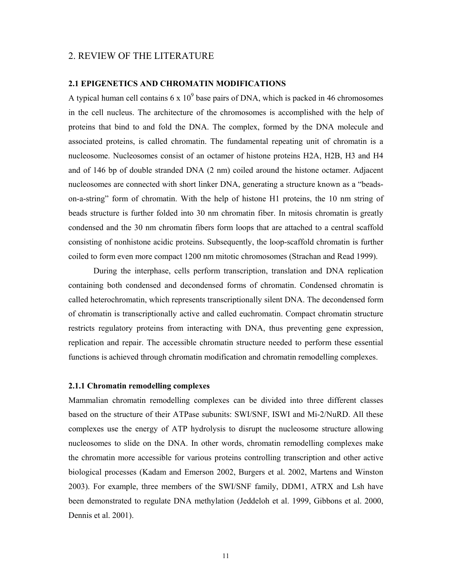# <span id="page-10-0"></span>2. REVIEW OF THE LITERATURE

#### **2.1 EPIGENETICS AND CHROMATIN MODIFICATIONS**

A typical human cell contains  $6 \times 10^9$  base pairs of DNA, which is packed in 46 chromosomes in the cell nucleus. The architecture of the chromosomes is accomplished with the help of proteins that bind to and fold the DNA. The complex, formed by the DNA molecule and associated proteins, is called chromatin. The fundamental repeating unit of chromatin is a nucleosome. Nucleosomes consist of an octamer of histone proteins H2A, H2B, H3 and H4 and of 146 bp of double stranded DNA (2 nm) coiled around the histone octamer. Adjacent nucleosomes are connected with short linker DNA, generating a structure known as a "beadson-a-string" form of chromatin. With the help of histone H1 proteins, the 10 nm string of beads structure is further folded into 30 nm chromatin fiber. In mitosis chromatin is greatly condensed and the 30 nm chromatin fibers form loops that are attached to a central scaffold consisting of nonhistone acidic proteins. Subsequently, the loop-scaffold chromatin is further coiled to form even more compact 1200 nm mitotic chromosomes (Strachan and Read 1999).

During the interphase, cells perform transcription, translation and DNA replication containing both condensed and decondensed forms of chromatin. Condensed chromatin is called heterochromatin, which represents transcriptionally silent DNA. The decondensed form of chromatin is transcriptionally active and called euchromatin. Compact chromatin structure restricts regulatory proteins from interacting with DNA, thus preventing gene expression, replication and repair. The accessible chromatin structure needed to perform these essential functions is achieved through chromatin modification and chromatin remodelling complexes.

#### **2.1.1 Chromatin remodelling complexes**

Mammalian chromatin remodelling complexes can be divided into three different classes based on the structure of their ATPase subunits: SWI/SNF, ISWI and Mi-2/NuRD. All these complexes use the energy of ATP hydrolysis to disrupt the nucleosome structure allowing nucleosomes to slide on the DNA. In other words, chromatin remodelling complexes make the chromatin more accessible for various proteins controlling transcription and other active biological processes (Kadam and Emerson 2002, Burgers et al. 2002, Martens and Winston 2003). For example, three members of the SWI/SNF family, DDM1, ATRX and Lsh have been demonstrated to regulate DNA methylation (Jeddeloh et al. 1999, Gibbons et al. 2000, Dennis et al. 2001).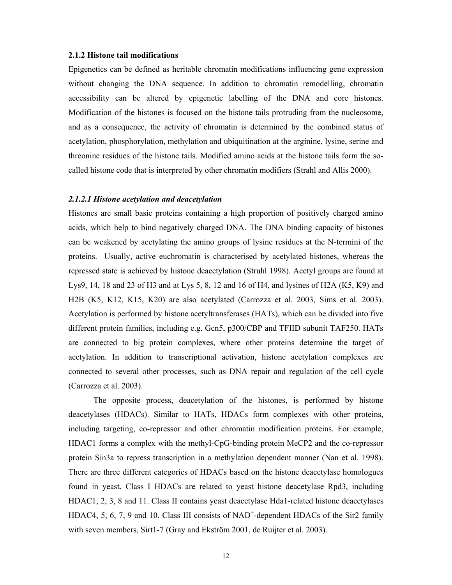#### <span id="page-11-0"></span>**2.1.2 Histone tail modifications**

Epigenetics can be defined as heritable chromatin modifications influencing gene expression without changing the DNA sequence. In addition to chromatin remodelling, chromatin accessibility can be altered by epigenetic labelling of the DNA and core histones. Modification of the histones is focused on the histone tails protruding from the nucleosome, and as a consequence, the activity of chromatin is determined by the combined status of acetylation, phosphorylation, methylation and ubiquitination at the arginine, lysine, serine and threonine residues of the histone tails. Modified amino acids at the histone tails form the socalled histone code that is interpreted by other chromatin modifiers (Strahl and Allis 2000).

#### *2.1.2.1 Histone acetylation and deacetylation*

Histones are small basic proteins containing a high proportion of positively charged amino acids, which help to bind negatively charged DNA. The DNA binding capacity of histones can be weakened by acetylating the amino groups of lysine residues at the N-termini of the proteins. Usually, active euchromatin is characterised by acetylated histones, whereas the repressed state is achieved by histone deacetylation (Struhl 1998). Acetyl groups are found at Lys9, 14, 18 and 23 of H3 and at Lys 5, 8, 12 and 16 of H4, and lysines of H2A (K5, K9) and H2B (K5, K12, K15, K20) are also acetylated (Carrozza et al. 2003, Sims et al. 2003). Acetylation is performed by histone acetyltransferases (HATs), which can be divided into five different protein families, including e.g. Gcn5, p300/CBP and TFIID subunit TAF250. HATs are connected to big protein complexes, where other proteins determine the target of acetylation. In addition to transcriptional activation, histone acetylation complexes are connected to several other processes, such as DNA repair and regulation of the cell cycle (Carrozza et al. 2003).

The opposite process, deacetylation of the histones, is performed by histone deacetylases (HDACs). Similar to HATs, HDACs form complexes with other proteins, including targeting, co-repressor and other chromatin modification proteins. For example, HDAC1 forms a complex with the methyl-CpG-binding protein MeCP2 and the co-repressor protein Sin3a to repress transcription in a methylation dependent manner (Nan et al. 1998). There are three different categories of HDACs based on the histone deacetylase homologues found in yeast. Class I HDACs are related to yeast histone deacetylase Rpd3, including HDAC1, 2, 3, 8 and 11. Class II contains yeast deacetylase Hda1-related histone deacetylases HDAC4, 5, 6, 7, 9 and 10. Class III consists of  $NAD^+$ -dependent HDACs of the Sir2 family with seven members, Sirt1-7 (Gray and Ekström 2001, de Ruijter et al. 2003).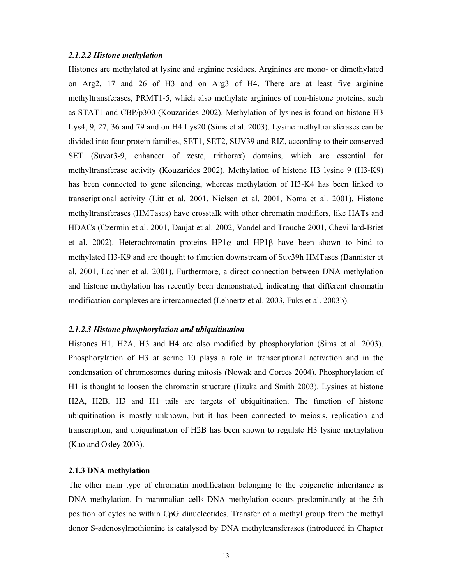#### <span id="page-12-0"></span>*2.1.2.2 Histone methylation*

Histones are methylated at lysine and arginine residues. Arginines are mono- or dimethylated on Arg2, 17 and 26 of H3 and on Arg3 of H4. There are at least five arginine methyltransferases, PRMT1-5, which also methylate arginines of non-histone proteins, such as STAT1 and CBP/p300 (Kouzarides 2002). Methylation of lysines is found on histone H3 Lys4, 9, 27, 36 and 79 and on H4 Lys20 (Sims et al. 2003). Lysine methyltransferases can be divided into four protein families, SET1, SET2, SUV39 and RIZ, according to their conserved SET (Suvar3-9, enhancer of zeste, trithorax) domains, which are essential for methyltransferase activity (Kouzarides 2002). Methylation of histone H3 lysine 9 (H3-K9) has been connected to gene silencing, whereas methylation of H3-K4 has been linked to transcriptional activity (Litt et al. 2001, Nielsen et al. 2001, Noma et al. 2001). Histone methyltransferases (HMTases) have crosstalk with other chromatin modifiers, like HATs and HDACs (Czermin et al. 2001, Daujat et al. 2002, Vandel and Trouche 2001, Chevillard-Briet et al. 2002). Heterochromatin proteins HP1 $\alpha$  and HP1 $\beta$  have been shown to bind to methylated H3-K9 and are thought to function downstream of Suv39h HMTases (Bannister et al. 2001, Lachner et al. 2001). Furthermore, a direct connection between DNA methylation and histone methylation has recently been demonstrated, indicating that different chromatin modification complexes are interconnected (Lehnertz et al. 2003, Fuks et al. 2003b).

#### *2.1.2.3 Histone phosphorylation and ubiquitination*

Histones H1, H2A, H3 and H4 are also modified by phosphorylation (Sims et al. 2003). Phosphorylation of H3 at serine 10 plays a role in transcriptional activation and in the condensation of chromosomes during mitosis (Nowak and Corces 2004). Phosphorylation of H1 is thought to loosen the chromatin structure (Iizuka and Smith 2003). Lysines at histone H2A, H2B, H3 and H1 tails are targets of ubiquitination. The function of histone ubiquitination is mostly unknown, but it has been connected to meiosis, replication and transcription, and ubiquitination of H2B has been shown to regulate H3 lysine methylation (Kao and Osley 2003).

#### **2.1.3 DNA methylation**

The other main type of chromatin modification belonging to the epigenetic inheritance is DNA methylation. In mammalian cells DNA methylation occurs predominantly at the 5th position of cytosine within CpG dinucleotides. Transfer of a methyl group from the methyl donor S-adenosylmethionine is catalysed by DNA methyltransferases (introduced in Chapter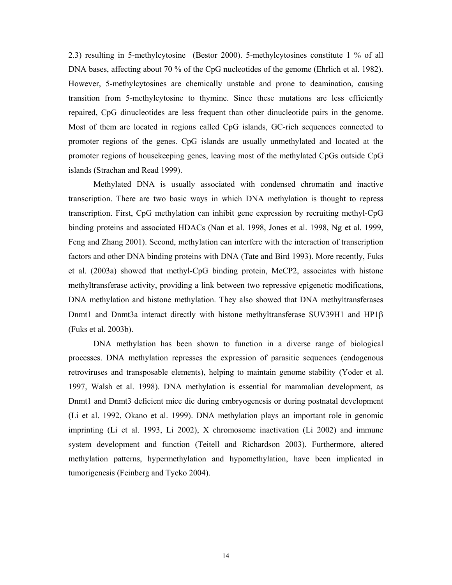2.3) resulting in 5-methylcytosine (Bestor 2000). 5-methylcytosines constitute 1 % of all DNA bases, affecting about 70 % of the CpG nucleotides of the genome (Ehrlich et al. 1982). However, 5-methylcytosines are chemically unstable and prone to deamination, causing transition from 5-methylcytosine to thymine. Since these mutations are less efficiently repaired, CpG dinucleotides are less frequent than other dinucleotide pairs in the genome. Most of them are located in regions called CpG islands, GC-rich sequences connected to promoter regions of the genes. CpG islands are usually unmethylated and located at the promoter regions of housekeeping genes, leaving most of the methylated CpGs outside CpG islands (Strachan and Read 1999).

Methylated DNA is usually associated with condensed chromatin and inactive transcription. There are two basic ways in which DNA methylation is thought to repress transcription. First, CpG methylation can inhibit gene expression by recruiting methyl-CpG binding proteins and associated HDACs (Nan et al. 1998, Jones et al. 1998, Ng et al. 1999, Feng and Zhang 2001). Second, methylation can interfere with the interaction of transcription factors and other DNA binding proteins with DNA (Tate and Bird 1993). More recently, Fuks et al. (2003a) showed that methyl-CpG binding protein, MeCP2, associates with histone methyltransferase activity, providing a link between two repressive epigenetic modifications, DNA methylation and histone methylation. They also showed that DNA methyltransferases Dnmt1 and Dnmt3a interact directly with histone methyltransferase SUV39H1 and HP1β (Fuks et al. 2003b).

DNA methylation has been shown to function in a diverse range of biological processes. DNA methylation represses the expression of parasitic sequences (endogenous retroviruses and transposable elements), helping to maintain genome stability (Yoder et al. 1997, Walsh et al. 1998). DNA methylation is essential for mammalian development, as Dnmt1 and Dnmt3 deficient mice die during embryogenesis or during postnatal development (Li et al. 1992, Okano et al. 1999). DNA methylation plays an important role in genomic imprinting (Li et al. 1993, Li 2002), X chromosome inactivation (Li 2002) and immune system development and function (Teitell and Richardson 2003). Furthermore, altered methylation patterns, hypermethylation and hypomethylation, have been implicated in tumorigenesis (Feinberg and Tycko 2004).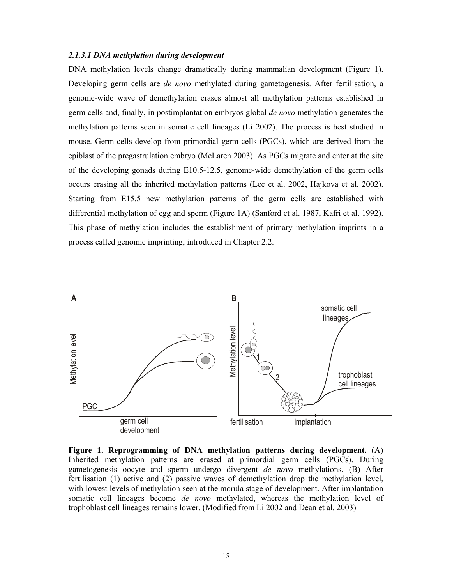#### <span id="page-14-0"></span>*2.1.3.1 DNA methylation during development*

DNA methylation levels change dramatically during mammalian development (Figure 1). Developing germ cells are *de novo* methylated during gametogenesis. After fertilisation, a genome-wide wave of demethylation erases almost all methylation patterns established in germ cells and, finally, in postimplantation embryos global *de novo* methylation generates the methylation patterns seen in somatic cell lineages (Li 2002). The process is best studied in mouse. Germ cells develop from primordial germ cells (PGCs), which are derived from the epiblast of the pregastrulation embryo (McLaren 2003). As PGCs migrate and enter at the site of the developing gonads during E10.5-12.5, genome-wide demethylation of the germ cells occurs erasing all the inherited methylation patterns (Lee et al. 2002, Hajkova et al. 2002). Starting from E15.5 new methylation patterns of the germ cells are established with differential methylation of egg and sperm (Figure 1A) (Sanford et al. 1987, Kafri et al. 1992). This phase of methylation includes the establishment of primary methylation imprints in a process called genomic imprinting, introduced in Chapter 2.2.



**Figure 1. Reprogramming of DNA methylation patterns during development.** (A) Inherited methylation patterns are erased at primordial germ cells (PGCs). During gametogenesis oocyte and sperm undergo divergent *de novo* methylations. (B) After fertilisation (1) active and (2) passive waves of demethylation drop the methylation level, with lowest levels of methylation seen at the morula stage of development. After implantation somatic cell lineages become *de novo* methylated, whereas the methylation level of trophoblast cell lineages remains lower. (Modified from Li 2002 and Dean et al. 2003)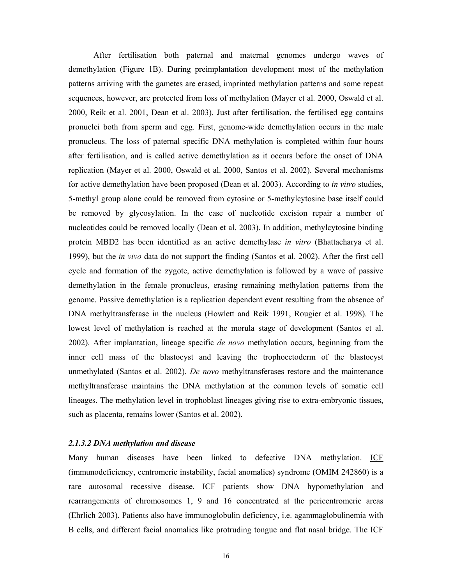<span id="page-15-0"></span>After fertilisation both paternal and maternal genomes undergo waves of demethylation (Figure 1B). During preimplantation development most of the methylation patterns arriving with the gametes are erased, imprinted methylation patterns and some repeat sequences, however, are protected from loss of methylation (Mayer et al. 2000, Oswald et al. 2000, Reik et al. 2001, Dean et al. 2003). Just after fertilisation, the fertilised egg contains pronuclei both from sperm and egg. First, genome-wide demethylation occurs in the male pronucleus. The loss of paternal specific DNA methylation is completed within four hours after fertilisation, and is called active demethylation as it occurs before the onset of DNA replication (Mayer et al. 2000, Oswald et al. 2000, Santos et al. 2002). Several mechanisms for active demethylation have been proposed (Dean et al. 2003). According to *in vitro* studies, 5-methyl group alone could be removed from cytosine or 5-methylcytosine base itself could be removed by glycosylation. In the case of nucleotide excision repair a number of nucleotides could be removed locally (Dean et al. 2003). In addition, methylcytosine binding protein MBD2 has been identified as an active demethylase *in vitro* (Bhattacharya et al. 1999), but the *in vivo* data do not support the finding (Santos et al. 2002). After the first cell cycle and formation of the zygote, active demethylation is followed by a wave of passive demethylation in the female pronucleus, erasing remaining methylation patterns from the genome. Passive demethylation is a replication dependent event resulting from the absence of DNA methyltransferase in the nucleus (Howlett and Reik 1991, Rougier et al. 1998). The lowest level of methylation is reached at the morula stage of development (Santos et al. 2002). After implantation, lineage specific *de novo* methylation occurs, beginning from the inner cell mass of the blastocyst and leaving the trophoectoderm of the blastocyst unmethylated (Santos et al. 2002). *De novo* methyltransferases restore and the maintenance methyltransferase maintains the DNA methylation at the common levels of somatic cell lineages. The methylation level in trophoblast lineages giving rise to extra-embryonic tissues, such as placenta, remains lower (Santos et al. 2002).

# *2.1.3.2 DNA methylation and disease*

Many human diseases have been linked to defective DNA methylation. ICF (immunodeficiency, centromeric instability, facial anomalies) syndrome (OMIM 242860) is a rare autosomal recessive disease. ICF patients show DNA hypomethylation and rearrangements of chromosomes 1, 9 and 16 concentrated at the pericentromeric areas (Ehrlich 2003). Patients also have immunoglobulin deficiency, i.e. agammaglobulinemia with B cells, and different facial anomalies like protruding tongue and flat nasal bridge. The ICF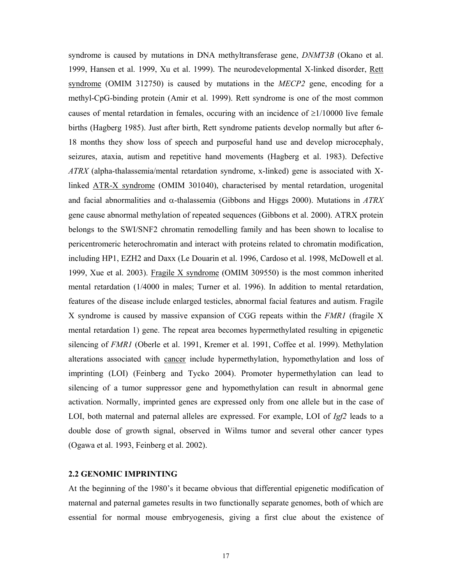<span id="page-16-0"></span>syndrome is caused by mutations in DNA methyltransferase gene, *DNMT3B* (Okano et al. 1999, Hansen et al. 1999, Xu et al. 1999). The neurodevelopmental X-linked disorder, Rett syndrome (OMIM 312750) is caused by mutations in the *MECP2* gene, encoding for a methyl-CpG-binding protein (Amir et al. 1999). Rett syndrome is one of the most common causes of mental retardation in females, occuring with an incidence of  $\geq$ 1/10000 live female births (Hagberg 1985). Just after birth, Rett syndrome patients develop normally but after 6- 18 months they show loss of speech and purposeful hand use and develop microcephaly, seizures, ataxia, autism and repetitive hand movements (Hagberg et al. 1983). Defective *ATRX* (alpha-thalassemia/mental retardation syndrome, x-linked) gene is associated with Xlinked ATR-X syndrome (OMIM 301040), characterised by mental retardation, urogenital and facial abnormalities and α-thalassemia (Gibbons and Higgs 2000). Mutations in *ATRX* gene cause abnormal methylation of repeated sequences (Gibbons et al. 2000). ATRX protein belongs to the SWI/SNF2 chromatin remodelling family and has been shown to localise to pericentromeric heterochromatin and interact with proteins related to chromatin modification, including HP1, EZH2 and Daxx (Le Douarin et al. 1996, Cardoso et al. 1998, McDowell et al. 1999, Xue et al. 2003). Fragile X syndrome (OMIM 309550) is the most common inherited mental retardation (1/4000 in males; Turner et al. 1996). In addition to mental retardation, features of the disease include enlarged testicles, abnormal facial features and autism. Fragile X syndrome is caused by massive expansion of CGG repeats within the *FMR1* (fragile X mental retardation 1) gene. The repeat area becomes hypermethylated resulting in epigenetic silencing of *FMR1* (Oberle et al. 1991, Kremer et al. 1991, Coffee et al. 1999). Methylation alterations associated with cancer include hypermethylation, hypomethylation and loss of imprinting (LOI) (Feinberg and Tycko 2004). Promoter hypermethylation can lead to silencing of a tumor suppressor gene and hypomethylation can result in abnormal gene activation. Normally, imprinted genes are expressed only from one allele but in the case of LOI, both maternal and paternal alleles are expressed. For example, LOI of *Igf2* leads to a double dose of growth signal, observed in Wilms tumor and several other cancer types (Ogawa et al. 1993, Feinberg et al. 2002).

#### **2.2 GENOMIC IMPRINTING**

At the beginning of the 1980's it became obvious that differential epigenetic modification of maternal and paternal gametes results in two functionally separate genomes, both of which are essential for normal mouse embryogenesis, giving a first clue about the existence of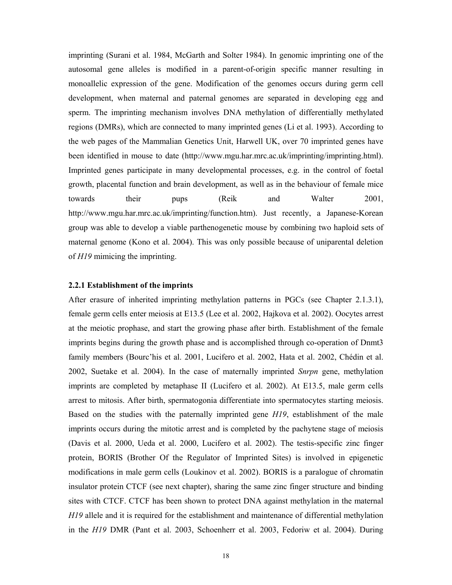<span id="page-17-0"></span>imprinting (Surani et al. 1984, McGarth and Solter 1984). In genomic imprinting one of the autosomal gene alleles is modified in a parent-of-origin specific manner resulting in monoallelic expression of the gene. Modification of the genomes occurs during germ cell development, when maternal and paternal genomes are separated in developing egg and sperm. The imprinting mechanism involves DNA methylation of differentially methylated regions (DMRs), which are connected to many imprinted genes (Li et al. 1993). According to the web pages of the Mammalian Genetics Unit, Harwell UK, over 70 imprinted genes have been identified in mouse to date (http://www.mgu.har.mrc.ac.uk/imprinting/imprinting.html). Imprinted genes participate in many developmental processes, e.g. in the control of foetal growth, placental function and brain development, as well as in the behaviour of female mice towards their pups (Reik and Walter 2001, http://www.mgu.har.mrc.ac.uk/imprinting/function.htm). Just recently, a Japanese-Korean group was able to develop a viable parthenogenetic mouse by combining two haploid sets of maternal genome (Kono et al. 2004). This was only possible because of uniparental deletion of *H19* mimicing the imprinting.

#### **2.2.1 Establishment of the imprints**

After erasure of inherited imprinting methylation patterns in PGCs (see Chapter 2.1.3.1), female germ cells enter meiosis at E13.5 (Lee et al. 2002, Hajkova et al. 2002). Oocytes arrest at the meiotic prophase, and start the growing phase after birth. Establishment of the female imprints begins during the growth phase and is accomplished through co-operation of Dnmt3 family members (Bourc'his et al. 2001, Lucifero et al. 2002, Hata et al. 2002, Chédin et al. 2002, Suetake et al. 2004). In the case of maternally imprinted *Snrpn* gene, methylation imprints are completed by metaphase II (Lucifero et al. 2002). At E13.5, male germ cells arrest to mitosis. After birth, spermatogonia differentiate into spermatocytes starting meiosis. Based on the studies with the paternally imprinted gene *H19*, establishment of the male imprints occurs during the mitotic arrest and is completed by the pachytene stage of meiosis (Davis et al. 2000, Ueda et al. 2000, Lucifero et al. 2002). The testis-specific zinc finger protein, BORIS (Brother Of the Regulator of Imprinted Sites) is involved in epigenetic modifications in male germ cells (Loukinov et al. 2002). BORIS is a paralogue of chromatin insulator protein CTCF (see next chapter), sharing the same zinc finger structure and binding sites with CTCF. CTCF has been shown to protect DNA against methylation in the maternal *H19* allele and it is required for the establishment and maintenance of differential methylation in the *H19* DMR (Pant et al. 2003, Schoenherr et al. 2003, Fedoriw et al. 2004). During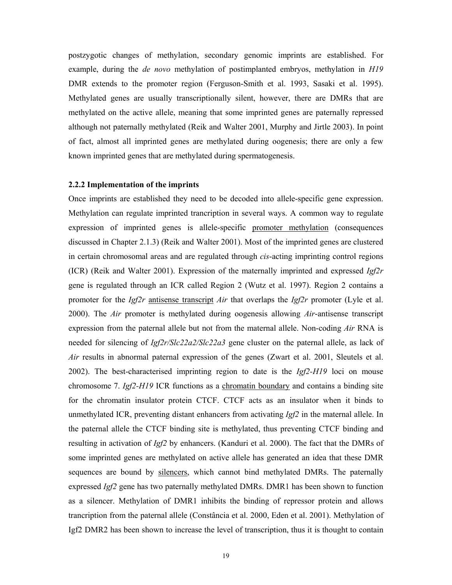<span id="page-18-0"></span>postzygotic changes of methylation, secondary genomic imprints are established. For example, during the *de novo* methylation of postimplanted embryos, methylation in *H19* DMR extends to the promoter region (Ferguson-Smith et al. 1993, Sasaki et al. 1995). Methylated genes are usually transcriptionally silent, however, there are DMRs that are methylated on the active allele, meaning that some imprinted genes are paternally repressed although not paternally methylated (Reik and Walter 2001, Murphy and Jirtle 2003). In point of fact, almost all imprinted genes are methylated during oogenesis; there are only a few known imprinted genes that are methylated during spermatogenesis.

#### **2.2.2 Implementation of the imprints**

Once imprints are established they need to be decoded into allele-specific gene expression. Methylation can regulate imprinted trancription in several ways. A common way to regulate expression of imprinted genes is allele-specific promoter methylation (consequences discussed in Chapter 2.1.3) (Reik and Walter 2001). Most of the imprinted genes are clustered in certain chromosomal areas and are regulated through *cis*-acting imprinting control regions (ICR) (Reik and Walter 2001). Expression of the maternally imprinted and expressed *Igf2r*  gene is regulated through an ICR called Region 2 (Wutz et al. 1997). Region 2 contains a promoter for the *Igf2r* antisense transcript *Air* that overlaps the *Igf2r* promoter (Lyle et al. 2000). The *Air* promoter is methylated during oogenesis allowing *Air*-antisense transcript expression from the paternal allele but not from the maternal allele. Non-coding *Air* RNA is needed for silencing of *Igf2r/Slc22a2/Slc22a3* gene cluster on the paternal allele, as lack of *Air* results in abnormal paternal expression of the genes (Zwart et al. 2001, Sleutels et al. 2002). The best-characterised imprinting region to date is the *Igf2-H19* loci on mouse chromosome 7. *Igf2-H19* ICR functions as a chromatin boundary and contains a binding site for the chromatin insulator protein CTCF. CTCF acts as an insulator when it binds to unmethylated ICR, preventing distant enhancers from activating *Igf2* in the maternal allele. In the paternal allele the CTCF binding site is methylated, thus preventing CTCF binding and resulting in activation of *Igf2* by enhancers. (Kanduri et al. 2000). The fact that the DMRs of some imprinted genes are methylated on active allele has generated an idea that these DMR sequences are bound by silencers, which cannot bind methylated DMRs. The paternally expressed *Igf2* gene has two paternally methylated DMRs. DMR1 has been shown to function as a silencer. Methylation of DMR1 inhibits the binding of repressor protein and allows trancription from the paternal allele (Constância et al. 2000, Eden et al. 2001). Methylation of Igf2 DMR2 has been shown to increase the level of transcription, thus it is thought to contain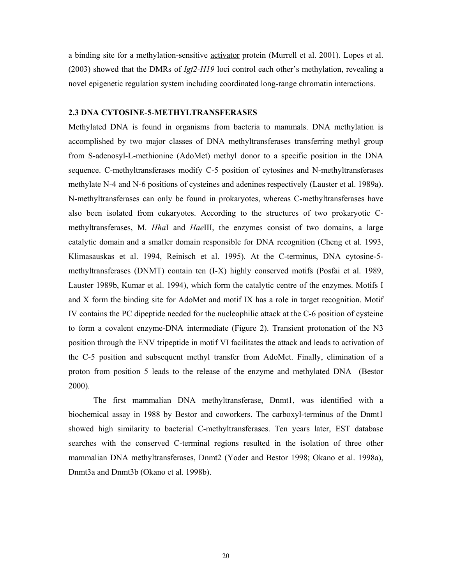<span id="page-19-0"></span>a binding site for a methylation-sensitive activator protein (Murrell et al. 2001). Lopes et al. (2003) showed that the DMRs of *Igf2-H19* loci control each other's methylation, revealing a novel epigenetic regulation system including coordinated long-range chromatin interactions.

# **2.3 DNA CYTOSINE-5-METHYLTRANSFERASES**

Methylated DNA is found in organisms from bacteria to mammals. DNA methylation is accomplished by two major classes of DNA methyltransferases transferring methyl group from S-adenosyl-L-methionine (AdoMet) methyl donor to a specific position in the DNA sequence. C-methyltransferases modify C-5 position of cytosines and N-methyltransferases methylate N-4 and N-6 positions of cysteines and adenines respectively (Lauster et al. 1989a). N-methyltransferases can only be found in prokaryotes, whereas C-methyltransferases have also been isolated from eukaryotes. According to the structures of two prokaryotic Cmethyltransferases, M. *Hha*I and *Hae*III, the enzymes consist of two domains, a large catalytic domain and a smaller domain responsible for DNA recognition (Cheng et al. 1993, Klimasauskas et al. 1994, Reinisch et al. 1995). At the C-terminus, DNA cytosine-5 methyltransferases (DNMT) contain ten (I-X) highly conserved motifs (Posfai et al. 1989, Lauster 1989b, Kumar et al. 1994), which form the catalytic centre of the enzymes. Motifs I and X form the binding site for AdoMet and motif IX has a role in target recognition. Motif IV contains the PC dipeptide needed for the nucleophilic attack at the C-6 position of cysteine to form a covalent enzyme-DNA intermediate (Figure 2). Transient protonation of the N3 position through the ENV tripeptide in motif VI facilitates the attack and leads to activation of the C-5 position and subsequent methyl transfer from AdoMet. Finally, elimination of a proton from position 5 leads to the release of the enzyme and methylated DNA (Bestor 2000).

The first mammalian DNA methyltransferase, Dnmt1, was identified with a biochemical assay in 1988 by Bestor and coworkers. The carboxyl-terminus of the Dnmt1 showed high similarity to bacterial C-methyltransferases. Ten years later, EST database searches with the conserved C-terminal regions resulted in the isolation of three other mammalian DNA methyltransferases, Dnmt2 (Yoder and Bestor 1998; Okano et al. 1998a), Dnmt3a and Dnmt3b (Okano et al. 1998b).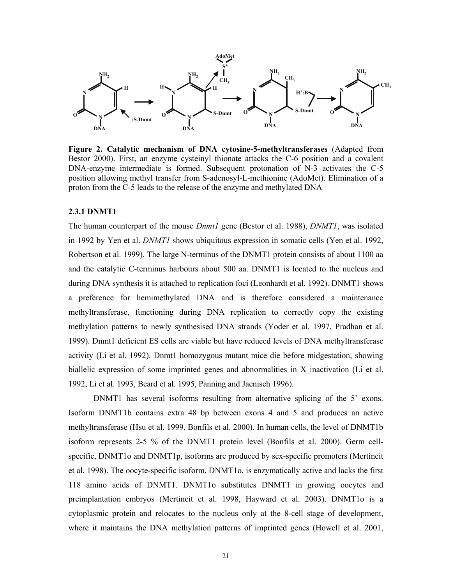<span id="page-20-0"></span>

**Figure 2. Catalytic mechanism of DNA cytosine-5-methyltransferases** (Adapted from Bestor 2000). First, an enzyme cysteinyl thionate attacks the C-6 position and a covalent DNA-enzyme intermediate is formed. Subsequent protonation of N-3 activates the C-5 position allowing methyl transfer from S-adenosyl-L-methionine (AdoMet). Elimination of a proton from the C-5 leads to the release of the enzyme and methylated DNA

#### **2.3.1 DNMT1**

The human counterpart of the mouse *Dnmt1* gene (Bestor et al. 1988), *DNMT1*, was isolated in 1992 by Yen et al. *DNMT1* shows ubiquitous expression in somatic cells (Yen et al. 1992, Robertson et al. 1999). The large N-terminus of the DNMT1 protein consists of about 1100 aa and the catalytic C-terminus harbours about 500 aa. DNMT1 is located to the nucleus and during DNA synthesis it is attached to replication foci (Leonhardt et al. 1992). DNMT1 shows a preference for hemimethylated DNA and is therefore considered a maintenance methyltransferase, functioning during DNA replication to correctly copy the existing methylation patterns to newly synthesised DNA strands (Yoder et al. 1997, Pradhan et al. 1999). Dnmt1 deficient ES cells are viable but have reduced levels of DNA methyltransferase activity (Li et al. 1992). Dnmt1 homozygous mutant mice die before midgestation, showing biallelic expression of some imprinted genes and abnormalities in X inactivation (Li et al. 1992, Li et al. 1993, Beard et al. 1995, Panning and Jaenisch 1996).

DNMT1 has several isoforms resulting from alternative splicing of the 5' exons. Isoform DNMT1b contains extra 48 bp between exons 4 and 5 and produces an active methyltransferase (Hsu et al. 1999, Bonfils et al. 2000). In human cells, the level of DNMT1b isoform represents 2-5 % of the DNMT1 protein level (Bonfils et al. 2000). Germ cellspecific, DNMT1o and DNMT1p, isoforms are produced by sex-specific promoters (Mertineit et al. 1998). The oocyte-specific isoform, DNMT1o, is enzymatically active and lacks the first 118 amino acids of DNMT1. DNMT1o substitutes DNMT1 in growing oocytes and preimplantation embryos (Mertineit et al. 1998, Hayward et al. 2003). DNMT1o is a cytoplasmic protein and relocates to the nucleus only at the 8-cell stage of development, where it maintains the DNA methylation patterns of imprinted genes (Howell et al. 2001,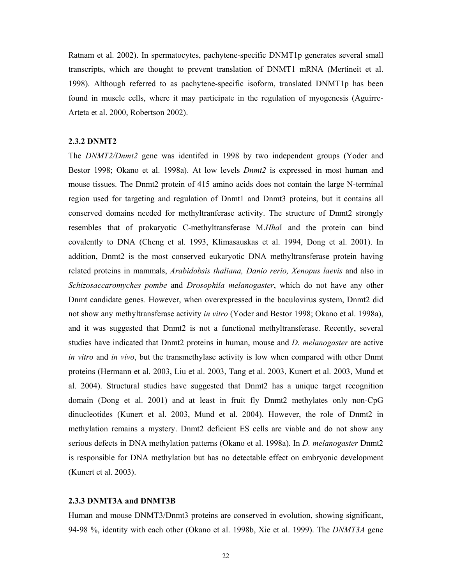<span id="page-21-0"></span>Ratnam et al. 2002). In spermatocytes, pachytene-specific DNMT1p generates several small transcripts, which are thought to prevent translation of DNMT1 mRNA (Mertineit et al. 1998). Although referred to as pachytene-specific isoform, translated DNMT1p has been found in muscle cells, where it may participate in the regulation of myogenesis (Aguirre-Arteta et al. 2000, Robertson 2002).

#### **2.3.2 DNMT2**

The *DNMT2/Dnmt2* gene was identifed in 1998 by two independent groups (Yoder and Bestor 1998; Okano et al. 1998a). At low levels *Dnmt2* is expressed in most human and mouse tissues. The Dnmt2 protein of 415 amino acids does not contain the large N-terminal region used for targeting and regulation of Dnmt1 and Dnmt3 proteins, but it contains all conserved domains needed for methyltranferase activity. The structure of Dnmt2 strongly resembles that of prokaryotic C-methyltransferase M.*Hha*I and the protein can bind covalently to DNA (Cheng et al. 1993, Klimasauskas et al. 1994, Dong et al. 2001). In addition, Dnmt2 is the most conserved eukaryotic DNA methyltransferase protein having related proteins in mammals, *Arabidobsis thaliana, Danio rerio, Xenopus laevis* and also in *Schizosaccaromyches pombe* and *Drosophila melanogaster*, which do not have any other Dnmt candidate genes*.* However, when overexpressed in the baculovirus system, Dnmt2 did not show any methyltransferase activity *in vitro* (Yoder and Bestor 1998; Okano et al. 1998a), and it was suggested that Dnmt2 is not a functional methyltransferase. Recently, several studies have indicated that Dnmt2 proteins in human, mouse and *D. melanogaster* are active *in vitro* and *in vivo*, but the transmethylase activity is low when compared with other Dnmt proteins (Hermann et al. 2003, Liu et al. 2003, Tang et al. 2003, Kunert et al. 2003, Mund et al. 2004). Structural studies have suggested that Dnmt2 has a unique target recognition domain (Dong et al. 2001) and at least in fruit fly Dnmt2 methylates only non-CpG dinucleotides (Kunert et al. 2003, Mund et al. 2004). However, the role of Dnmt2 in methylation remains a mystery. Dnmt2 deficient ES cells are viable and do not show any serious defects in DNA methylation patterns (Okano et al. 1998a). In *D. melanogaster* Dnmt2 is responsible for DNA methylation but has no detectable effect on embryonic development (Kunert et al. 2003).

#### **2.3.3 DNMT3A and DNMT3B**

Human and mouse DNMT3/Dnmt3 proteins are conserved in evolution, showing significant, 94-98 %, identity with each other (Okano et al. 1998b, Xie et al. 1999). The *DNMT3A* gene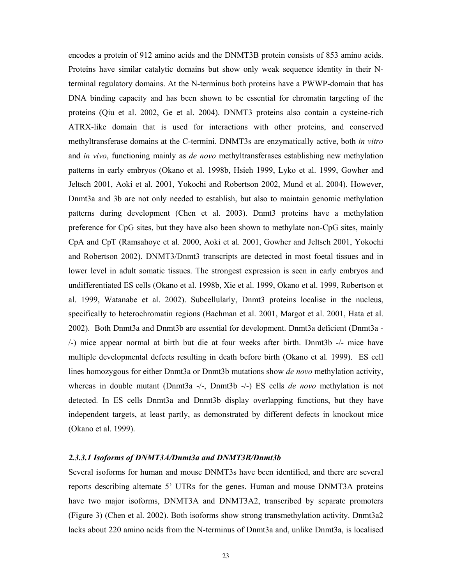<span id="page-22-0"></span>encodes a protein of 912 amino acids and the DNMT3B protein consists of 853 amino acids. Proteins have similar catalytic domains but show only weak sequence identity in their Nterminal regulatory domains. At the N-terminus both proteins have a PWWP-domain that has DNA binding capacity and has been shown to be essential for chromatin targeting of the proteins (Qiu et al. 2002, Ge et al. 2004). DNMT3 proteins also contain a cysteine-rich ATRX-like domain that is used for interactions with other proteins, and conserved methyltransferase domains at the C-termini. DNMT3s are enzymatically active, both *in vitro* and *in vivo*, functioning mainly as *de novo* methyltransferases establishing new methylation patterns in early embryos (Okano et al. 1998b, Hsieh 1999, Lyko et al. 1999, Gowher and Jeltsch 2001, Aoki et al. 2001, Yokochi and Robertson 2002, Mund et al. 2004). However, Dnmt3a and 3b are not only needed to establish, but also to maintain genomic methylation patterns during development (Chen et al. 2003). Dnmt3 proteins have a methylation preference for CpG sites, but they have also been shown to methylate non-CpG sites, mainly CpA and CpT (Ramsahoye et al. 2000, Aoki et al. 2001, Gowher and Jeltsch 2001, Yokochi and Robertson 2002). DNMT3/Dnmt3 transcripts are detected in most foetal tissues and in lower level in adult somatic tissues. The strongest expression is seen in early embryos and undifferentiated ES cells (Okano et al. 1998b, Xie et al. 1999, Okano et al. 1999, Robertson et al. 1999, Watanabe et al. 2002). Subcellularly, Dnmt3 proteins localise in the nucleus, specifically to heterochromatin regions (Bachman et al. 2001, Margot et al. 2001, Hata et al. 2002). Both Dnmt3a and Dnmt3b are essential for development. Dnmt3a deficient (Dnmt3a - /-) mice appear normal at birth but die at four weeks after birth. Dnmt3b -/- mice have multiple developmental defects resulting in death before birth (Okano et al. 1999). ES cell lines homozygous for either Dnmt3a or Dnmt3b mutations show *de novo* methylation activity, whereas in double mutant (Dnmt3a -/-, Dnmt3b -/-) ES cells *de novo* methylation is not detected. In ES cells Dnmt3a and Dnmt3b display overlapping functions, but they have independent targets, at least partly, as demonstrated by different defects in knockout mice (Okano et al. 1999).

#### *2.3.3.1 Isoforms of DNMT3A/Dnmt3a and DNMT3B/Dnmt3b*

Several isoforms for human and mouse DNMT3s have been identified, and there are several reports describing alternate 5' UTRs for the genes. Human and mouse DNMT3A proteins have two major isoforms, DNMT3A and DNMT3A2, transcribed by separate promoters (Figure 3) (Chen et al. 2002). Both isoforms show strong transmethylation activity. Dnmt3a2 lacks about 220 amino acids from the N-terminus of Dnmt3a and, unlike Dnmt3a, is localised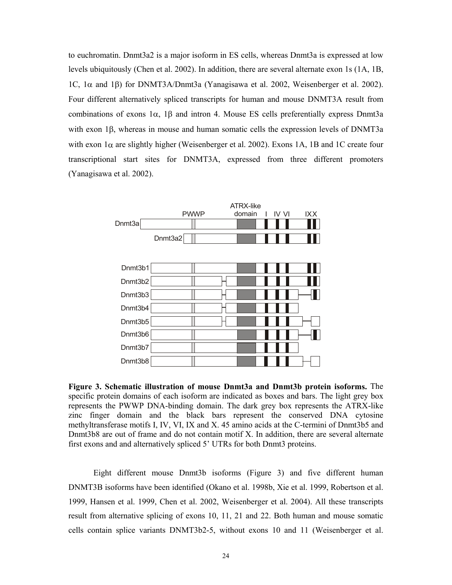to euchromatin. Dnmt3a2 is a major isoform in ES cells, whereas Dnmt3a is expressed at low levels ubiquitously (Chen et al. 2002). In addition, there are several alternate exon 1s (1A, 1B, 1C, 1α and 1β) for DNMT3A/Dnmt3a (Yanagisawa et al. 2002, Weisenberger et al. 2002). Four different alternatively spliced transcripts for human and mouse DNMT3A result from combinations of exons  $1\alpha$ , 1 $\beta$  and intron 4. Mouse ES cells preferentially express Dnmt3a with exon 1β, whereas in mouse and human somatic cells the expression levels of DNMT3a with exon 1 $\alpha$  are slightly higher (Weisenberger et al. 2002). Exons 1A, 1B and 1C create four transcriptional start sites for DNMT3A, expressed from three different promoters (Yanagisawa et al. 2002).



**Figure 3. Schematic illustration of mouse Dnmt3a and Dnmt3b protein isoforms.** The specific protein domains of each isoform are indicated as boxes and bars. The light grey box represents the PWWP DNA-binding domain. The dark grey box represents the ATRX-like zinc finger domain and the black bars represent the conserved DNA cytosine methyltransferase motifs I, IV, VI, IX and X. 45 amino acids at the C-termini of Dnmt3b5 and Dnmt3b8 are out of frame and do not contain motif X. In addition, there are several alternate first exons and and alternatively spliced 5' UTRs for both Dnmt3 proteins.

Eight different mouse Dnmt3b isoforms (Figure 3) and five different human DNMT3B isoforms have been identified (Okano et al. 1998b, Xie et al. 1999, Robertson et al. 1999, Hansen et al. 1999, Chen et al. 2002, Weisenberger et al. 2004). All these transcripts result from alternative splicing of exons 10, 11, 21 and 22. Both human and mouse somatic cells contain splice variants DNMT3b2-5, without exons 10 and 11 (Weisenberger et al.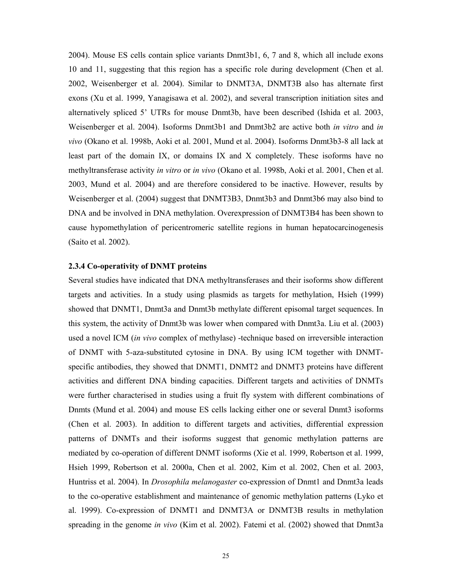<span id="page-24-0"></span>2004). Mouse ES cells contain splice variants Dnmt3b1, 6, 7 and 8, which all include exons 10 and 11, suggesting that this region has a specific role during development (Chen et al. 2002, Weisenberger et al. 2004). Similar to DNMT3A, DNMT3B also has alternate first exons (Xu et al. 1999, Yanagisawa et al. 2002), and several transcription initiation sites and alternatively spliced 5' UTRs for mouse Dnmt3b, have been described (Ishida et al. 2003, Weisenberger et al. 2004). Isoforms Dnmt3b1 and Dnmt3b2 are active both *in vitro* and *in vivo* (Okano et al. 1998b, Aoki et al. 2001, Mund et al. 2004). Isoforms Dnmt3b3-8 all lack at least part of the domain IX, or domains IX and X completely. These isoforms have no methyltransferase activity *in vitro* or *in vivo* (Okano et al. 1998b, Aoki et al. 2001, Chen et al. 2003, Mund et al. 2004) and are therefore considered to be inactive. However, results by Weisenberger et al. (2004) suggest that DNMT3B3, Dnmt3b3 and Dnmt3b6 may also bind to DNA and be involved in DNA methylation. Overexpression of DNMT3B4 has been shown to cause hypomethylation of pericentromeric satellite regions in human hepatocarcinogenesis (Saito et al. 2002).

#### **2.3.4 Co-operativity of DNMT proteins**

Several studies have indicated that DNA methyltransferases and their isoforms show different targets and activities. In a study using plasmids as targets for methylation, Hsieh (1999) showed that DNMT1, Dnmt3a and Dnmt3b methylate different episomal target sequences. In this system, the activity of Dnmt3b was lower when compared with Dnmt3a. Liu et al. (2003) used a novel ICM (*in vivo* complex of methylase) -technique based on irreversible interaction of DNMT with 5-aza-substituted cytosine in DNA. By using ICM together with DNMTspecific antibodies, they showed that DNMT1, DNMT2 and DNMT3 proteins have different activities and different DNA binding capacities. Different targets and activities of DNMTs were further characterised in studies using a fruit fly system with different combinations of Dnmts (Mund et al. 2004) and mouse ES cells lacking either one or several Dnmt3 isoforms (Chen et al. 2003). In addition to different targets and activities, differential expression patterns of DNMTs and their isoforms suggest that genomic methylation patterns are mediated by co-operation of different DNMT isoforms (Xie et al. 1999, Robertson et al. 1999, Hsieh 1999, Robertson et al. 2000a, Chen et al. 2002, Kim et al. 2002, Chen et al. 2003, Huntriss et al. 2004). In *Drosophila melanogaster* co-expression of Dnmt1 and Dnmt3a leads to the co-operative establishment and maintenance of genomic methylation patterns (Lyko et al. 1999). Co-expression of DNMT1 and DNMT3A or DNMT3B results in methylation spreading in the genome *in vivo* (Kim et al. 2002). Fatemi et al. (2002) showed that Dnmt3a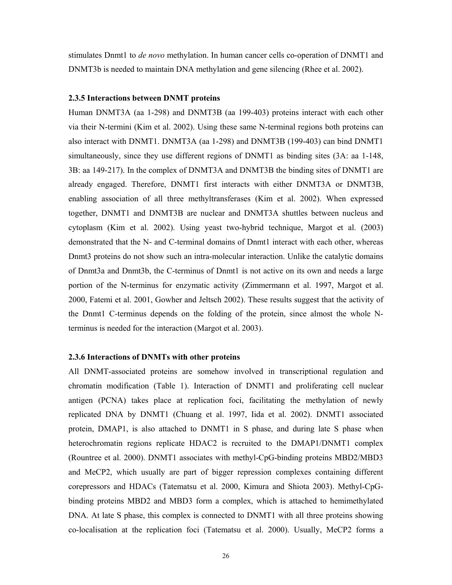<span id="page-25-0"></span>stimulates Dnmt1 to *de novo* methylation. In human cancer cells co-operation of DNMT1 and DNMT3b is needed to maintain DNA methylation and gene silencing (Rhee et al. 2002).

# **2.3.5 Interactions between DNMT proteins**

Human DNMT3A (aa 1-298) and DNMT3B (aa 199-403) proteins interact with each other via their N-termini (Kim et al. 2002). Using these same N-terminal regions both proteins can also interact with DNMT1. DNMT3A (aa 1-298) and DNMT3B (199-403) can bind DNMT1 simultaneously, since they use different regions of DNMT1 as binding sites (3A: aa 1-148, 3B: aa 149-217). In the complex of DNMT3A and DNMT3B the binding sites of DNMT1 are already engaged. Therefore, DNMT1 first interacts with either DNMT3A or DNMT3B, enabling association of all three methyltransferases (Kim et al. 2002). When expressed together, DNMT1 and DNMT3B are nuclear and DNMT3A shuttles between nucleus and cytoplasm (Kim et al. 2002). Using yeast two-hybrid technique, Margot et al. (2003) demonstrated that the N- and C-terminal domains of Dnmt1 interact with each other, whereas Dnmt3 proteins do not show such an intra-molecular interaction. Unlike the catalytic domains of Dnmt3a and Dnmt3b, the C-terminus of Dnmt1 is not active on its own and needs a large portion of the N-terminus for enzymatic activity (Zimmermann et al. 1997, Margot et al. 2000, Fatemi et al. 2001, Gowher and Jeltsch 2002). These results suggest that the activity of the Dnmt1 C-terminus depends on the folding of the protein, since almost the whole Nterminus is needed for the interaction (Margot et al. 2003).

# **2.3.6 Interactions of DNMTs with other proteins**

All DNMT-associated proteins are somehow involved in transcriptional regulation and chromatin modification (Table 1). Interaction of DNMT1 and proliferating cell nuclear antigen (PCNA) takes place at replication foci, facilitating the methylation of newly replicated DNA by DNMT1 (Chuang et al. 1997, Iida et al. 2002). DNMT1 associated protein, DMAP1, is also attached to DNMT1 in S phase, and during late S phase when heterochromatin regions replicate HDAC2 is recruited to the DMAP1/DNMT1 complex (Rountree et al. 2000). DNMT1 associates with methyl-CpG-binding proteins MBD2/MBD3 and MeCP2, which usually are part of bigger repression complexes containing different corepressors and HDACs (Tatematsu et al. 2000, Kimura and Shiota 2003). Methyl-CpGbinding proteins MBD2 and MBD3 form a complex, which is attached to hemimethylated DNA. At late S phase, this complex is connected to DNMT1 with all three proteins showing co-localisation at the replication foci (Tatematsu et al. 2000). Usually, MeCP2 forms a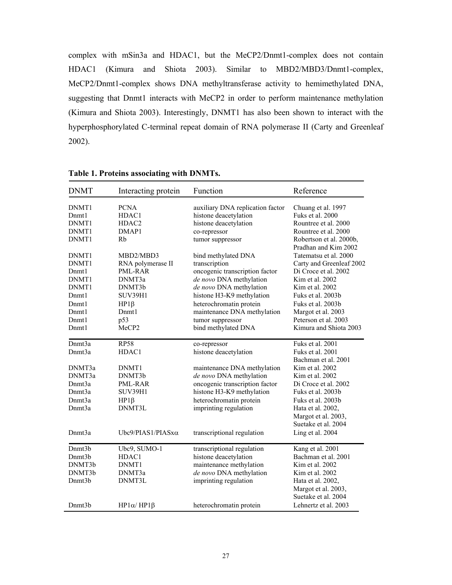complex with mSin3a and HDAC1, but the MeCP2/Dnmt1-complex does not contain HDAC1 (Kimura and Shiota 2003). Similar to MBD2/MBD3/Dnmt1-complex, MeCP2/Dnmt1-complex shows DNA methyltransferase activity to hemimethylated DNA, suggesting that Dnmt1 interacts with MeCP2 in order to perform maintenance methylation (Kimura and Shiota 2003). Interestingly, DNMT1 has also been shown to interact with the hyperphosphorylated C-terminal repeat domain of RNA polymerase II (Carty and Greenleaf 2002).

| <b>DNMT</b>         | Interacting protein  | Function                         | Reference                |
|---------------------|----------------------|----------------------------------|--------------------------|
| DNMT1               | <b>PCNA</b>          | auxiliary DNA replication factor | Chuang et al. 1997       |
| D <sub>nmt1</sub>   | HDAC1                | histone deacetylation            | Fuks et al. 2000         |
| DNMT1               | HDAC <sub>2</sub>    | histone deacetylation            | Rountree et al. 2000     |
| DNMT1               | DMAP1                | co-repressor                     | Rountree et al. 2000     |
| DNMT1               | Rb                   | tumor suppressor                 | Robertson et al. 2000b.  |
|                     |                      |                                  | Pradhan and Kim 2002     |
| DNMT1               | MBD2/MBD3            | bind methylated DNA              | Tatematsu et al. 2000    |
| DNMT1               | RNA polymerase II    | transcription                    | Carty and Greenleaf 2002 |
| Dnmt1               | <b>PML-RAR</b>       | oncogenic transcription factor   | Di Croce et al. 2002     |
| DNMT1               | DNMT3a               | de novo DNA methylation          | Kim et al. 2002          |
| DNMT1               | DNMT3b               | de novo DNA methylation          | Kim et al. 2002          |
| D <sub>nmt1</sub>   | <b>SUV39H1</b>       | histone H3-K9 methylation        | Fuks et al. 2003b        |
| D <sub>nmt1</sub>   | $HP1\beta$           | heterochromatin protein          | Fuks et al. 2003b        |
| D <sub>nmt1</sub>   | Dnmt1                | maintenance DNA methylation      | Margot et al. 2003       |
| D <sub>nmt1</sub>   | p53                  | tumor suppressor                 | Peterson et al. 2003     |
| D <sub>nmt1</sub>   | MeCP <sub>2</sub>    | bind methylated DNA              | Kimura and Shiota 2003   |
| Dnmt3a              | <b>RP58</b>          | co-repressor                     | Fuks et al. 2001         |
| Dnmt3a              | HDAC1                | histone deacetylation            | Fuks et al. 2001         |
|                     |                      |                                  | Bachman et al. 2001      |
| DNMT3a              | DNMT1                | maintenance DNA methylation      | Kim et al. 2002          |
| DNMT3a              | DNMT3b               | de novo DNA methylation          | Kim et al. 2002          |
| D <sub>nmt</sub> 3a | PML-RAR              | oncogenic transcription factor   | Di Croce et al. 2002     |
| D <sub>nmt</sub> 3a | <b>SUV39H1</b>       | histone H3-K9 methylation        | Fuks et al. 2003b        |
| Dnmt3a              | $HP1\beta$           | heterochromatin protein          | Fuks et al. 2003b        |
| Dnmt3a              | DNMT3L               | imprinting regulation            | Hata et al. 2002,        |
|                     |                      |                                  | Margot et al. 2003,      |
|                     |                      |                                  | Suetake et al. 2004      |
| Dnmt3a              | Ubc9/PIAS1/PIASxα    | transcriptional regulation       | Ling et al. 2004         |
| Dnmt3b              | Ubc9, SUMO-1         | transcriptional regulation       | Kang et al. 2001         |
| Dnmt3b              | HDAC1                | histone deacetylation            | Bachman et al. 2001      |
| DNMT3b              | DNMT1                | maintenance methylation          | Kim et al. 2002          |
| DNMT3b              | DNMT3a               | de novo DNA methylation          | Kim et al. 2002          |
| Dnmt3b              | DNMT3L               | imprinting regulation            | Hata et al. 2002,        |
|                     |                      |                                  | Margot et al. 2003,      |
|                     |                      |                                  | Suetake et al. 2004      |
| Dnmt3b              | $HP1\alpha/HP1\beta$ | heterochromatin protein          | Lehnertz et al. 2003     |

**Table 1. Proteins associating with DNMTs.**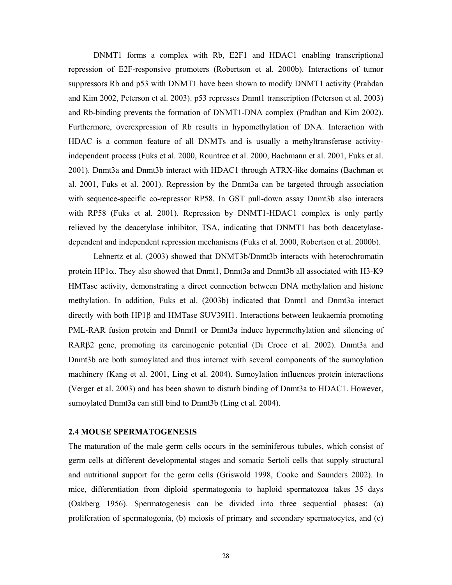<span id="page-27-0"></span>DNMT1 forms a complex with Rb, E2F1 and HDAC1 enabling transcriptional repression of E2F-responsive promoters (Robertson et al. 2000b). Interactions of tumor suppressors Rb and p53 with DNMT1 have been shown to modify DNMT1 activity (Prahdan and Kim 2002, Peterson et al. 2003). p53 represses Dnmt1 transcription (Peterson et al. 2003) and Rb-binding prevents the formation of DNMT1-DNA complex (Pradhan and Kim 2002). Furthermore, overexpression of Rb results in hypomethylation of DNA. Interaction with HDAC is a common feature of all DNMTs and is usually a methyltransferase activityindependent process (Fuks et al. 2000, Rountree et al. 2000, Bachmann et al. 2001, Fuks et al. 2001). Dnmt3a and Dnmt3b interact with HDAC1 through ATRX-like domains (Bachman et al. 2001, Fuks et al. 2001). Repression by the Dnmt3a can be targeted through association with sequence-specific co-repressor RP58. In GST pull-down assay Dnmt3b also interacts with RP58 (Fuks et al. 2001). Repression by DNMT1-HDAC1 complex is only partly relieved by the deacetylase inhibitor, TSA, indicating that DNMT1 has both deacetylasedependent and independent repression mechanisms (Fuks et al. 2000, Robertson et al. 2000b).

Lehnertz et al. (2003) showed that DNMT3b/Dnmt3b interacts with heterochromatin protein HP1 $\alpha$ . They also showed that Dnmt1, Dnmt3a and Dnmt3b all associated with H3-K9 HMTase activity, demonstrating a direct connection between DNA methylation and histone methylation. In addition, Fuks et al. (2003b) indicated that Dnmt1 and Dnmt3a interact directly with both HP1β and HMTase SUV39H1. Interactions between leukaemia promoting PML-RAR fusion protein and Dnmt1 or Dnmt3a induce hypermethylation and silencing of RARβ2 gene, promoting its carcinogenic potential (Di Croce et al. 2002). Dnmt3a and Dnmt3b are both sumoylated and thus interact with several components of the sumoylation machinery (Kang et al. 2001, Ling et al. 2004). Sumoylation influences protein interactions (Verger et al. 2003) and has been shown to disturb binding of Dnmt3a to HDAC1. However, sumoylated Dnmt3a can still bind to Dnmt3b (Ling et al. 2004).

#### **2.4 MOUSE SPERMATOGENESIS**

The maturation of the male germ cells occurs in the seminiferous tubules, which consist of germ cells at different developmental stages and somatic Sertoli cells that supply structural and nutritional support for the germ cells (Griswold 1998, Cooke and Saunders 2002). In mice, differentiation from diploid spermatogonia to haploid spermatozoa takes 35 days (Oakberg 1956). Spermatogenesis can be divided into three sequential phases: (a) proliferation of spermatogonia, (b) meiosis of primary and secondary spermatocytes, and (c)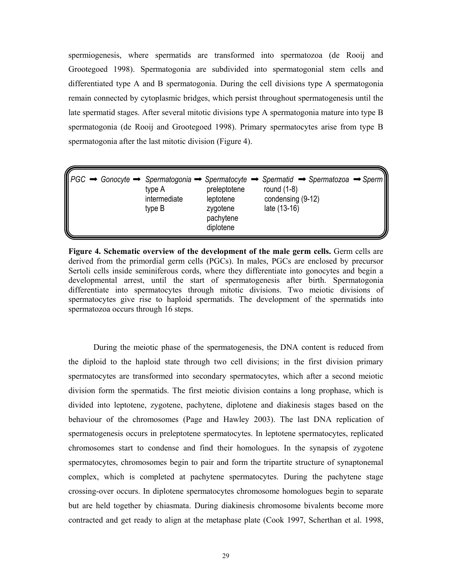spermiogenesis, where spermatids are transformed into spermatozoa (de Rooij and Grootegoed 1998). Spermatogonia are subdivided into spermatogonial stem cells and differentiated type A and B spermatogonia. During the cell divisions type A spermatogonia remain connected by cytoplasmic bridges, which persist throughout spermatogenesis until the late spermatid stages. After several mitotic divisions type A spermatogonia mature into type B spermatogonia (de Rooij and Grootegoed 1998). Primary spermatocytes arise from type B spermatogonia after the last mitotic division (Figure 4).

| $\parallel$ PGC $\rightarrow$ Gonocyte $\rightarrow$ Spermatogonia $\rightarrow$ Spermatocyte $\rightarrow$ Spermatid $\rightarrow$ Spermatozoa $\rightarrow$ Sperm<br>tvpe A<br>type B | preleptotene<br>intermediate<br>leptotene<br>zygotene<br>pachytene<br>diplotene | round $(1-8)$<br>condensing (9-12)<br>late (13-16) |  |  |
|-----------------------------------------------------------------------------------------------------------------------------------------------------------------------------------------|---------------------------------------------------------------------------------|----------------------------------------------------|--|--|
|-----------------------------------------------------------------------------------------------------------------------------------------------------------------------------------------|---------------------------------------------------------------------------------|----------------------------------------------------|--|--|

**Figure 4. Schematic overview of the development of the male germ cells.** Germ cells are derived from the primordial germ cells (PGCs). In males, PGCs are enclosed by precursor Sertoli cells inside seminiferous cords, where they differentiate into gonocytes and begin a developmental arrest, until the start of spermatogenesis after birth. Spermatogonia differentiate into spermatocytes through mitotic divisions. Two meiotic divisions of spermatocytes give rise to haploid spermatids. The development of the spermatids into spermatozoa occurs through 16 steps.

During the meiotic phase of the spermatogenesis, the DNA content is reduced from the diploid to the haploid state through two cell divisions; in the first division primary spermatocytes are transformed into secondary spermatocytes, which after a second meiotic division form the spermatids. The first meiotic division contains a long prophase, which is divided into leptotene, zygotene, pachytene, diplotene and diakinesis stages based on the behaviour of the chromosomes (Page and Hawley 2003). The last DNA replication of spermatogenesis occurs in preleptotene spermatocytes. In leptotene spermatocytes, replicated chromosomes start to condense and find their homologues. In the synapsis of zygotene spermatocytes, chromosomes begin to pair and form the tripartite structure of synaptonemal complex, which is completed at pachytene spermatocytes. During the pachytene stage crossing-over occurs. In diplotene spermatocytes chromosome homologues begin to separate but are held together by chiasmata. During diakinesis chromosome bivalents become more contracted and get ready to align at the metaphase plate (Cook 1997, Scherthan et al. 1998,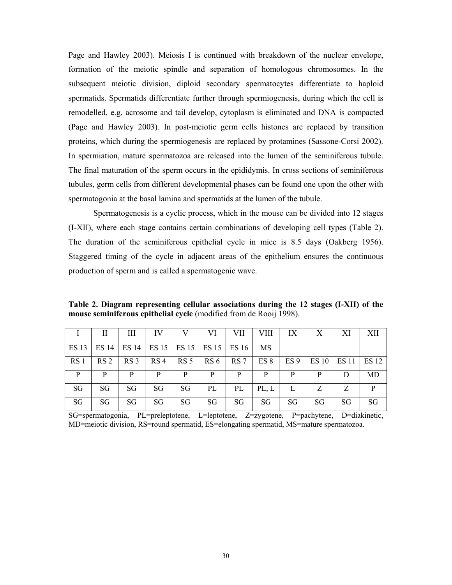Page and Hawley 2003). Meiosis I is continued with breakdown of the nuclear envelope, formation of the meiotic spindle and separation of homologous chromosomes. In the subsequent meiotic division, diploid secondary spermatocytes differentiate to haploid spermatids. Spermatids differentiate further through spermiogenesis, during which the cell is remodelled, e.g. acrosome and tail develop, cytoplasm is eliminated and DNA is compacted (Page and Hawley 2003). In post-meiotic germ cells histones are replaced by transition proteins, which during the spermiogenesis are replaced by protamines (Sassone-Corsi 2002). In spermiation, mature spermatozoa are released into the lumen of the seminiferous tubule. The final maturation of the sperm occurs in the epididymis. In cross sections of seminiferous tubules, germ cells from different developmental phases can be found one upon the other with spermatogonia at the basal lamina and spermatids at the lumen of the tubule.

Spermatogenesis is a cyclic process, which in the mouse can be divided into 12 stages (I-XII), where each stage contains certain combinations of developing cell types (Table 2). The duration of the seminiferous epithelial cycle in mice is 8.5 days (Oakberg 1956). Staggered timing of the cycle in adjacent areas of the epithelium ensures the continuous production of sperm and is called a spermatogenic wave.

**Table 2. Diagram representing cellular associations during the 12 stages (I-XII) of the mouse seminiferous epithelial cycle** (modified from de Rooij 1998).

|                 |                 | Ш               | IV    |                 | VI              | VII             | VIII  | IX              | Х            | XI           | XII   |
|-----------------|-----------------|-----------------|-------|-----------------|-----------------|-----------------|-------|-----------------|--------------|--------------|-------|
| <b>ES 13</b>    | ES 14           | <b>ES 14</b>    | ES 15 | ES 15           | ES 15           | <b>ES 16</b>    | MS    |                 |              |              |       |
| RS <sub>1</sub> | RS <sub>2</sub> | RS <sub>3</sub> | RS 4  | RS <sub>5</sub> | RS <sub>6</sub> | RS <sub>7</sub> | ES 8  | ES <sub>9</sub> | <b>ES 10</b> | <b>ES</b> 11 | ES 12 |
| P               | P               | P               | P     | P               | P               | P               |       |                 |              |              | MD    |
| SG              | SG              | SG              | SG    | SG              | PL              | PL              | PL, L |                 | Z            | Z            |       |
| SG              | SG              | SG              | SG    | SG              | SG              | SG              | SG    | SG              | SG           | SG           | SG    |

SG=spermatogonia, PL=preleptotene, L=leptotene, Z=zygotene, P=pachytene, D=diakinetic, MD=meiotic division, RS=round spermatid, ES=elongating spermatid, MS=mature spermatozoa.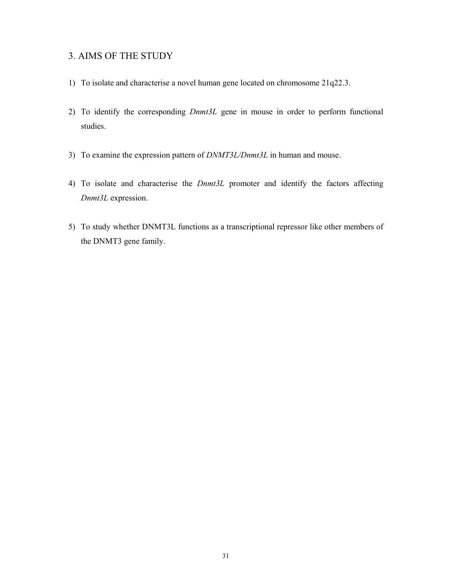# <span id="page-30-0"></span>3. AIMS OF THE STUDY

- 1) To isolate and characterise a novel human gene located on chromosome 21q22.3.
- 2) To identify the corresponding *Dnmt3L* gene in mouse in order to perform functional studies.
- 3) To examine the expression pattern of *DNMT3L/Dnmt3L* in human and mouse.
- 4) To isolate and characterise the *Dnmt3L* promoter and identify the factors affecting *Dnmt3L* expression.
- 5) To study whether DNMT3L functions as a transcriptional repressor like other members of the DNMT3 gene family.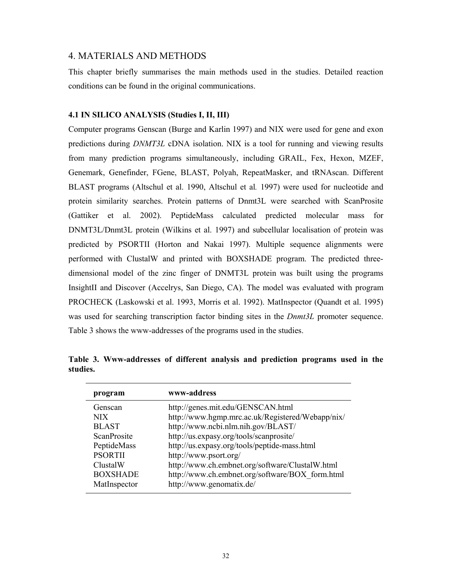# <span id="page-31-0"></span>4. MATERIALS AND METHODS

This chapter briefly summarises the main methods used in the studies. Detailed reaction conditions can be found in the original communications.

# **4.1 IN SILICO ANALYSIS (Studies I, II, III)**

Computer programs Genscan (Burge and Karlin 1997) and NIX were used for gene and exon predictions during *DNMT3L* cDNA isolation. NIX is a tool for running and viewing results from many prediction programs simultaneously, including GRAIL, Fex, Hexon, MZEF, Genemark, Genefinder, FGene, BLAST, Polyah, RepeatMasker, and tRNAscan. Different BLAST programs (Altschul et al. 1990, Altschul et al*.* 1997) were used for nucleotide and protein similarity searches. Protein patterns of Dnmt3L were searched with ScanProsite (Gattiker et al. 2002). PeptideMass calculated predicted molecular mass for DNMT3L/Dnmt3L protein (Wilkins et al. 1997) and subcellular localisation of protein was predicted by PSORTII (Horton and Nakai 1997). Multiple sequence alignments were performed with ClustalW and printed with BOXSHADE program. The predicted threedimensional model of the zinc finger of DNMT3L protein was built using the programs InsightII and Discover (Accelrys, San Diego, CA). The model was evaluated with program PROCHECK (Laskowski et al. 1993, Morris et al. 1992). MatInspector (Quandt et al. 1995) was used for searching transcription factor binding sites in the *Dnmt3L* promoter sequence. Table 3 shows the www-addresses of the programs used in the studies.

| program         | www-address                                      |
|-----------------|--------------------------------------------------|
| Genscan         | http://genes.mit.edu/GENSCAN.html                |
| <b>NIX</b>      | http://www.hgmp.mrc.ac.uk/Registered/Webapp/nix/ |
| <b>BLAST</b>    | http://www.ncbi.nlm.nih.gov/BLAST/               |
| ScanProsite     | http://us.expasy.org/tools/scanprosite/          |
| PeptideMass     | http://us.expasy.org/tools/peptide-mass.html     |
| <b>PSORTII</b>  | http://www.psort.org/                            |
| ClustalW        | http://www.ch.embnet.org/software/ClustalW.html  |
| <b>BOXSHADE</b> | http://www.ch.embnet.org/software/BOX form.html  |
| MatInspector    | http://www.genomatix.de/                         |

**Table 3. Www-addresses of different analysis and prediction programs used in the studies.**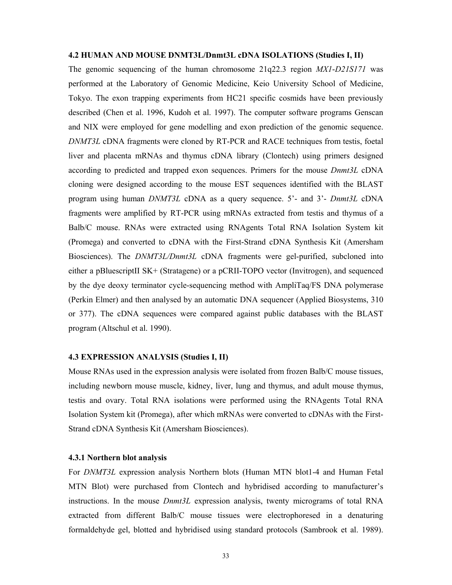#### <span id="page-32-0"></span>**4.2 HUMAN AND MOUSE DNMT3L/Dnmt3L cDNA ISOLATIONS (Studies I, II)**

The genomic sequencing of the human chromosome 21q22.3 region *MX1*-*D21S171* was performed at the Laboratory of Genomic Medicine, Keio University School of Medicine, Tokyo. The exon trapping experiments from HC21 specific cosmids have been previously described (Chen et al. 1996, Kudoh et al. 1997). The computer software programs Genscan and NIX were employed for gene modelling and exon prediction of the genomic sequence. *DNMT3L* cDNA fragments were cloned by RT-PCR and RACE techniques from testis, foetal liver and placenta mRNAs and thymus cDNA library (Clontech) using primers designed according to predicted and trapped exon sequences. Primers for the mouse *Dnmt3L* cDNA cloning were designed according to the mouse EST sequences identified with the BLAST program using human *DNMT3L* cDNA as a query sequence. 5'- and 3'- *Dnmt3L* cDNA fragments were amplified by RT-PCR using mRNAs extracted from testis and thymus of a Balb/C mouse. RNAs were extracted using RNAgents Total RNA Isolation System kit (Promega) and converted to cDNA with the First-Strand cDNA Synthesis Kit (Amersham Biosciences). The *DNMT3L/Dnmt3L* cDNA fragments were gel-purified, subcloned into either a pBluescriptII SK+ (Stratagene) or a pCRII-TOPO vector (Invitrogen), and sequenced by the dye deoxy terminator cycle-sequencing method with AmpliTaq/FS DNA polymerase (Perkin Elmer) and then analysed by an automatic DNA sequencer (Applied Biosystems, 310 or 377). The cDNA sequences were compared against public databases with the BLAST program (Altschul et al. 1990).

# **4.3 EXPRESSION ANALYSIS (Studies I, II)**

Mouse RNAs used in the expression analysis were isolated from frozen Balb/C mouse tissues, including newborn mouse muscle, kidney, liver, lung and thymus, and adult mouse thymus, testis and ovary. Total RNA isolations were performed using the RNAgents Total RNA Isolation System kit (Promega), after which mRNAs were converted to cDNAs with the First-Strand cDNA Synthesis Kit (Amersham Biosciences).

#### **4.3.1 Northern blot analysis**

For *DNMT3L* expression analysis Northern blots (Human MTN blot1-4 and Human Fetal MTN Blot) were purchased from Clontech and hybridised according to manufacturer's instructions. In the mouse *Dnmt3L* expression analysis, twenty micrograms of total RNA extracted from different Balb/C mouse tissues were electrophoresed in a denaturing formaldehyde gel, blotted and hybridised using standard protocols (Sambrook et al. 1989).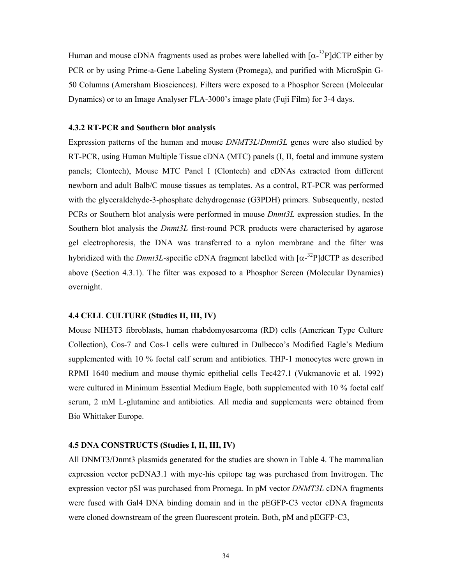<span id="page-33-0"></span>Human and mouse cDNA fragments used as probes were labelled with  $\lceil \alpha^{-32} P \rceil dCTP$  either by PCR or by using Prime-a-Gene Labeling System (Promega), and purified with MicroSpin G-50 Columns (Amersham Biosciences). Filters were exposed to a Phosphor Screen (Molecular Dynamics) or to an Image Analyser FLA-3000's image plate (Fuji Film) for 3-4 days.

#### **4.3.2 RT-PCR and Southern blot analysis**

Expression patterns of the human and mouse *DNMT3L*/*Dnmt3L* genes were also studied by RT-PCR, using Human Multiple Tissue cDNA (MTC) panels (I, II, foetal and immune system panels; Clontech), Mouse MTC Panel I (Clontech) and cDNAs extracted from different newborn and adult Balb/C mouse tissues as templates. As a control, RT-PCR was performed with the glyceraldehyde-3-phosphate dehydrogenase (G3PDH) primers. Subsequently, nested PCRs or Southern blot analysis were performed in mouse *Dnmt3L* expression studies. In the Southern blot analysis the *Dnmt3L* first-round PCR products were characterised by agarose gel electrophoresis, the DNA was transferred to a nylon membrane and the filter was hybridized with the *Dnmt3L*-specific cDNA fragment labelled with  $\lceil \alpha^{-32}P \rceil dCTP$  as described above (Section 4.3.1). The filter was exposed to a Phosphor Screen (Molecular Dynamics) overnight.

#### **4.4 CELL CULTURE (Studies II, III, IV)**

Mouse NIH3T3 fibroblasts, human rhabdomyosarcoma (RD) cells (American Type Culture Collection), Cos-7 and Cos-1 cells were cultured in Dulbecco's Modified Eagle's Medium supplemented with 10 % foetal calf serum and antibiotics. THP-1 monocytes were grown in RPMI 1640 medium and mouse thymic epithelial cells Tec427.1 (Vukmanovic et al. 1992) were cultured in Minimum Essential Medium Eagle, both supplemented with 10 % foetal calf serum, 2 mM L-glutamine and antibiotics. All media and supplements were obtained from Bio Whittaker Europe.

#### **4.5 DNA CONSTRUCTS (Studies I, II, III, IV)**

All DNMT3/Dnmt3 plasmids generated for the studies are shown in Table 4. The mammalian expression vector pcDNA3.1 with myc-his epitope tag was purchased from Invitrogen. The expression vector pSI was purchased from Promega. In pM vector *DNMT3L* cDNA fragments were fused with Gal4 DNA binding domain and in the pEGFP-C3 vector cDNA fragments were cloned downstream of the green fluorescent protein. Both, pM and pEGFP-C3,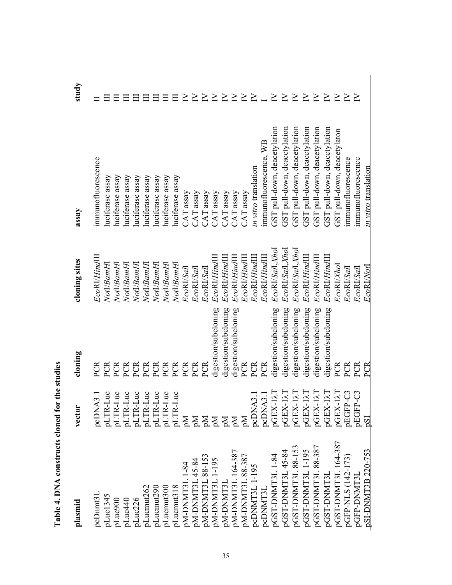| plasmid             | vector               | cloning              | cloning sites    | assay                        | study  |
|---------------------|----------------------|----------------------|------------------|------------------------------|--------|
| pcDnmt3L            | pcDNA3.1             | PCR                  | EcoRL/HindII     | immunofluorescence           |        |
| pLuc1345            | pLTR-Luc             | PCR                  | Notl/BamH        | luciferase assay             | 日      |
| pLuc900             | pLTR-Luc             | PCR                  | Notl/BamH        | luciferase assay             | 吕      |
| $_{\rm plac}$ 440   | pLTR-Luc             | PCR                  | Notl/BamH        | luciferase assay             | Ξ      |
| pLuc226             | pLTR-Luc             | PCR                  | Notl/BamH        | luciferase assay             | 吕      |
| pLucmut262          | pLTR-Luc             | PCR                  | Notl/BamH        | luciferase assay             | 吕      |
| pLucmut290          | pLTR-Luc<br>pLTR-Luc | PCR                  | Notl/BamH        | luciferase assay             | 吕      |
| pLucmut300          |                      | PCR                  | Notl/BamH        | luciferase assay             | Ξ      |
| pLucmut318          | pLTR-Luc             | PCR                  | Notl/BamH        | luciferase assay             | 吕      |
| pM-DNMT3L 1-84      | Mф                   | PCR                  | EcoRI/Sall       | $CAT$ assay                  | ≧      |
| pM-DNMT3L 45-84     | Мq                   | PCR                  | EcoRI/Sall       | $CAT$ assay                  | ≧      |
| pM-DNMT3L 88-153    |                      | PCR                  | EcoRI/Sall       | $CAT$ assay                  | $\geq$ |
| pM-DNMT3L 1-195     | Mg                   | digestion/subcloning | EcoRL/HindII     | $\mathbb{C}AT$ assay         | $\geq$ |
| pM-DNMT3L           | Мq                   | digestion/subcloning | EcoRL/HindII     | $CAT$ assay                  | $\geq$ |
| pM-DNMT3L 164-387   | Mq                   | digestion/subcloning | EcoRI/HindII     | $\mathbb{C}AT$ assay         | $\geq$ |
| pM-DNMT3L 88-387    | Mq                   | PCR                  | EcoRI/HindII     | CAT assay                    | $\geq$ |
| pcDNMT3L 1-195      | pcDNA3.1             | PCR                  | EcoRI/HindII     | in vitro translation         | $\geq$ |
| pcDNMT3L            | pcDNA3.              | PCR                  | EcoRI/HindIII    | immunofluorescence, WB       |        |
| pGST-DNMT3L1-84     | $pGEX-1\lambda T$    | digestion/subcloning | EcoRI/Sall, Xhol | GST pull-down, deacetylation | $\geq$ |
| pGST-DNMT3L 45-84   | $pGEX-1\lambda T$    | digestion/subcloning | EcoRI/Sall, Xhol | GST pull-down, deacetylation | $\geq$ |
| pGST-DNMT3L 88-153  | $pGEX-1\lambda T$    | digestion/subcloning | EcoRI/Sall, Xhol | GST pull-down, deacetylation | $\geq$ |
| pGST-DNMT3L 1-195   | $pGEX-1\lambda T$    | digestion/subcloning | EcoRL/HindIII    | GST pull-down, deacetylation | $\geq$ |
| pGST-DNMT3L 88-387  | $pGEX-1\lambda T$    | digestion/subcloning | EcoRL/HindIII    | GST pull-down, deacetylation | $\geq$ |
| pGST-DNMT3L         | pGEX-12T             | digestion/subcloning | EcoRL/HindIII    | GST pull-down, deacetylation | $\sum$ |
| pGST-DNMT3L 164-387 | pGEX-12T             | PCR                  | EcoRI/Xhol       | GST pull-down, deacetylaton  | $\geq$ |
| pGFP-NLS (142-173   | pEGFP-C3             | PCR                  | EcoRI/Sall       | immunofluorescence           | $\geq$ |
| pGFP-DNMT3I         | pEGFP-C3             | PCR                  | EcoRI/Sall       | immunofluorescence           | Σ      |
| pSI-DNMT3B 220-753  | pSI                  | PCR                  | EcoRI/Notl       | in vitro translation         |        |

Table 4. DNA constructs cloned for the studies **Table 4. DNA constructs cloned for the studies**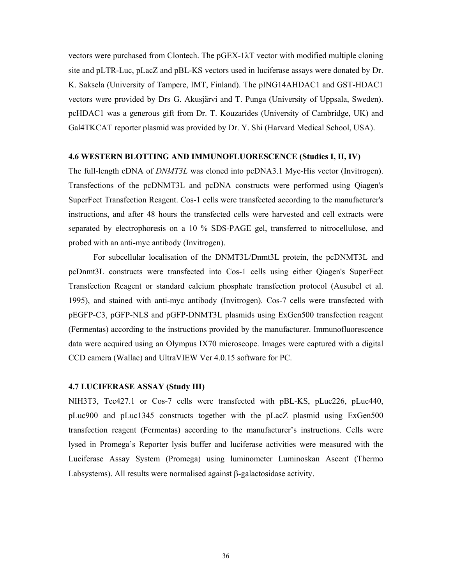<span id="page-35-0"></span>vectors were purchased from Clontech. The pGEX-1λT vector with modified multiple cloning site and pLTR-Luc, pLacZ and pBL-KS vectors used in luciferase assays were donated by Dr. K. Saksela (University of Tampere, IMT, Finland). The pING14AHDAC1 and GST-HDAC1 vectors were provided by Drs G. Akusjärvi and T. Punga (University of Uppsala, Sweden). pcHDAC1 was a generous gift from Dr. T. Kouzarides (University of Cambridge, UK) and Gal4TKCAT reporter plasmid was provided by Dr. Y. Shi (Harvard Medical School, USA).

#### **4.6 WESTERN BLOTTING AND IMMUNOFLUORESCENCE (Studies I, II, IV)**

The full-length cDNA of *DNMT3L* was cloned into pcDNA3.1 Myc-His vector (Invitrogen). Transfections of the pcDNMT3L and pcDNA constructs were performed using Qiagen's SuperFect Transfection Reagent. Cos-1 cells were transfected according to the manufacturer's instructions, and after 48 hours the transfected cells were harvested and cell extracts were separated by electrophoresis on a 10 % SDS-PAGE gel, transferred to nitrocellulose, and probed with an anti-myc antibody (Invitrogen).

For subcellular localisation of the DNMT3L/Dnmt3L protein, the pcDNMT3L and pcDnmt3L constructs were transfected into Cos-1 cells using either Qiagen's SuperFect Transfection Reagent or standard calcium phosphate transfection protocol (Ausubel et al. 1995), and stained with anti-myc antibody (Invitrogen). Cos-7 cells were transfected with pEGFP-C3, pGFP-NLS and pGFP-DNMT3L plasmids using ExGen500 transfection reagent (Fermentas) according to the instructions provided by the manufacturer. Immunofluorescence data were acquired using an Olympus IX70 microscope. Images were captured with a digital CCD camera (Wallac) and UltraVIEW Ver 4.0.15 software for PC.

#### **4.7 LUCIFERASE ASSAY (Study III)**

NIH3T3, Tec427.1 or Cos-7 cells were transfected with pBL-KS, pLuc226, pLuc440, pLuc900 and pLuc1345 constructs together with the pLacZ plasmid using ExGen500 transfection reagent (Fermentas) according to the manufacturer's instructions. Cells were lysed in Promega's Reporter lysis buffer and luciferase activities were measured with the Luciferase Assay System (Promega) using luminometer Luminoskan Ascent (Thermo Labsystems). All results were normalised against β-galactosidase activity.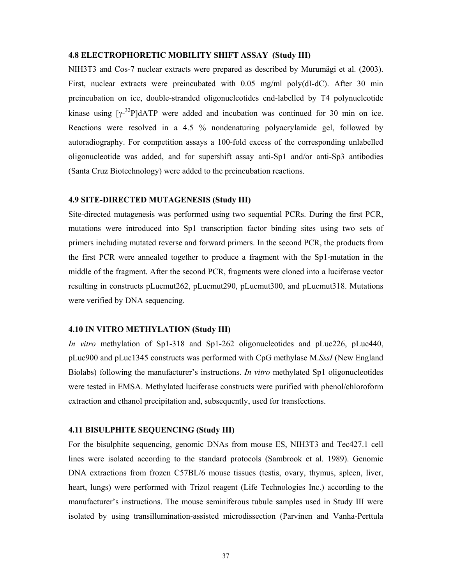#### **4.8 ELECTROPHORETIC MOBILITY SHIFT ASSAY (Study III)**

NIH3T3 and Cos-7 nuclear extracts were prepared as described by Murumägi et al. (2003). First, nuclear extracts were preincubated with 0.05 mg/ml poly(dI-dC). After 30 min preincubation on ice, double-stranded oligonucleotides end-labelled by T4 polynucleotide kinase using  $[\gamma^{-32}P]$ dATP were added and incubation was continued for 30 min on ice. Reactions were resolved in a 4.5 % nondenaturing polyacrylamide gel, followed by autoradiography. For competition assays a 100-fold excess of the corresponding unlabelled oligonucleotide was added, and for supershift assay anti-Sp1 and/or anti-Sp3 antibodies (Santa Cruz Biotechnology) were added to the preincubation reactions.

#### **4.9 SITE-DIRECTED MUTAGENESIS (Study III)**

Site-directed mutagenesis was performed using two sequential PCRs. During the first PCR, mutations were introduced into Sp1 transcription factor binding sites using two sets of primers including mutated reverse and forward primers. In the second PCR, the products from the first PCR were annealed together to produce a fragment with the Sp1-mutation in the middle of the fragment. After the second PCR, fragments were cloned into a luciferase vector resulting in constructs pLucmut262, pLucmut290, pLucmut300, and pLucmut318. Mutations were verified by DNA sequencing.

#### **4.10 IN VITRO METHYLATION (Study III)**

*In vitro* methylation of Sp1-318 and Sp1-262 oligonucleotides and pLuc226, pLuc440, pLuc900 and pLuc1345 constructs was performed with CpG methylase M.*SssI* (New England Biolabs) following the manufacturer's instructions. *In vitro* methylated Sp1 oligonucleotides were tested in EMSA. Methylated luciferase constructs were purified with phenol/chloroform extraction and ethanol precipitation and, subsequently, used for transfections.

#### **4.11 BISULPHITE SEQUENCING (Study III)**

For the bisulphite sequencing, genomic DNAs from mouse ES, NIH3T3 and Tec427.1 cell lines were isolated according to the standard protocols (Sambrook et al. 1989). Genomic DNA extractions from frozen C57BL/6 mouse tissues (testis, ovary, thymus, spleen, liver, heart, lungs) were performed with Trizol reagent (Life Technologies Inc.) according to the manufacturer's instructions. The mouse seminiferous tubule samples used in Study III were isolated by using transillumination-assisted microdissection (Parvinen and Vanha-Perttula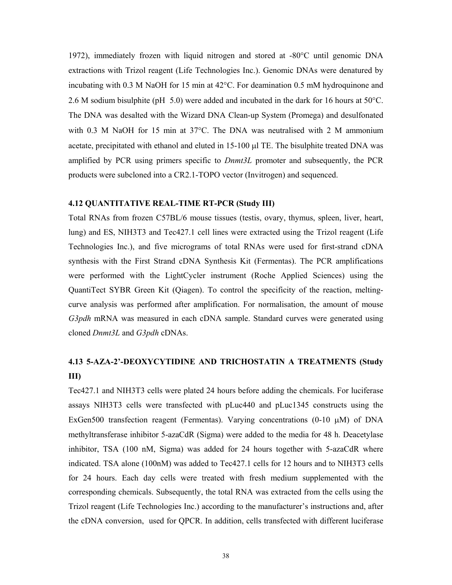1972), immediately frozen with liquid nitrogen and stored at -80°C until genomic DNA extractions with Trizol reagent (Life Technologies Inc.). Genomic DNAs were denatured by incubating with 0.3 M NaOH for 15 min at 42°C. For deamination 0.5 mM hydroquinone and 2.6 M sodium bisulphite (pH 5.0) were added and incubated in the dark for 16 hours at 50°C. The DNA was desalted with the Wizard DNA Clean-up System (Promega) and desulfonated with 0.3 M NaOH for 15 min at 37°C. The DNA was neutralised with 2 M ammonium acetate, precipitated with ethanol and eluted in  $15-100 \mu$  TE. The bisulphite treated DNA was amplified by PCR using primers specific to *Dnmt3L* promoter and subsequently, the PCR products were subcloned into a CR2.1-TOPO vector (Invitrogen) and sequenced.

## **4.12 QUANTITATIVE REAL-TIME RT-PCR (Study III)**

Total RNAs from frozen C57BL/6 mouse tissues (testis, ovary, thymus, spleen, liver, heart, lung) and ES, NIH3T3 and Tec427.1 cell lines were extracted using the Trizol reagent (Life Technologies Inc.), and five micrograms of total RNAs were used for first-strand cDNA synthesis with the First Strand cDNA Synthesis Kit (Fermentas). The PCR amplifications were performed with the LightCycler instrument (Roche Applied Sciences) using the QuantiTect SYBR Green Kit (Qiagen). To control the specificity of the reaction, meltingcurve analysis was performed after amplification. For normalisation, the amount of mouse *G3pdh* mRNA was measured in each cDNA sample. Standard curves were generated using cloned *Dnmt3L* and *G3pdh* cDNAs.

# **4.13 5-AZA-2'-DEOXYCYTIDINE AND TRICHOSTATIN A TREATMENTS (Study III)**

Tec427.1 and NIH3T3 cells were plated 24 hours before adding the chemicals. For luciferase assays NIH3T3 cells were transfected with pLuc440 and pLuc1345 constructs using the ExGen500 transfection reagent (Fermentas). Varying concentrations  $(0-10 \mu M)$  of DNA methyltransferase inhibitor 5-azaCdR (Sigma) were added to the media for 48 h. Deacetylase inhibitor, TSA (100 nM, Sigma) was added for 24 hours together with 5-azaCdR where indicated. TSA alone (100nM) was added to Tec427.1 cells for 12 hours and to NIH3T3 cells for 24 hours. Each day cells were treated with fresh medium supplemented with the corresponding chemicals. Subsequently, the total RNA was extracted from the cells using the Trizol reagent (Life Technologies Inc.) according to the manufacturer's instructions and, after the cDNA conversion, used for QPCR. In addition, cells transfected with different luciferase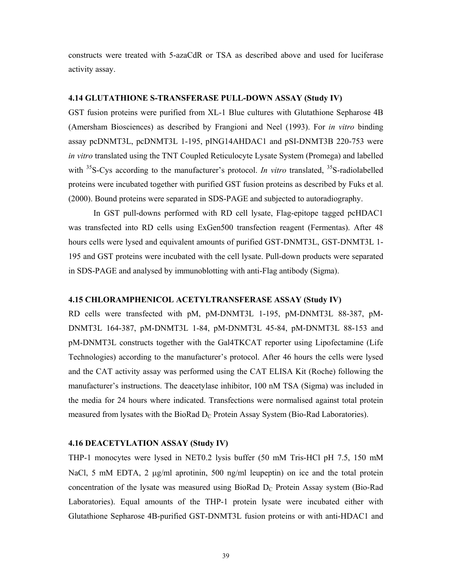constructs were treated with 5-azaCdR or TSA as described above and used for luciferase activity assay.

## **4.14 GLUTATHIONE S-TRANSFERASE PULL-DOWN ASSAY (Study IV)**

GST fusion proteins were purified from XL-1 Blue cultures with Glutathione Sepharose 4B (Amersham Biosciences) as described by Frangioni and Neel (1993). For *in vitro* binding assay pcDNMT3L, pcDNMT3L 1-195, pING14AHDAC1 and pSI-DNMT3B 220-753 were *in vitro* translated using the TNT Coupled Reticulocyte Lysate System (Promega) and labelled with <sup>35</sup>S-Cys according to the manufacturer's protocol. *In vitro* translated, <sup>35</sup>S-radiolabelled proteins were incubated together with purified GST fusion proteins as described by Fuks et al. (2000). Bound proteins were separated in SDS-PAGE and subjected to autoradiography.

In GST pull-downs performed with RD cell lysate, Flag-epitope tagged pcHDAC1 was transfected into RD cells using ExGen500 transfection reagent (Fermentas). After 48 hours cells were lysed and equivalent amounts of purified GST-DNMT3L, GST-DNMT3L 1- 195 and GST proteins were incubated with the cell lysate. Pull-down products were separated in SDS-PAGE and analysed by immunoblotting with anti-Flag antibody (Sigma).

#### **4.15 CHLORAMPHENICOL ACETYLTRANSFERASE ASSAY (Study IV)**

RD cells were transfected with pM, pM-DNMT3L 1-195, pM-DNMT3L 88-387, pM-DNMT3L 164-387, pM-DNMT3L 1-84, pM-DNMT3L 45-84, pM-DNMT3L 88-153 and pM-DNMT3L constructs together with the Gal4TKCAT reporter using Lipofectamine (Life Technologies) according to the manufacturer's protocol. After 46 hours the cells were lysed and the CAT activity assay was performed using the CAT ELISA Kit (Roche) following the manufacturer's instructions. The deacetylase inhibitor, 100 nM TSA (Sigma) was included in the media for 24 hours where indicated. Transfections were normalised against total protein measured from lysates with the BioRad  $D<sub>C</sub>$  Protein Assay System (Bio-Rad Laboratories).

#### **4.16 DEACETYLATION ASSAY (Study IV)**

THP-1 monocytes were lysed in NET0.2 lysis buffer (50 mM Tris-HCl pH 7.5, 150 mM NaCl, 5 mM EDTA, 2 µg/ml aprotinin, 500 ng/ml leupeptin) on ice and the total protein concentration of the lysate was measured using BioRad  $D<sub>C</sub>$  Protein Assay system (Bio-Rad Laboratories). Equal amounts of the THP-1 protein lysate were incubated either with Glutathione Sepharose 4B-purified GST-DNMT3L fusion proteins or with anti-HDAC1 and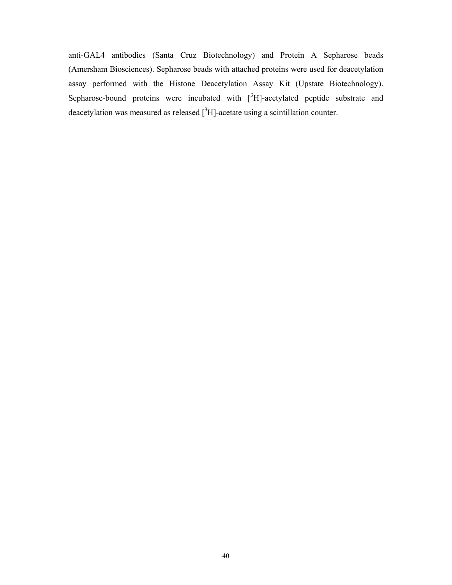anti-GAL4 antibodies (Santa Cruz Biotechnology) and Protein A Sepharose beads (Amersham Biosciences). Sepharose beads with attached proteins were used for deacetylation assay performed with the Histone Deacetylation Assay Kit (Upstate Biotechnology). Sepharose-bound proteins were incubated with  $[3H]$ -acetylated peptide substrate and deacetylation was measured as released  $[^{3}H]$ -acetate using a scintillation counter.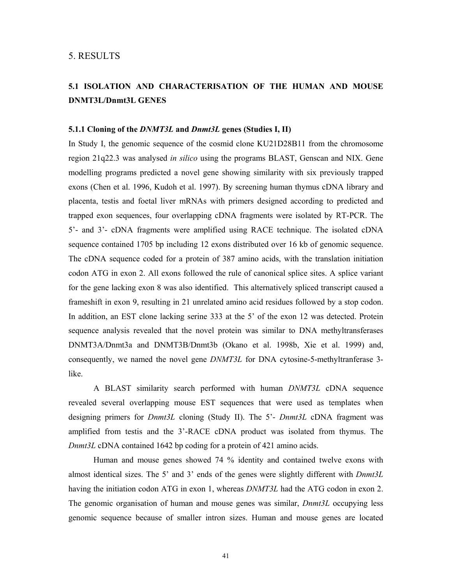### 5. RESULTS

## **5.1 ISOLATION AND CHARACTERISATION OF THE HUMAN AND MOUSE DNMT3L/Dnmt3L GENES**

#### **5.1.1 Cloning of the** *DNMT3L* **and** *Dnmt3L* **genes (Studies I, II)**

In Study I, the genomic sequence of the cosmid clone KU21D28B11 from the chromosome region 21q22.3 was analysed *in silico* using the programs BLAST, Genscan and NIX. Gene modelling programs predicted a novel gene showing similarity with six previously trapped exons (Chen et al. 1996, Kudoh et al. 1997). By screening human thymus cDNA library and placenta, testis and foetal liver mRNAs with primers designed according to predicted and trapped exon sequences, four overlapping cDNA fragments were isolated by RT-PCR. The 5'- and 3'- cDNA fragments were amplified using RACE technique. The isolated cDNA sequence contained 1705 bp including 12 exons distributed over 16 kb of genomic sequence. The cDNA sequence coded for a protein of 387 amino acids, with the translation initiation codon ATG in exon 2. All exons followed the rule of canonical splice sites. A splice variant for the gene lacking exon 8 was also identified. This alternatively spliced transcript caused a frameshift in exon 9, resulting in 21 unrelated amino acid residues followed by a stop codon. In addition, an EST clone lacking serine 333 at the 5' of the exon 12 was detected. Protein sequence analysis revealed that the novel protein was similar to DNA methyltransferases DNMT3A/Dnmt3a and DNMT3B/Dnmt3b (Okano et al. 1998b, Xie et al. 1999) and, consequently, we named the novel gene *DNMT3L* for DNA cytosine-5-methyltranferase 3 like.

A BLAST similarity search performed with human *DNMT3L* cDNA sequence revealed several overlapping mouse EST sequences that were used as templates when designing primers for *Dnmt3L* cloning (Study II). The 5'- *Dnmt3L* cDNA fragment was amplified from testis and the 3'-RACE cDNA product was isolated from thymus. The *Dnmt3L* cDNA contained 1642 bp coding for a protein of 421 amino acids.

Human and mouse genes showed 74 % identity and contained twelve exons with almost identical sizes. The 5' and 3' ends of the genes were slightly different with *Dnmt3L*  having the initiation codon ATG in exon 1, whereas *DNMT3L* had the ATG codon in exon 2. The genomic organisation of human and mouse genes was similar, *Dnmt3L* occupying less genomic sequence because of smaller intron sizes. Human and mouse genes are located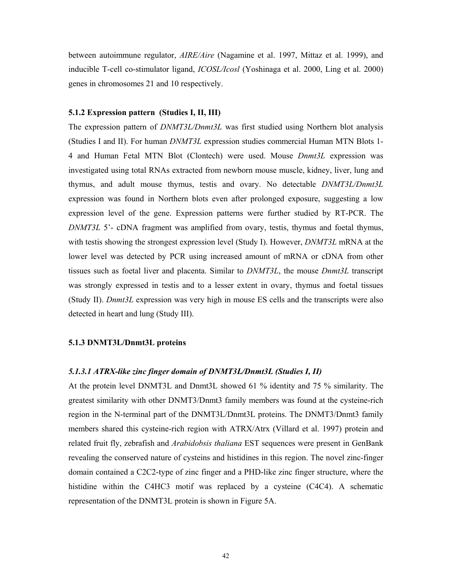between autoimmune regulator, *AIRE/Aire* (Nagamine et al. 1997, Mittaz et al. 1999), and inducible T-cell co-stimulator ligand, *ICOSL/Icosl* (Yoshinaga et al. 2000, Ling et al. 2000) genes in chromosomes 21 and 10 respectively.

#### **5.1.2 Expression pattern (Studies I, II, III)**

The expression pattern of *DNMT3L/Dnmt3L* was first studied using Northern blot analysis (Studies I and II). For human *DNMT3L* expression studies commercial Human MTN Blots 1- 4 and Human Fetal MTN Blot (Clontech) were used. Mouse *Dnmt3L* expression was investigated using total RNAs extracted from newborn mouse muscle, kidney, liver, lung and thymus, and adult mouse thymus, testis and ovary. No detectable *DNMT3L/Dnmt3L* expression was found in Northern blots even after prolonged exposure, suggesting a low expression level of the gene. Expression patterns were further studied by RT-PCR. The *DNMT3L* 5'- cDNA fragment was amplified from ovary, testis, thymus and foetal thymus, with testis showing the strongest expression level (Study I). However, *DNMT3L* mRNA at the lower level was detected by PCR using increased amount of mRNA or cDNA from other tissues such as foetal liver and placenta. Similar to *DNMT3L*, the mouse *Dnmt3L* transcript was strongly expressed in testis and to a lesser extent in ovary, thymus and foetal tissues (Study II). *Dnmt3L* expression was very high in mouse ES cells and the transcripts were also detected in heart and lung (Study III).

## **5.1.3 DNMT3L/Dnmt3L proteins**

#### *5.1.3.1 ATRX-like zinc finger domain of DNMT3L/Dnmt3L (Studies I, II)*

At the protein level DNMT3L and Dnmt3L showed 61 % identity and 75 % similarity. The greatest similarity with other DNMT3/Dnmt3 family members was found at the cysteine-rich region in the N-terminal part of the DNMT3L/Dnmt3L proteins. The DNMT3/Dnmt3 family members shared this cysteine-rich region with ATRX/Atrx (Villard et al. 1997) protein and related fruit fly, zebrafish and *Arabidobsis thaliana* EST sequences were present in GenBank revealing the conserved nature of cysteins and histidines in this region. The novel zinc-finger domain contained a C2C2-type of zinc finger and a PHD-like zinc finger structure, where the histidine within the C4HC3 motif was replaced by a cysteine (C4C4). A schematic representation of the DNMT3L protein is shown in Figure 5A.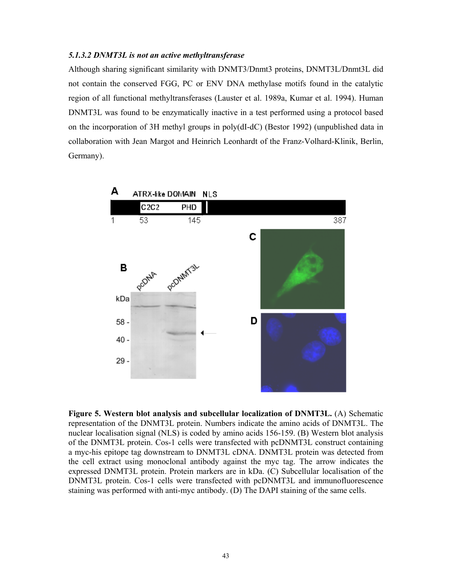#### *5.1.3.2 DNMT3L is not an active methyltransferase*

Although sharing significant similarity with DNMT3/Dnmt3 proteins, DNMT3L/Dnmt3L did not contain the conserved FGG, PC or ENV DNA methylase motifs found in the catalytic region of all functional methyltransferases (Lauster et al. 1989a, Kumar et al. 1994). Human DNMT3L was found to be enzymatically inactive in a test performed using a protocol based on the incorporation of 3H methyl groups in poly(dI-dC) (Bestor 1992) (unpublished data in collaboration with Jean Margot and Heinrich Leonhardt of the Franz-Volhard-Klinik, Berlin, Germany).



**Figure 5. Western blot analysis and subcellular localization of DNMT3L.** (A) Schematic representation of the DNMT3L protein. Numbers indicate the amino acids of DNMT3L. The nuclear localisation signal (NLS) is coded by amino acids 156-159. (B) Western blot analysis of the DNMT3L protein. Cos-1 cells were transfected with pcDNMT3L construct containing a myc-his epitope tag downstream to DNMT3L cDNA. DNMT3L protein was detected from the cell extract using monoclonal antibody against the myc tag. The arrow indicates the expressed DNMT3L protein. Protein markers are in kDa. (C) Subcellular localisation of the DNMT3L protein. Cos-1 cells were transfected with pcDNMT3L and immunofluorescence staining was performed with anti-myc antibody. (D) The DAPI staining of the same cells.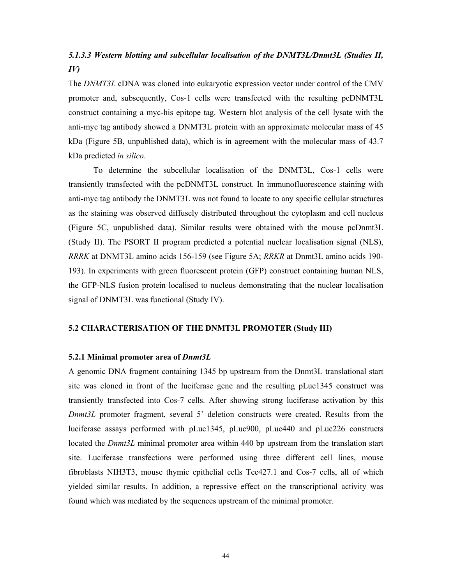# *5.1.3.3 Western blotting and subcellular localisation of the DNMT3L/Dnmt3L (Studies II, IV*)

The *DNMT3L* cDNA was cloned into eukaryotic expression vector under control of the CMV promoter and, subsequently, Cos-1 cells were transfected with the resulting pcDNMT3L construct containing a myc-his epitope tag. Western blot analysis of the cell lysate with the anti-myc tag antibody showed a DNMT3L protein with an approximate molecular mass of 45 kDa (Figure 5B, unpublished data), which is in agreement with the molecular mass of 43.7 kDa predicted *in silico*.

To determine the subcellular localisation of the DNMT3L, Cos-1 cells were transiently transfected with the pcDNMT3L construct. In immunofluorescence staining with anti-myc tag antibody the DNMT3L was not found to locate to any specific cellular structures as the staining was observed diffusely distributed throughout the cytoplasm and cell nucleus (Figure 5C, unpublished data). Similar results were obtained with the mouse pcDnmt3L (Study II). The PSORT II program predicted a potential nuclear localisation signal (NLS), *RRRK* at DNMT3L amino acids 156-159 (see Figure 5A; *RRKR* at Dnmt3L amino acids 190- 193). In experiments with green fluorescent protein (GFP) construct containing human NLS, the GFP-NLS fusion protein localised to nucleus demonstrating that the nuclear localisation signal of DNMT3L was functional (Study IV).

## **5.2 CHARACTERISATION OF THE DNMT3L PROMOTER (Study III)**

### **5.2.1 Minimal promoter area of** *Dnmt3L*

A genomic DNA fragment containing 1345 bp upstream from the Dnmt3L translational start site was cloned in front of the luciferase gene and the resulting pLuc1345 construct was transiently transfected into Cos-7 cells. After showing strong luciferase activation by this *Dnmt3L* promoter fragment, several 5' deletion constructs were created. Results from the luciferase assays performed with pLuc1345, pLuc900, pLuc440 and pLuc226 constructs located the *Dnmt3L* minimal promoter area within 440 bp upstream from the translation start site. Luciferase transfections were performed using three different cell lines, mouse fibroblasts NIH3T3, mouse thymic epithelial cells Tec427.1 and Cos-7 cells, all of which yielded similar results. In addition, a repressive effect on the transcriptional activity was found which was mediated by the sequences upstream of the minimal promoter.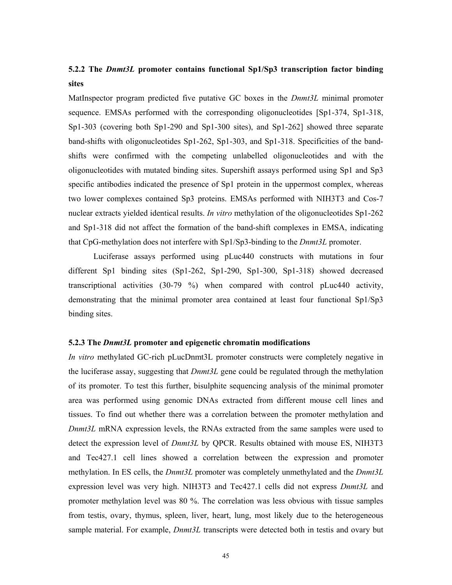## **5.2.2 The** *Dnmt3L* **promoter contains functional Sp1/Sp3 transcription factor binding sites**

MatInspector program predicted five putative GC boxes in the *Dnmt3L* minimal promoter sequence. EMSAs performed with the corresponding oligonucleotides [Sp1-374, Sp1-318, Sp1-303 (covering both Sp1-290 and Sp1-300 sites), and Sp1-262] showed three separate band-shifts with oligonucleotides Sp1-262, Sp1-303, and Sp1-318. Specificities of the bandshifts were confirmed with the competing unlabelled oligonucleotides and with the oligonucleotides with mutated binding sites. Supershift assays performed using Sp1 and Sp3 specific antibodies indicated the presence of Sp1 protein in the uppermost complex, whereas two lower complexes contained Sp3 proteins. EMSAs performed with NIH3T3 and Cos-7 nuclear extracts yielded identical results. *In vitro* methylation of the oligonucleotides Sp1-262 and Sp1-318 did not affect the formation of the band-shift complexes in EMSA, indicating that CpG-methylation does not interfere with Sp1/Sp3-binding to the *Dnmt3L* promoter.

Luciferase assays performed using pLuc440 constructs with mutations in four different Sp1 binding sites (Sp1-262, Sp1-290, Sp1-300, Sp1-318) showed decreased transcriptional activities (30-79 %) when compared with control pLuc440 activity, demonstrating that the minimal promoter area contained at least four functional Sp1/Sp3 binding sites.

#### **5.2.3 The** *Dnmt3L* **promoter and epigenetic chromatin modifications**

*In vitro* methylated GC-rich pLucDnmt3L promoter constructs were completely negative in the luciferase assay, suggesting that *Dnmt3L* gene could be regulated through the methylation of its promoter. To test this further, bisulphite sequencing analysis of the minimal promoter area was performed using genomic DNAs extracted from different mouse cell lines and tissues. To find out whether there was a correlation between the promoter methylation and *Dnmt3L* mRNA expression levels, the RNAs extracted from the same samples were used to detect the expression level of *Dnmt3L* by QPCR. Results obtained with mouse ES, NIH3T3 and Tec427.1 cell lines showed a correlation between the expression and promoter methylation. In ES cells, the *Dnmt3L* promoter was completely unmethylated and the *Dnmt3L* expression level was very high. NIH3T3 and Tec427.1 cells did not express *Dnmt3L* and promoter methylation level was 80 %. The correlation was less obvious with tissue samples from testis, ovary, thymus, spleen, liver, heart, lung, most likely due to the heterogeneous sample material. For example, *Dnmt3L* transcripts were detected both in testis and ovary but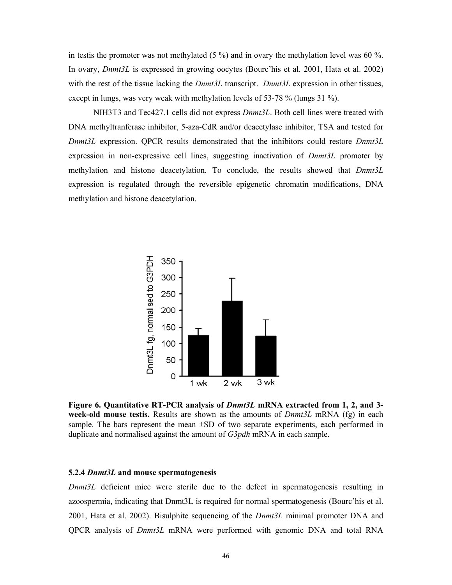in testis the promoter was not methylated  $(5\%)$  and in ovary the methylation level was 60 %. In ovary, *Dnmt3L* is expressed in growing oocytes (Bourc'his et al. 2001, Hata et al. 2002) with the rest of the tissue lacking the *Dnmt3L* transcript. *Dnmt3L* expression in other tissues, except in lungs, was very weak with methylation levels of 53-78 % (lungs 31 %).

NIH3T3 and Tec427.1 cells did not express *Dnmt3L*. Both cell lines were treated with DNA methyltranferase inhibitor, 5-aza-CdR and/or deacetylase inhibitor, TSA and tested for *Dnmt3L* expression. QPCR results demonstrated that the inhibitors could restore *Dnmt3L* expression in non-expressive cell lines, suggesting inactivation of *Dnmt3L* promoter by methylation and histone deacetylation. To conclude, the results showed that *Dnmt3L* expression is regulated through the reversible epigenetic chromatin modifications, DNA methylation and histone deacetylation.



**Figure 6. Quantitative RT-PCR analysis of** *Dnmt3L* **mRNA extracted from 1, 2, and 3 week-old mouse testis.** Results are shown as the amounts of *Dnmt3L* mRNA (fg) in each sample. The bars represent the mean  $\pm SD$  of two separate experiments, each performed in duplicate and normalised against the amount of *G3pdh* mRNA in each sample.

#### **5.2.4** *Dnmt3L* **and mouse spermatogenesis**

*Dnmt3L* deficient mice were sterile due to the defect in spermatogenesis resulting in azoospermia, indicating that Dnmt3L is required for normal spermatogenesis (Bourc'his et al. 2001, Hata et al. 2002). Bisulphite sequencing of the *Dnmt3L* minimal promoter DNA and QPCR analysis of *Dnmt3L* mRNA were performed with genomic DNA and total RNA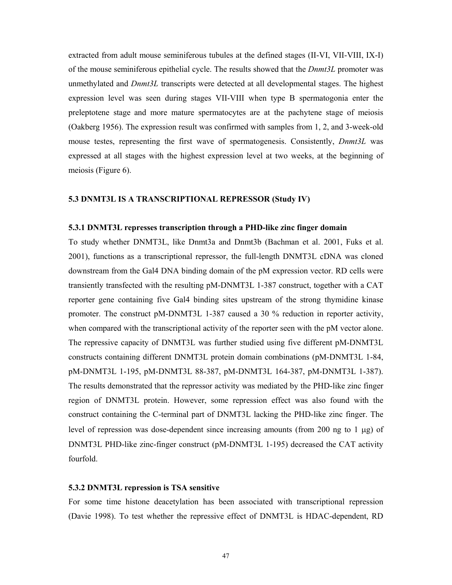extracted from adult mouse seminiferous tubules at the defined stages (II-VI, VII-VIII, IX-I) of the mouse seminiferous epithelial cycle. The results showed that the *Dnmt3L* promoter was unmethylated and *Dnmt3L* transcripts were detected at all developmental stages. The highest expression level was seen during stages VII-VIII when type B spermatogonia enter the preleptotene stage and more mature spermatocytes are at the pachytene stage of meiosis (Oakberg 1956). The expression result was confirmed with samples from 1, 2, and 3-week-old mouse testes, representing the first wave of spermatogenesis. Consistently, *Dnmt3L* was expressed at all stages with the highest expression level at two weeks, at the beginning of meiosis (Figure 6).

#### **5.3 DNMT3L IS A TRANSCRIPTIONAL REPRESSOR (Study IV)**

#### **5.3.1 DNMT3L represses transcription through a PHD-like zinc finger domain**

To study whether DNMT3L, like Dnmt3a and Dnmt3b (Bachman et al. 2001, Fuks et al. 2001), functions as a transcriptional repressor, the full-length DNMT3L cDNA was cloned downstream from the Gal4 DNA binding domain of the pM expression vector. RD cells were transiently transfected with the resulting pM-DNMT3L 1-387 construct, together with a CAT reporter gene containing five Gal4 binding sites upstream of the strong thymidine kinase promoter. The construct pM-DNMT3L 1-387 caused a 30 % reduction in reporter activity, when compared with the transcriptional activity of the reporter seen with the pM vector alone. The repressive capacity of DNMT3L was further studied using five different pM-DNMT3L constructs containing different DNMT3L protein domain combinations (pM-DNMT3L 1-84, pM-DNMT3L 1-195, pM-DNMT3L 88-387, pM-DNMT3L 164-387, pM-DNMT3L 1-387). The results demonstrated that the repressor activity was mediated by the PHD-like zinc finger region of DNMT3L protein. However, some repression effect was also found with the construct containing the C-terminal part of DNMT3L lacking the PHD-like zinc finger. The level of repression was dose-dependent since increasing amounts (from 200 ng to 1 µg) of DNMT3L PHD-like zinc-finger construct (pM-DNMT3L 1-195) decreased the CAT activity fourfold.

#### **5.3.2 DNMT3L repression is TSA sensitive**

For some time histone deacetylation has been associated with transcriptional repression (Davie 1998). To test whether the repressive effect of DNMT3L is HDAC-dependent, RD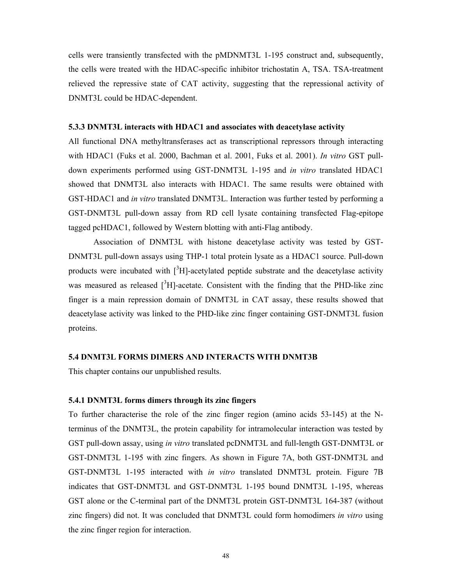cells were transiently transfected with the pMDNMT3L 1-195 construct and, subsequently, the cells were treated with the HDAC-specific inhibitor trichostatin A, TSA. TSA-treatment relieved the repressive state of CAT activity, suggesting that the repressional activity of DNMT3L could be HDAC-dependent.

#### **5.3.3 DNMT3L interacts with HDAC1 and associates with deacetylase activity**

All functional DNA methyltransferases act as transcriptional repressors through interacting with HDAC1 (Fuks et al. 2000, Bachman et al. 2001, Fuks et al. 2001). *In vitro* GST pulldown experiments performed using GST-DNMT3L 1-195 and *in vitro* translated HDAC1 showed that DNMT3L also interacts with HDAC1. The same results were obtained with GST-HDAC1 and *in vitro* translated DNMT3L. Interaction was further tested by performing a GST-DNMT3L pull-down assay from RD cell lysate containing transfected Flag-epitope tagged pcHDAC1, followed by Western blotting with anti-Flag antibody.

Association of DNMT3L with histone deacetylase activity was tested by GST-DNMT3L pull-down assays using THP-1 total protein lysate as a HDAC1 source. Pull-down products were incubated with  $[3H]$ -acetylated peptide substrate and the deacetylase activity was measured as released  $[^{3}H]$ -acetate. Consistent with the finding that the PHD-like zinc finger is a main repression domain of DNMT3L in CAT assay, these results showed that deacetylase activity was linked to the PHD-like zinc finger containing GST-DNMT3L fusion proteins.

## **5.4 DNMT3L FORMS DIMERS AND INTERACTS WITH DNMT3B**

This chapter contains our unpublished results.

#### **5.4.1 DNMT3L forms dimers through its zinc fingers**

To further characterise the role of the zinc finger region (amino acids 53-145) at the Nterminus of the DNMT3L, the protein capability for intramolecular interaction was tested by GST pull-down assay, using *in vitro* translated pcDNMT3L and full-length GST-DNMT3L or GST-DNMT3L 1-195 with zinc fingers. As shown in Figure 7A, both GST-DNMT3L and GST-DNMT3L 1-195 interacted with *in vitro* translated DNMT3L protein. Figure 7B indicates that GST-DNMT3L and GST-DNMT3L 1-195 bound DNMT3L 1-195, whereas GST alone or the C-terminal part of the DNMT3L protein GST-DNMT3L 164-387 (without zinc fingers) did not. It was concluded that DNMT3L could form homodimers *in vitro* using the zinc finger region for interaction.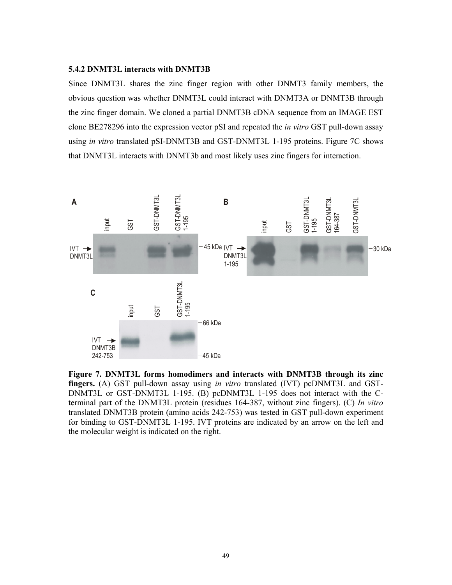#### **5.4.2 DNMT3L interacts with DNMT3B**

Since DNMT3L shares the zinc finger region with other DNMT3 family members, the obvious question was whether DNMT3L could interact with DNMT3A or DNMT3B through the zinc finger domain. We cloned a partial DNMT3B cDNA sequence from an IMAGE EST clone BE278296 into the expression vector pSI and repeated the *in vitro* GST pull-down assay using *in vitro* translated pSI-DNMT3B and GST-DNMT3L 1-195 proteins. Figure 7C shows that DNMT3L interacts with DNMT3b and most likely uses zinc fingers for interaction.



**Figure 7. DNMT3L forms homodimers and interacts with DNMT3B through its zinc fingers.** (A) GST pull-down assay using *in vitro* translated (IVT) pcDNMT3L and GST-DNMT3L or GST-DNMT3L 1-195. (B) pcDNMT3L 1-195 does not interact with the Cterminal part of the DNMT3L protein (residues 164-387, without zinc fingers). (C) *In vitro* translated DNMT3B protein (amino acids 242-753) was tested in GST pull-down experiment for binding to GST-DNMT3L 1-195. IVT proteins are indicated by an arrow on the left and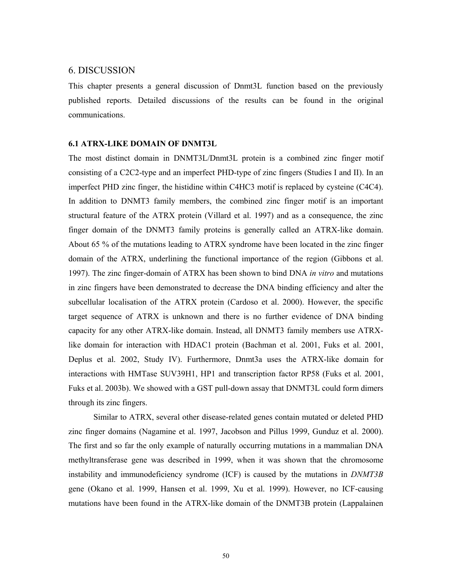## 6. DISCUSSION

This chapter presents a general discussion of Dnmt3L function based on the previously published reports. Detailed discussions of the results can be found in the original communications.

### **6.1 ATRX-LIKE DOMAIN OF DNMT3L**

The most distinct domain in DNMT3L/Dnmt3L protein is a combined zinc finger motif consisting of a C2C2-type and an imperfect PHD-type of zinc fingers (Studies I and II). In an imperfect PHD zinc finger, the histidine within C4HC3 motif is replaced by cysteine (C4C4). In addition to DNMT3 family members, the combined zinc finger motif is an important structural feature of the ATRX protein (Villard et al. 1997) and as a consequence, the zinc finger domain of the DNMT3 family proteins is generally called an ATRX-like domain. About 65 % of the mutations leading to ATRX syndrome have been located in the zinc finger domain of the ATRX, underlining the functional importance of the region (Gibbons et al. 1997). The zinc finger-domain of ATRX has been shown to bind DNA *in vitro* and mutations in zinc fingers have been demonstrated to decrease the DNA binding efficiency and alter the subcellular localisation of the ATRX protein (Cardoso et al. 2000). However, the specific target sequence of ATRX is unknown and there is no further evidence of DNA binding capacity for any other ATRX-like domain. Instead, all DNMT3 family members use ATRXlike domain for interaction with HDAC1 protein (Bachman et al. 2001, Fuks et al. 2001, Deplus et al. 2002, Study IV). Furthermore, Dnmt3a uses the ATRX-like domain for interactions with HMTase SUV39H1, HP1 and transcription factor RP58 (Fuks et al. 2001, Fuks et al. 2003b). We showed with a GST pull-down assay that DNMT3L could form dimers through its zinc fingers.

Similar to ATRX, several other disease-related genes contain mutated or deleted PHD zinc finger domains (Nagamine et al. 1997, Jacobson and Pillus 1999, Gunduz et al. 2000). The first and so far the only example of naturally occurring mutations in a mammalian DNA methyltransferase gene was described in 1999, when it was shown that the chromosome instability and immunodeficiency syndrome (ICF) is caused by the mutations in *DNMT3B* gene (Okano et al. 1999, Hansen et al. 1999, Xu et al. 1999). However, no ICF-causing mutations have been found in the ATRX-like domain of the DNMT3B protein (Lappalainen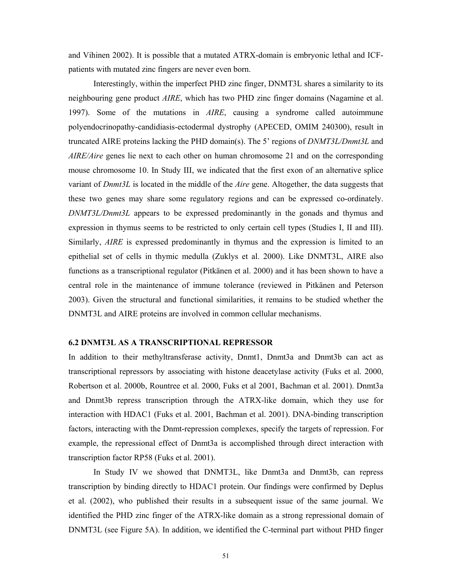and Vihinen 2002). It is possible that a mutated ATRX-domain is embryonic lethal and ICFpatients with mutated zinc fingers are never even born.

Interestingly, within the imperfect PHD zinc finger, DNMT3L shares a similarity to its neighbouring gene product *AIRE*, which has two PHD zinc finger domains (Nagamine et al. 1997). Some of the mutations in *AIRE*, causing a syndrome called autoimmune polyendocrinopathy-candidiasis-ectodermal dystrophy (APECED, OMIM 240300), result in truncated AIRE proteins lacking the PHD domain(s). The 5' regions of *DNMT3L/Dnmt3L* and *AIRE/Aire* genes lie next to each other on human chromosome 21 and on the corresponding mouse chromosome 10. In Study III, we indicated that the first exon of an alternative splice variant of *Dnmt3L* is located in the middle of the *Aire* gene. Altogether, the data suggests that these two genes may share some regulatory regions and can be expressed co-ordinately. *DNMT3L/Dnmt3L* appears to be expressed predominantly in the gonads and thymus and expression in thymus seems to be restricted to only certain cell types (Studies I, II and III). Similarly, *AIRE* is expressed predominantly in thymus and the expression is limited to an epithelial set of cells in thymic medulla (Zuklys et al. 2000). Like DNMT3L, AIRE also functions as a transcriptional regulator (Pitkänen et al. 2000) and it has been shown to have a central role in the maintenance of immune tolerance (reviewed in Pitkänen and Peterson 2003). Given the structural and functional similarities, it remains to be studied whether the DNMT3L and AIRE proteins are involved in common cellular mechanisms.

## **6.2 DNMT3L AS A TRANSCRIPTIONAL REPRESSOR**

In addition to their methyltransferase activity, Dnmt1, Dnmt3a and Dnmt3b can act as transcriptional repressors by associating with histone deacetylase activity (Fuks et al. 2000, Robertson et al. 2000b, Rountree et al. 2000, Fuks et al 2001, Bachman et al. 2001). Dnmt3a and Dnmt3b repress transcription through the ATRX-like domain, which they use for interaction with HDAC1 (Fuks et al. 2001, Bachman et al. 2001). DNA-binding transcription factors, interacting with the Dnmt-repression complexes, specify the targets of repression. For example, the repressional effect of Dnmt3a is accomplished through direct interaction with transcription factor RP58 (Fuks et al. 2001).

In Study IV we showed that DNMT3L, like Dnmt3a and Dnmt3b, can repress transcription by binding directly to HDAC1 protein. Our findings were confirmed by Deplus et al. (2002), who published their results in a subsequent issue of the same journal. We identified the PHD zinc finger of the ATRX-like domain as a strong repressional domain of DNMT3L (see Figure 5A). In addition, we identified the C-terminal part without PHD finger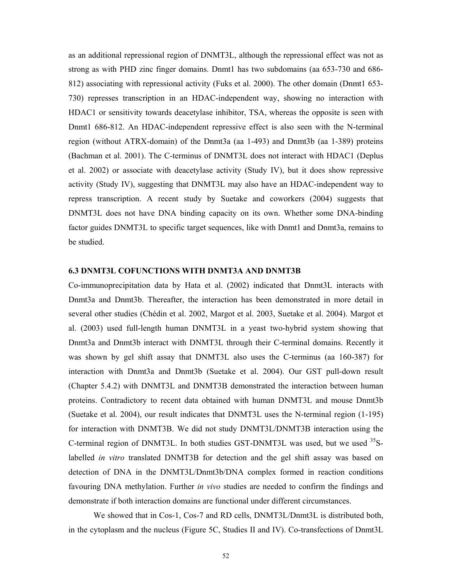as an additional repressional region of DNMT3L, although the repressional effect was not as strong as with PHD zinc finger domains. Dnmt1 has two subdomains (aa 653-730 and 686- 812) associating with repressional activity (Fuks et al. 2000). The other domain (Dnmt1 653- 730) represses transcription in an HDAC-independent way, showing no interaction with HDAC1 or sensitivity towards deacetylase inhibitor, TSA, whereas the opposite is seen with Dnmt1 686-812. An HDAC-independent repressive effect is also seen with the N-terminal region (without ATRX-domain) of the Dnmt3a (aa 1-493) and Dnmt3b (aa 1-389) proteins (Bachman et al. 2001). The C-terminus of DNMT3L does not interact with HDAC1 (Deplus et al. 2002) or associate with deacetylase activity (Study IV), but it does show repressive activity (Study IV), suggesting that DNMT3L may also have an HDAC-independent way to repress transcription. A recent study by Suetake and coworkers (2004) suggests that DNMT3L does not have DNA binding capacity on its own. Whether some DNA-binding factor guides DNMT3L to specific target sequences, like with Dnmt1 and Dnmt3a, remains to be studied.

#### **6.3 DNMT3L COFUNCTIONS WITH DNMT3A AND DNMT3B**

Co-immunoprecipitation data by Hata et al. (2002) indicated that Dnmt3L interacts with Dnmt3a and Dnmt3b. Thereafter, the interaction has been demonstrated in more detail in several other studies (Chédin et al. 2002, Margot et al. 2003, Suetake et al. 2004). Margot et al. (2003) used full-length human DNMT3L in a yeast two-hybrid system showing that Dnmt3a and Dnmt3b interact with DNMT3L through their C-terminal domains. Recently it was shown by gel shift assay that DNMT3L also uses the C-terminus (aa 160-387) for interaction with Dnmt3a and Dnmt3b (Suetake et al. 2004). Our GST pull-down result (Chapter 5.4.2) with DNMT3L and DNMT3B demonstrated the interaction between human proteins. Contradictory to recent data obtained with human DNMT3L and mouse Dnmt3b (Suetake et al. 2004), our result indicates that DNMT3L uses the N-terminal region (1-195) for interaction with DNMT3B. We did not study DNMT3L/DNMT3B interaction using the C-terminal region of DNMT3L. In both studies GST-DNMT3L was used, but we used <sup>35</sup>Slabelled *in vitro* translated DNMT3B for detection and the gel shift assay was based on detection of DNA in the DNMT3L/Dnmt3b/DNA complex formed in reaction conditions favouring DNA methylation. Further *in vivo* studies are needed to confirm the findings and demonstrate if both interaction domains are functional under different circumstances.

We showed that in Cos-1, Cos-7 and RD cells, DNMT3L/Dnmt3L is distributed both, in the cytoplasm and the nucleus (Figure 5C, Studies II and IV). Co-transfections of Dnmt3L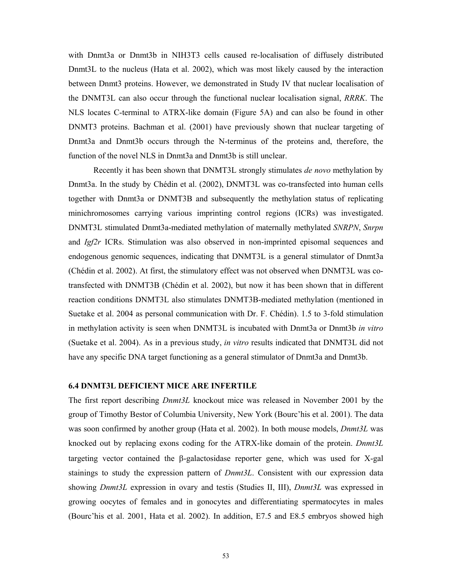with Dnmt3a or Dnmt3b in NIH3T3 cells caused re-localisation of diffusely distributed Dnmt3L to the nucleus (Hata et al. 2002), which was most likely caused by the interaction between Dnmt3 proteins. However, we demonstrated in Study IV that nuclear localisation of the DNMT3L can also occur through the functional nuclear localisation signal, *RRRK*. The NLS locates C-terminal to ATRX-like domain (Figure 5A) and can also be found in other DNMT3 proteins. Bachman et al. (2001) have previously shown that nuclear targeting of Dnmt3a and Dnmt3b occurs through the N-terminus of the proteins and, therefore, the function of the novel NLS in Dnmt3a and Dnmt3b is still unclear.

Recently it has been shown that DNMT3L strongly stimulates *de novo* methylation by Dnmt3a. In the study by Chédin et al. (2002), DNMT3L was co-transfected into human cells together with Dnmt3a or DNMT3B and subsequently the methylation status of replicating minichromosomes carrying various imprinting control regions (ICRs) was investigated. DNMT3L stimulated Dnmt3a-mediated methylation of maternally methylated *SNRPN*, *Snrpn* and *Igf2r* ICRs. Stimulation was also observed in non-imprinted episomal sequences and endogenous genomic sequences, indicating that DNMT3L is a general stimulator of Dnmt3a (Chédin et al. 2002). At first, the stimulatory effect was not observed when DNMT3L was cotransfected with DNMT3B (Chédin et al. 2002), but now it has been shown that in different reaction conditions DNMT3L also stimulates DNMT3B-mediated methylation (mentioned in Suetake et al. 2004 as personal communication with Dr. F. Chédin). 1.5 to 3-fold stimulation in methylation activity is seen when DNMT3L is incubated with Dnmt3a or Dnmt3b *in vitro*  (Suetake et al. 2004). As in a previous study, *in vitro* results indicated that DNMT3L did not have any specific DNA target functioning as a general stimulator of Dnmt3a and Dnmt3b.

## **6.4 DNMT3L DEFICIENT MICE ARE INFERTILE**

The first report describing *Dnmt3L* knockout mice was released in November 2001 by the group of Timothy Bestor of Columbia University, New York (Bourc'his et al. 2001). The data was soon confirmed by another group (Hata et al. 2002). In both mouse models, *Dnmt3L* was knocked out by replacing exons coding for the ATRX-like domain of the protein. *Dnmt3L* targeting vector contained the β-galactosidase reporter gene, which was used for X-gal stainings to study the expression pattern of *Dnmt3L*. Consistent with our expression data showing *Dnmt3L* expression in ovary and testis (Studies II, III), *Dnmt3L* was expressed in growing oocytes of females and in gonocytes and differentiating spermatocytes in males (Bourc'his et al. 2001, Hata et al. 2002). In addition, E7.5 and E8.5 embryos showed high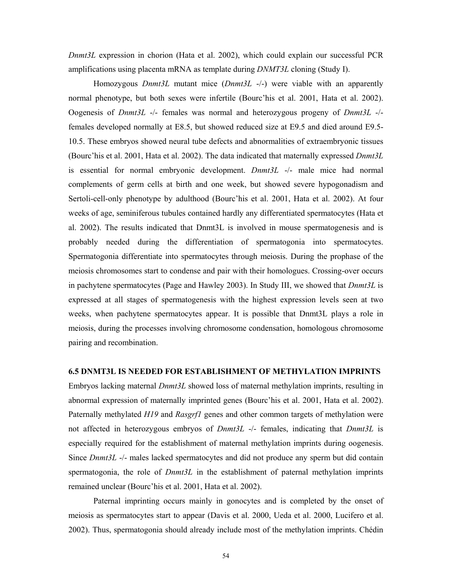*Dnmt3L* expression in chorion (Hata et al. 2002), which could explain our successful PCR amplifications using placenta mRNA as template during *DNMT3L* cloning (Study I).

Homozygous *Dnmt3L* mutant mice (*Dnmt3L* -/-) were viable with an apparently normal phenotype, but both sexes were infertile (Bourc'his et al. 2001, Hata et al. 2002). Oogenesis of *Dnmt3L* -/- females was normal and heterozygous progeny of *Dnmt3L* -/ females developed normally at E8.5, but showed reduced size at E9.5 and died around E9.5- 10.5. These embryos showed neural tube defects and abnormalities of extraembryonic tissues (Bourc'his et al. 2001, Hata et al. 2002). The data indicated that maternally expressed *Dnmt3L* is essential for normal embryonic development. *Dnmt3L* -/- male mice had normal complements of germ cells at birth and one week, but showed severe hypogonadism and Sertoli-cell-only phenotype by adulthood (Bourc'his et al. 2001, Hata et al. 2002). At four weeks of age, seminiferous tubules contained hardly any differentiated spermatocytes (Hata et al. 2002). The results indicated that Dnmt3L is involved in mouse spermatogenesis and is probably needed during the differentiation of spermatogonia into spermatocytes. Spermatogonia differentiate into spermatocytes through meiosis. During the prophase of the meiosis chromosomes start to condense and pair with their homologues. Crossing-over occurs in pachytene spermatocytes (Page and Hawley 2003). In Study III, we showed that *Dnmt3L* is expressed at all stages of spermatogenesis with the highest expression levels seen at two weeks, when pachytene spermatocytes appear. It is possible that Dnmt3L plays a role in meiosis, during the processes involving chromosome condensation, homologous chromosome pairing and recombination.

## **6.5 DNMT3L IS NEEDED FOR ESTABLISHMENT OF METHYLATION IMPRINTS**

Embryos lacking maternal *Dnmt3L* showed loss of maternal methylation imprints, resulting in abnormal expression of maternally imprinted genes (Bourc'his et al. 2001, Hata et al. 2002). Paternally methylated *H19* and *Rasgrf1* genes and other common targets of methylation were not affected in heterozygous embryos of *Dnmt3L* -/- females, indicating that *Dnmt3L* is especially required for the establishment of maternal methylation imprints during oogenesis. Since *Dnmt3L* -/- males lacked spermatocytes and did not produce any sperm but did contain spermatogonia, the role of *Dnmt3L* in the establishment of paternal methylation imprints remained unclear (Bourc'his et al. 2001, Hata et al. 2002).

Paternal imprinting occurs mainly in gonocytes and is completed by the onset of meiosis as spermatocytes start to appear (Davis et al. 2000, Ueda et al. 2000, Lucifero et al. 2002). Thus, spermatogonia should already include most of the methylation imprints. Chédin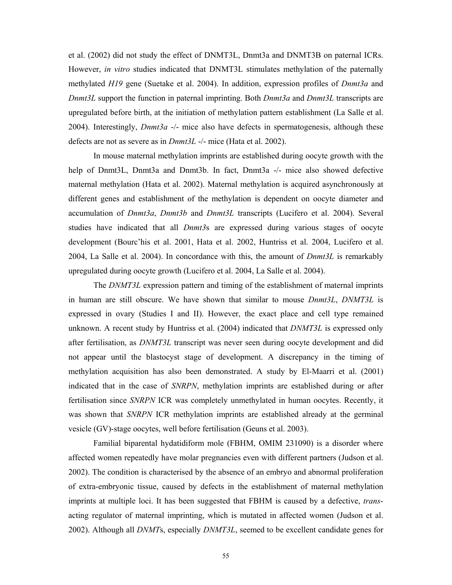et al. (2002) did not study the effect of DNMT3L, Dnmt3a and DNMT3B on paternal ICRs. However, *in vitro* studies indicated that DNMT3L stimulates methylation of the paternally methylated *H19* gene (Suetake et al. 2004). In addition, expression profiles of *Dnmt3a* and *Dnmt3L* support the function in paternal imprinting. Both *Dnmt3a* and *Dnmt3L* transcripts are upregulated before birth, at the initiation of methylation pattern establishment (La Salle et al. 2004). Interestingly, *Dnmt3a* -/- mice also have defects in spermatogenesis, although these defects are not as severe as in *Dnmt3L* -/- mice (Hata et al. 2002).

In mouse maternal methylation imprints are established during oocyte growth with the help of Dnmt3L, Dnmt3a and Dnmt3b. In fact, Dnmt3a -/- mice also showed defective maternal methylation (Hata et al. 2002). Maternal methylation is acquired asynchronously at different genes and establishment of the methylation is dependent on oocyte diameter and accumulation of *Dnmt3a*, *Dnmt3b* and *Dnmt3L* transcripts (Lucifero et al. 2004). Several studies have indicated that all *Dnmt3*s are expressed during various stages of oocyte development (Bourc'his et al. 2001, Hata et al. 2002, Huntriss et al. 2004, Lucifero et al. 2004, La Salle et al. 2004). In concordance with this, the amount of *Dnmt3L* is remarkably upregulated during oocyte growth (Lucifero et al. 2004, La Salle et al. 2004).

The *DNMT3L* expression pattern and timing of the establishment of maternal imprints in human are still obscure. We have shown that similar to mouse *Dnmt3L*, *DNMT3L* is expressed in ovary (Studies I and II). However, the exact place and cell type remained unknown. A recent study by Huntriss et al. (2004) indicated that *DNMT3L* is expressed only after fertilisation, as *DNMT3L* transcript was never seen during oocyte development and did not appear until the blastocyst stage of development. A discrepancy in the timing of methylation acquisition has also been demonstrated. A study by El-Maarri et al. (2001) indicated that in the case of *SNRPN*, methylation imprints are established during or after fertilisation since *SNRPN* ICR was completely unmethylated in human oocytes. Recently, it was shown that *SNRPN* ICR methylation imprints are established already at the germinal vesicle (GV)-stage oocytes, well before fertilisation (Geuns et al. 2003).

Familial biparental hydatidiform mole (FBHM, OMIM 231090) is a disorder where affected women repeatedly have molar pregnancies even with different partners (Judson et al. 2002). The condition is characterised by the absence of an embryo and abnormal proliferation of extra-embryonic tissue, caused by defects in the establishment of maternal methylation imprints at multiple loci. It has been suggested that FBHM is caused by a defective, *trans*acting regulator of maternal imprinting, which is mutated in affected women (Judson et al. 2002). Although all *DNMT*s, especially *DNMT3L*, seemed to be excellent candidate genes for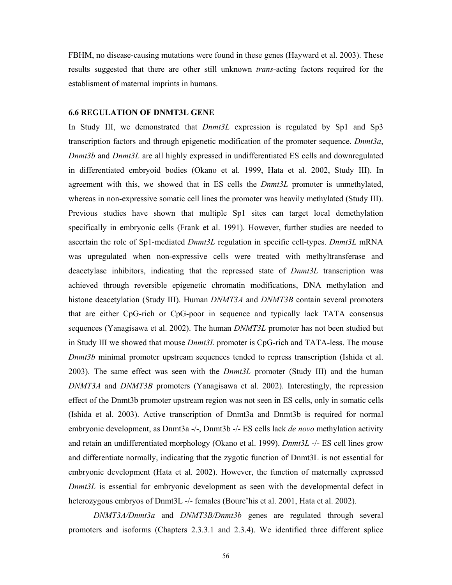FBHM, no disease-causing mutations were found in these genes (Hayward et al. 2003). These results suggested that there are other still unknown *trans*-acting factors required for the establisment of maternal imprints in humans.

#### **6.6 REGULATION OF DNMT3L GENE**

In Study III, we demonstrated that *Dnmt3L* expression is regulated by Sp1 and Sp3 transcription factors and through epigenetic modification of the promoter sequence. *Dnmt3a*, *Dnmt3b* and *Dnmt3L* are all highly expressed in undifferentiated ES cells and downregulated in differentiated embryoid bodies (Okano et al. 1999, Hata et al. 2002, Study III). In agreement with this, we showed that in ES cells the *Dnmt3L* promoter is unmethylated, whereas in non-expressive somatic cell lines the promoter was heavily methylated (Study III). Previous studies have shown that multiple Sp1 sites can target local demethylation specifically in embryonic cells (Frank et al. 1991). However, further studies are needed to ascertain the role of Sp1-mediated *Dnmt3L* regulation in specific cell-types. *Dnmt3L* mRNA was upregulated when non-expressive cells were treated with methyltransferase and deacetylase inhibitors, indicating that the repressed state of *Dnmt3L* transcription was achieved through reversible epigenetic chromatin modifications, DNA methylation and histone deacetylation (Study III). Human *DNMT3A* and *DNMT3B* contain several promoters that are either CpG-rich or CpG-poor in sequence and typically lack TATA consensus sequences (Yanagisawa et al. 2002). The human *DNMT3L* promoter has not been studied but in Study III we showed that mouse *Dnmt3L* promoter is CpG-rich and TATA-less. The mouse *Dnmt3b* minimal promoter upstream sequences tended to repress transcription (Ishida et al. 2003). The same effect was seen with the *Dnmt3L* promoter (Study III) and the human *DNMT3A* and *DNMT3B* promoters (Yanagisawa et al. 2002). Interestingly, the repression effect of the Dnmt3b promoter upstream region was not seen in ES cells, only in somatic cells (Ishida et al. 2003). Active transcription of Dnmt3a and Dnmt3b is required for normal embryonic development, as Dnmt3a -/-, Dnmt3b -/- ES cells lack *de novo* methylation activity and retain an undifferentiated morphology (Okano et al. 1999). *Dnmt3L* -/- ES cell lines grow and differentiate normally, indicating that the zygotic function of Dnmt3L is not essential for embryonic development (Hata et al. 2002). However, the function of maternally expressed *Dnmt3L* is essential for embryonic development as seen with the developmental defect in heterozygous embryos of Dnmt3L -/- females (Bourc'his et al. 2001, Hata et al. 2002).

*DNMT3A/Dnmt3a* and *DNMT3B/Dnmt3b* genes are regulated through several promoters and isoforms (Chapters 2.3.3.1 and 2.3.4). We identified three different splice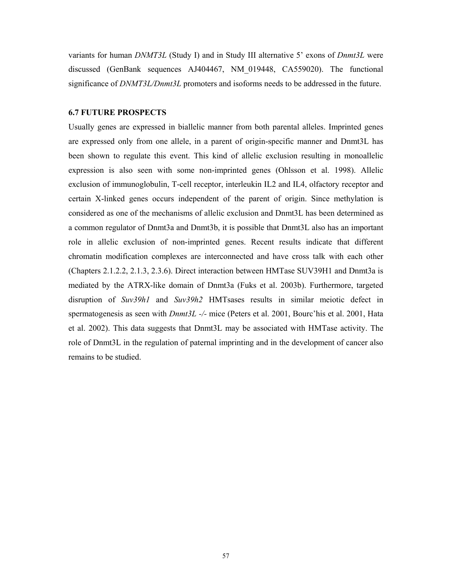variants for human *DNMT3L* (Study I) and in Study III alternative 5' exons of *Dnmt3L* were discussed (GenBank sequences AJ404467, NM\_019448, CA559020). The functional significance of *DNMT3L/Dnmt3L* promoters and isoforms needs to be addressed in the future.

## **6.7 FUTURE PROSPECTS**

Usually genes are expressed in biallelic manner from both parental alleles. Imprinted genes are expressed only from one allele, in a parent of origin-specific manner and Dnmt3L has been shown to regulate this event. This kind of allelic exclusion resulting in monoallelic expression is also seen with some non-imprinted genes (Ohlsson et al. 1998). Allelic exclusion of immunoglobulin, T-cell receptor, interleukin IL2 and IL4, olfactory receptor and certain X-linked genes occurs independent of the parent of origin. Since methylation is considered as one of the mechanisms of allelic exclusion and Dnmt3L has been determined as a common regulator of Dnmt3a and Dnmt3b, it is possible that Dnmt3L also has an important role in allelic exclusion of non-imprinted genes. Recent results indicate that different chromatin modification complexes are interconnected and have cross talk with each other (Chapters 2.1.2.2, 2.1.3, 2.3.6). Direct interaction between HMTase SUV39H1 and Dnmt3a is mediated by the ATRX-like domain of Dnmt3a (Fuks et al. 2003b). Furthermore, targeted disruption of *Suv39h1* and *Suv39h2* HMTsases results in similar meiotic defect in spermatogenesis as seen with *Dnmt3L -/-* mice (Peters et al. 2001, Bourc'his et al. 2001, Hata et al. 2002). This data suggests that Dnmt3L may be associated with HMTase activity. The role of Dnmt3L in the regulation of paternal imprinting and in the development of cancer also remains to be studied.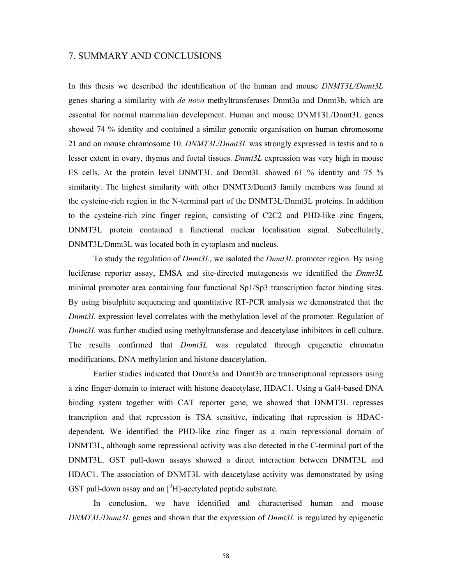## 7. SUMMARY AND CONCLUSIONS

In this thesis we described the identification of the human and mouse *DNMT3L/Dnmt3L* genes sharing a similarity with *de novo* methyltransferases Dnmt3a and Dnmt3b, which are essential for normal mammalian development. Human and mouse DNMT3L/Dnmt3L genes showed 74 % identity and contained a similar genomic organisation on human chromosome 21 and on mouse chromosome 10. *DNMT3L*/*Dnmt3L* was strongly expressed in testis and to a lesser extent in ovary, thymus and foetal tissues. *Dnmt3L* expression was very high in mouse ES cells. At the protein level DNMT3L and Dnmt3L showed 61 % identity and 75 % similarity. The highest similarity with other DNMT3/Dnmt3 family members was found at the cysteine-rich region in the N-terminal part of the DNMT3L/Dnmt3L proteins. In addition to the cysteine-rich zinc finger region, consisting of C2C2 and PHD-like zinc fingers, DNMT3L protein contained a functional nuclear localisation signal. Subcellularly, DNMT3L/Dnmt3L was located both in cytoplasm and nucleus.

To study the regulation of *Dnmt3L*, we isolated the *Dnmt3L* promoter region. By using luciferase reporter assay, EMSA and site-directed mutagenesis we identified the *Dnmt3L* minimal promoter area containing four functional Sp1/Sp3 transcription factor binding sites. By using bisulphite sequencing and quantitative RT-PCR analysis we demonstrated that the *Dnmt3L* expression level correlates with the methylation level of the promoter. Regulation of *Dnmt3L* was further studied using methyltransferase and deacetylase inhibitors in cell culture. The results confirmed that *Dnmt3L* was regulated through epigenetic chromatin modifications, DNA methylation and histone deacetylation.

Earlier studies indicated that Dnmt3a and Dnmt3b are transcriptional repressors using a zinc finger-domain to interact with histone deacetylase, HDAC1. Using a Gal4-based DNA binding system together with CAT reporter gene, we showed that DNMT3L represses trancription and that repression is TSA sensitive, indicating that repression is HDACdependent. We identified the PHD-like zinc finger as a main repressional domain of DNMT3L, although some repressional activity was also detected in the C-terminal part of the DNMT3L. GST pull-down assays showed a direct interaction between DNMT3L and HDAC1. The association of DNMT3L with deacetylase activity was demonstrated by using GST pull-down assay and an  $\int^3 H$ ]-acetylated peptide substrate.

In conclusion, we have identified and characterised human and mouse *DNMT3L*/*Dnmt3L* genes and shown that the expression of *Dnmt3L* is regulated by epigenetic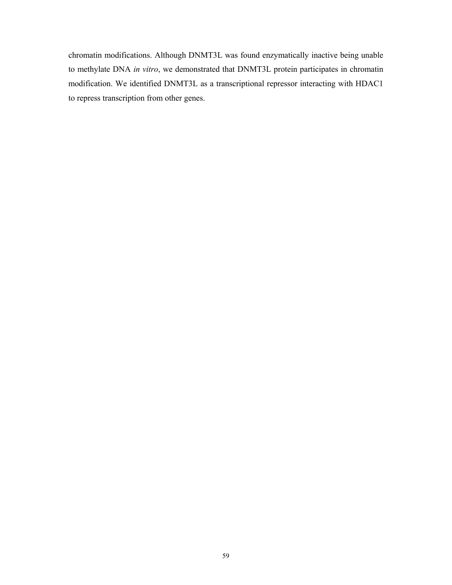chromatin modifications. Although DNMT3L was found enzymatically inactive being unable to methylate DNA *in vitro*, we demonstrated that DNMT3L protein participates in chromatin modification. We identified DNMT3L as a transcriptional repressor interacting with HDAC1 to repress transcription from other genes.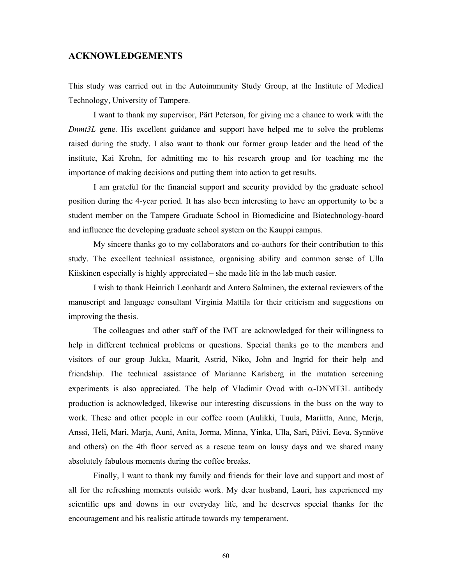## **ACKNOWLEDGEMENTS**

This study was carried out in the Autoimmunity Study Group, at the Institute of Medical Technology, University of Tampere.

I want to thank my supervisor, Pärt Peterson, for giving me a chance to work with the *Dnmt3L* gene. His excellent guidance and support have helped me to solve the problems raised during the study. I also want to thank our former group leader and the head of the institute, Kai Krohn, for admitting me to his research group and for teaching me the importance of making decisions and putting them into action to get results.

 I am grateful for the financial support and security provided by the graduate school position during the 4-year period. It has also been interesting to have an opportunity to be a student member on the Tampere Graduate School in Biomedicine and Biotechnology-board and influence the developing graduate school system on the Kauppi campus.

 My sincere thanks go to my collaborators and co-authors for their contribution to this study. The excellent technical assistance, organising ability and common sense of Ulla Kiiskinen especially is highly appreciated – she made life in the lab much easier.

 I wish to thank Heinrich Leonhardt and Antero Salminen, the external reviewers of the manuscript and language consultant Virginia Mattila for their criticism and suggestions on improving the thesis.

 The colleagues and other staff of the IMT are acknowledged for their willingness to help in different technical problems or questions. Special thanks go to the members and visitors of our group Jukka, Maarit, Astrid, Niko, John and Ingrid for their help and friendship. The technical assistance of Marianne Karlsberg in the mutation screening experiments is also appreciated. The help of Vladimir Ovod with  $\alpha$ -DNMT3L antibody production is acknowledged, likewise our interesting discussions in the buss on the way to work. These and other people in our coffee room (Aulikki, Tuula, Mariitta, Anne, Merja, Anssi, Heli, Mari, Marja, Auni, Anita, Jorma, Minna, Yinka, Ulla, Sari, Päivi, Eeva, Synnöve and others) on the 4th floor served as a rescue team on lousy days and we shared many absolutely fabulous moments during the coffee breaks.

 Finally, I want to thank my family and friends for their love and support and most of all for the refreshing moments outside work. My dear husband, Lauri, has experienced my scientific ups and downs in our everyday life, and he deserves special thanks for the encouragement and his realistic attitude towards my temperament.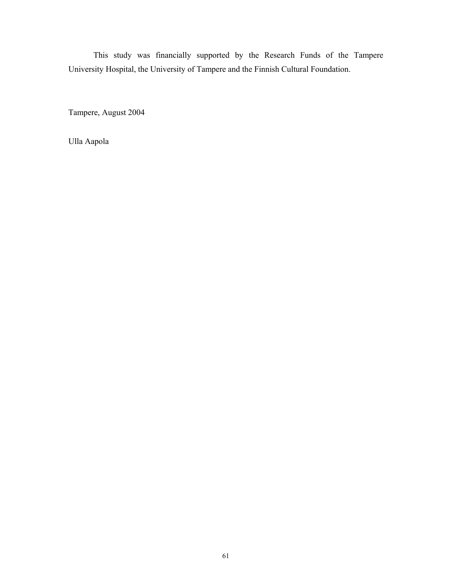This study was financially supported by the Research Funds of the Tampere University Hospital, the University of Tampere and the Finnish Cultural Foundation.

Tampere, August 2004

Ulla Aapola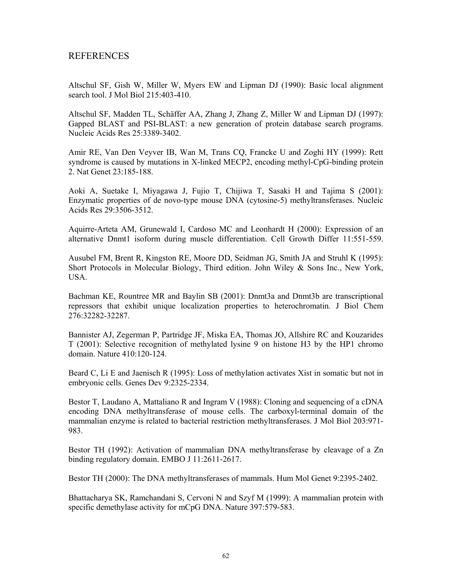## REFERENCES

Altschul SF, Gish W, Miller W, Myers EW and Lipman DJ (1990): Basic local alignment search tool. J Mol Biol 215:403-410.

Altschul SF, Madden TL, Schäffer AA, Zhang J, Zhang Z, Miller W and Lipman DJ (1997): Gapped BLAST and PSI-BLAST: a new generation of protein database search programs. Nucleic Acids Res 25:3389-3402.

Amir RE, Van Den Veyver IB, Wan M, Trans CQ, Francke U and Zoghi HY (1999): Rett syndrome is caused by mutations in X-linked MECP2, encoding methyl-CpG-binding protein 2. Nat Genet 23:185-188.

Aoki A, Suetake I, Miyagawa J, Fujio T, Chijiwa T, Sasaki H and Tajima S (2001): Enzymatic properties of de novo-type mouse DNA (cytosine-5) methyltransferases. Nucleic Acids Res 29:3506-3512.

Aquirre-Arteta AM, Grunewald I, Cardoso MC and Leonhardt H (2000): Expression of an alternative Dnmt1 isoform during muscle differentiation. Cell Growth Differ 11:551-559.

Ausubel FM, Brent R, Kingston RE, Moore DD, Seidman JG, Smith JA and Struhl K (1995): Short Protocols in Molecular Biology, Third edition. John Wiley & Sons Inc., New York, USA.

Bachman KE, Rountree MR and Baylin SB (2001): Dnmt3a and Dnmt3b are transcriptional repressors that exhibit unique localization properties to heterochromatin*.* J Biol Chem 276:32282-32287.

Bannister AJ, Zegerman P, Partridge JF, Miska EA, Thomas JO, Allshire RC and Kouzarides T (2001): Selective recognition of methylated lysine 9 on histone H3 by the HP1 chromo domain. Nature 410:120-124.

Beard C, Li E and Jaenisch R (1995): Loss of methylation activates Xist in somatic but not in embryonic cells. Genes Dev 9:2325-2334.

Bestor T, Laudano A, Mattaliano R and Ingram V (1988): Cloning and sequencing of a cDNA encoding DNA methyltransferase of mouse cells. The carboxyl-terminal domain of the mammalian enzyme is related to bacterial restriction methyltransferases. J Mol Biol 203:971- 983.

Bestor TH (1992): Activation of mammalian DNA methyltransferase by cleavage of a Zn binding regulatory domain. EMBO J 11:2611-2617.

Bestor TH (2000): The DNA methyltransferases of mammals. Hum Mol Genet 9:2395-2402.

Bhattacharya SK, Ramchandani S, Cervoni N and Szyf M (1999): A mammalian protein with specific demethylase activity for mCpG DNA. Nature 397:579-583.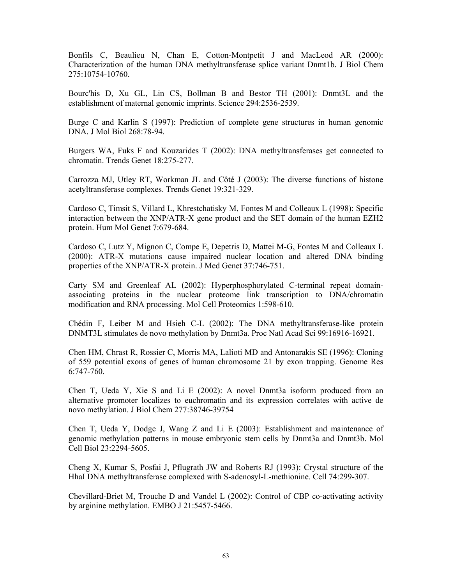Bonfils C, Beaulieu N, Chan E, Cotton-Montpetit J and MacLeod AR (2000): Characterization of the human DNA methyltransferase splice variant Dnmt1b. J Biol Chem 275:10754-10760.

Bourc'his D, Xu GL, Lin CS, Bollman B and Bestor TH (2001): Dnmt3L and the establishment of maternal genomic imprints. Science 294:2536-2539.

Burge C and Karlin S (1997): Prediction of complete gene structures in human genomic DNA. J Mol Biol 268:78-94.

Burgers WA, Fuks F and Kouzarides T (2002): DNA methyltransferases get connected to chromatin. Trends Genet 18:275-277.

Carrozza MJ, Utley RT, Workman JL and Côté J (2003): The diverse functions of histone acetyltransferase complexes. Trends Genet 19:321-329.

Cardoso C, Timsit S, Villard L, Khrestchatisky M, Fontes M and Colleaux L (1998): Specific interaction between the XNP/ATR-X gene product and the SET domain of the human EZH2 protein. Hum Mol Genet 7:679-684.

Cardoso C, Lutz Y, Mignon C, Compe E, Depetris D, Mattei M-G, Fontes M and Colleaux L (2000): ATR-X mutations cause impaired nuclear location and altered DNA binding properties of the XNP/ATR-X protein. J Med Genet 37:746-751.

Carty SM and Greenleaf AL (2002): Hyperphosphorylated C-terminal repeat domainassociating proteins in the nuclear proteome link transcription to DNA/chromatin modification and RNA processing. Mol Cell Proteomics 1:598-610.

Chédin F, Leiber M and Hsieh C-L (2002): The DNA methyltransferase-like protein DNMT3L stimulates de novo methylation by Dnmt3a. Proc Natl Acad Sci 99:16916-16921.

Chen HM, Chrast R, Rossier C, Morris MA, Lalioti MD and Antonarakis SE (1996): Cloning of 559 potential exons of genes of human chromosome 21 by exon trapping. Genome Res 6:747-760.

Chen T, Ueda Y, Xie S and Li E (2002): A novel Dnmt3a isoform produced from an alternative promoter localizes to euchromatin and its expression correlates with active de novo methylation. J Biol Chem 277:38746-39754

Chen T, Ueda Y, Dodge J, Wang Z and Li E (2003): Establishment and maintenance of genomic methylation patterns in mouse embryonic stem cells by Dnmt3a and Dnmt3b. Mol Cell Biol 23:2294-5605.

Cheng X, Kumar S, Posfai J, Pflugrath JW and Roberts RJ (1993): Crystal structure of the HhaI DNA methyltransferase complexed with S-adenosyl-L-methionine. Cell 74:299-307.

Chevillard-Briet M, Trouche D and Vandel L (2002): Control of CBP co-activating activity by arginine methylation. EMBO J 21:5457-5466.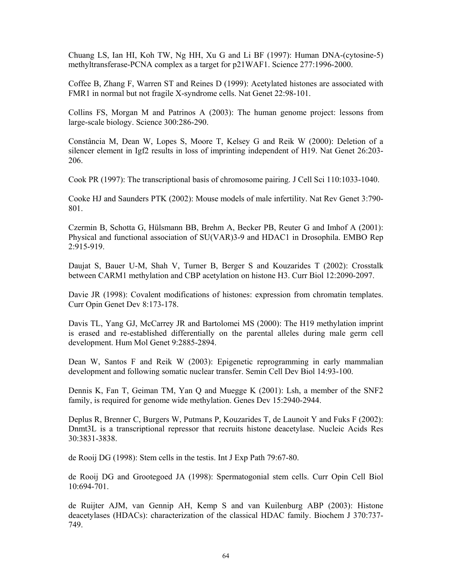Chuang LS, Ian HI, Koh TW, Ng HH, Xu G and Li BF (1997): Human DNA-(cytosine-5) methyltransferase-PCNA complex as a target for p21WAF1. Science 277:1996-2000.

Coffee B, Zhang F, Warren ST and Reines D (1999): Acetylated histones are associated with FMR1 in normal but not fragile X-syndrome cells. Nat Genet 22:98-101.

Collins FS, Morgan M and Patrinos A (2003): The human genome project: lessons from large-scale biology. Science 300:286-290.

Constância M, Dean W, Lopes S, Moore T, Kelsey G and Reik W (2000): Deletion of a silencer element in Igf2 results in loss of imprinting independent of H19. Nat Genet 26:203- 206.

Cook PR (1997): The transcriptional basis of chromosome pairing. J Cell Sci 110:1033-1040.

Cooke HJ and Saunders PTK (2002): Mouse models of male infertility. Nat Rev Genet 3:790- 801.

Czermin B, Schotta G, Hülsmann BB, Brehm A, Becker PB, Reuter G and Imhof A (2001): Physical and functional association of SU(VAR)3-9 and HDAC1 in Drosophila. EMBO Rep 2:915-919.

Daujat S, Bauer U-M, Shah V, Turner B, Berger S and Kouzarides T (2002): Crosstalk between CARM1 methylation and CBP acetylation on histone H3. Curr Biol 12:2090-2097.

Davie JR (1998): Covalent modifications of histones: expression from chromatin templates. Curr Opin Genet Dev 8:173-178.

Davis TL, Yang GJ, McCarrey JR and Bartolomei MS (2000): The H19 methylation imprint is erased and re-established differentially on the parental alleles during male germ cell development. Hum Mol Genet 9:2885-2894.

Dean W, Santos F and Reik W (2003): Epigenetic reprogramming in early mammalian development and following somatic nuclear transfer. Semin Cell Dev Biol 14:93-100.

Dennis K, Fan T, Geiman TM, Yan Q and Muegge K (2001): Lsh, a member of the SNF2 family, is required for genome wide methylation. Genes Dev 15:2940-2944.

Deplus R, Brenner C, Burgers W, Putmans P, Kouzarides T, de Launoit Y and Fuks F (2002): Dnmt3L is a transcriptional repressor that recruits histone deacetylase. Nucleic Acids Res 30:3831-3838.

de Rooij DG (1998): Stem cells in the testis. Int J Exp Path 79:67-80.

de Rooij DG and Grootegoed JA (1998): Spermatogonial stem cells. Curr Opin Cell Biol 10:694-701.

de Ruijter AJM, van Gennip AH, Kemp S and van Kuilenburg ABP (2003): Histone deacetylases (HDACs): characterization of the classical HDAC family. Biochem J 370:737- 749.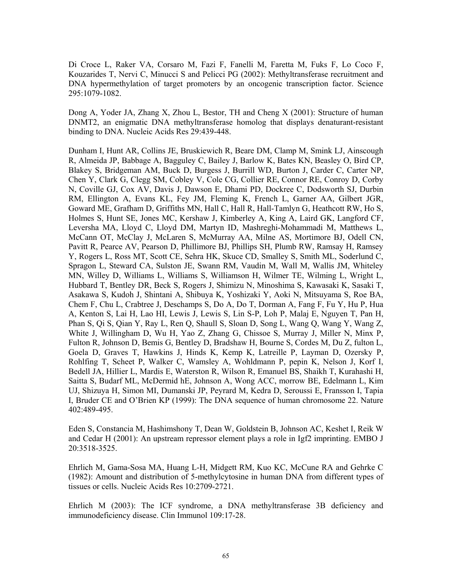Di Croce L, Raker VA, Corsaro M, Fazi F, Fanelli M, Faretta M, Fuks F, Lo Coco F, Kouzarides T, Nervi C, Minucci S and Pelicci PG (2002): Methyltransferase recruitment and DNA hypermethylation of target promoters by an oncogenic transcription factor. Science 295:1079-1082.

Dong A, Yoder JA, Zhang X, Zhou L, Bestor, TH and Cheng X (2001): Structure of human DNMT2, an enigmatic DNA methyltransferase homolog that displays denaturant-resistant binding to DNA. Nucleic Acids Res 29:439-448.

Dunham I, Hunt AR, Collins JE, Bruskiewich R, Beare DM, Clamp M, Smink LJ, Ainscough R, Almeida JP, Babbage A, Bagguley C, Bailey J, Barlow K, Bates KN, Beasley O, Bird CP, Blakey S, Bridgeman AM, Buck D, Burgess J, Burrill WD, Burton J, Carder C, Carter NP, Chen Y, Clark G, Clegg SM, Cobley V, Cole CG, Collier RE, Connor RE, Conroy D, Corby N, Coville GJ, Cox AV, Davis J, Dawson E, Dhami PD, Dockree C, Dodsworth SJ, Durbin RM, Ellington A, Evans KL, Fey JM, Fleming K, French L, Garner AA, Gilbert JGR, Goward ME, Grafham D, Griffiths MN, Hall C, Hall R, Hall-Tamlyn G, Heathcott RW, Ho S, Holmes S, Hunt SE, Jones MC, Kershaw J, Kimberley A, King A, Laird GK, Langford CF, Leversha MA, Lloyd C, Lloyd DM, Martyn ID, Mashreghi-Mohammadi M, Matthews L, McCann OT, McClay J, McLaren S, McMurray AA, Milne AS, Mortimore BJ, Odell CN, Pavitt R, Pearce AV, Pearson D, Phillimore BJ, Phillips SH, Plumb RW, Ramsay H, Ramsey Y, Rogers L, Ross MT, Scott CE, Sehra HK, Skuce CD, Smalley S, Smith ML, Soderlund C, Spragon L, Steward CA, Sulston JE, Swann RM, Vaudin M, Wall M, Wallis JM, Whiteley MN, Willey D, Williams L, Williams S, Williamson H, Wilmer TE, Wilming L, Wright L, Hubbard T, Bentley DR, Beck S, Rogers J, Shimizu N, Minoshima S, Kawasaki K, Sasaki T, Asakawa S, Kudoh J, Shintani A, Shibuya K, Yoshizaki Y, Aoki N, Mitsuyama S, Roe BA, Chem F, Chu L, Crabtree J, Deschamps S, Do A, Do T, Dorman A, Fang F, Fu Y, Hu P, Hua A, Kenton S, Lai H, Lao HI, Lewis J, Lewis S, Lin S-P, Loh P, Malaj E, Nguyen T, Pan H, Phan S, Qi S, Qian Y, Ray L, Ren Q, Shaull S, Sloan D, Song L, Wang Q, Wang Y, Wang Z, White J, Willingham D, Wu H, Yao Z, Zhang G, Chissoe S, Murray J, Miller N, Minx P, Fulton R, Johnson D, Bemis G, Bentley D, Bradshaw H, Bourne S, Cordes M, Du Z, fulton L, Goela D, Graves T, Hawkins J, Hinds K, Kemp K, Latreille P, Layman D, Ozersky P, Rohlfing T, Scheet P, Walker C, Wamsley A, Wohldmann P, pepin K, Nelson J, Korf I, Bedell JA, Hillier L, Mardis E, Waterston R, Wilson R, Emanuel BS, Shaikh T, Kurahashi H, Saitta S, Budarf ML, McDermid hE, Johnson A, Wong ACC, morrow BE, Edelmann L, Kim UJ, Shizuya H, Simon MI, Dumanski JP, Peyrard M, Kedra D, Seroussi E, Fransson I, Tapia I, Bruder CE and O'Brien KP (1999): The DNA sequence of human chromosome 22. Nature 402:489-495.

Eden S, Constancia M, Hashimshony T, Dean W, Goldstein B, Johnson AC, Keshet I, Reik W and Cedar H (2001): An upstream repressor element plays a role in Igf2 imprinting. EMBO J 20:3518-3525.

Ehrlich M, Gama-Sosa MA, Huang L-H, Midgett RM, Kuo KC, McCune RA and Gehrke C (1982): Amount and distribution of 5-methylcytosine in human DNA from different types of tissues or cells. Nucleic Acids Res 10:2709-2721.

Ehrlich M (2003): The ICF syndrome, a DNA methyltransferase 3B deficiency and immunodeficiency disease. Clin Immunol 109:17-28.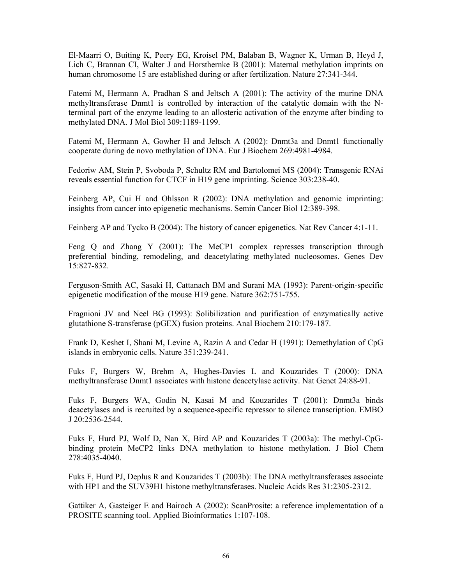El-Maarri O, Buiting K, Peery EG, Kroisel PM, Balaban B, Wagner K, Urman B, Heyd J, Lich C, Brannan CI, Walter J and Horsthernke B (2001): Maternal methylation imprints on human chromosome 15 are established during or after fertilization. Nature 27:341-344.

Fatemi M, Hermann A, Pradhan S and Jeltsch A (2001): The activity of the murine DNA methyltransferase Dnmt1 is controlled by interaction of the catalytic domain with the Nterminal part of the enzyme leading to an allosteric activation of the enzyme after binding to methylated DNA. J Mol Biol 309:1189-1199.

Fatemi M, Hermann A, Gowher H and Jeltsch A (2002): Dnmt3a and Dnmt1 functionally cooperate during de novo methylation of DNA. Eur J Biochem 269:4981-4984.

Fedoriw AM, Stein P, Svoboda P, Schultz RM and Bartolomei MS (2004): Transgenic RNAi reveals essential function for CTCF in H19 gene imprinting. Science 303:238-40.

Feinberg AP, Cui H and Ohlsson R (2002): DNA methylation and genomic imprinting: insights from cancer into epigenetic mechanisms. Semin Cancer Biol 12:389-398.

Feinberg AP and Tycko B (2004): The history of cancer epigenetics. Nat Rev Cancer 4:1-11.

Feng Q and Zhang Y (2001): The MeCP1 complex represses transcription through preferential binding, remodeling, and deacetylating methylated nucleosomes. Genes Dev 15:827-832.

Ferguson-Smith AC, Sasaki H, Cattanach BM and Surani MA (1993): Parent-origin-specific epigenetic modification of the mouse H19 gene. Nature 362:751-755.

Fragnioni JV and Neel BG (1993): Solibilization and purification of enzymatically active glutathione S-transferase (pGEX) fusion proteins. Anal Biochem 210:179-187.

Frank D, Keshet I, Shani M, Levine A, Razin A and Cedar H (1991): Demethylation of CpG islands in embryonic cells. Nature 351:239-241.

Fuks F, Burgers W, Brehm A, Hughes-Davies L and Kouzarides T (2000): DNA methyltransferase Dnmt1 associates with histone deacetylase activity. Nat Genet 24:88-91.

Fuks F, Burgers WA, Godin N, Kasai M and Kouzarides T (2001): Dnmt3a binds deacetylases and is recruited by a sequence-specific repressor to silence transcription*.* EMBO J 20:2536-2544.

Fuks F, Hurd PJ, Wolf D, Nan X, Bird AP and Kouzarides T (2003a): The methyl-CpGbinding protein MeCP2 links DNA methylation to histone methylation. J Biol Chem 278:4035-4040.

Fuks F, Hurd PJ, Deplus R and Kouzarides T (2003b): The DNA methyltransferases associate with HP1 and the SUV39H1 histone methyltransferases. Nucleic Acids Res 31:2305-2312.

Gattiker A, Gasteiger E and Bairoch A (2002): ScanProsite: a reference implementation of a PROSITE scanning tool. Applied Bioinformatics 1:107-108.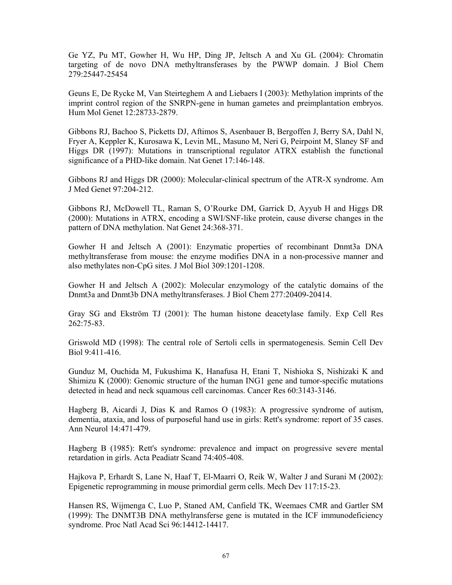Ge YZ, Pu MT, Gowher H, Wu HP, Ding JP, Jeltsch A and Xu GL (2004): Chromatin targeting of de novo DNA methyltransferases by the PWWP domain. J Biol Chem 279:25447-25454

Geuns E, De Rycke M, Van Steirteghem A and Liebaers I (2003): Methylation imprints of the imprint control region of the SNRPN-gene in human gametes and preimplantation embryos. Hum Mol Genet 12:28733-2879.

Gibbons RJ, Bachoo S, Picketts DJ, Aftimos S, Asenbauer B, Bergoffen J, Berry SA, Dahl N, Fryer A, Keppler K, Kurosawa K, Levin ML, Masuno M, Neri G, Peirpoint M, Slaney SF and Higgs DR (1997): Mutations in transcriptional regulator ATRX establish the functional significance of a PHD-like domain. Nat Genet 17:146-148.

Gibbons RJ and Higgs DR (2000): Molecular-clinical spectrum of the ATR-X syndrome. Am J Med Genet 97:204-212.

Gibbons RJ, McDowell TL, Raman S, O'Rourke DM, Garrick D, Ayyub H and Higgs DR (2000): Mutations in ATRX, encoding a SWI/SNF-like protein, cause diverse changes in the pattern of DNA methylation. Nat Genet 24:368-371.

Gowher H and Jeltsch A (2001): Enzymatic properties of recombinant Dnmt3a DNA methyltransferase from mouse: the enzyme modifies DNA in a non-processive manner and also methylates non-CpG sites. J Mol Biol 309:1201-1208.

Gowher H and Jeltsch A (2002): Molecular enzymology of the catalytic domains of the Dnmt3a and Dnmt3b DNA methyltransferases. J Biol Chem 277:20409-20414.

Gray SG and Ekström TJ (2001): The human histone deacetylase family. Exp Cell Res 262:75-83.

Griswold MD (1998): The central role of Sertoli cells in spermatogenesis. Semin Cell Dev Biol 9:411-416.

Gunduz M, Ouchida M, Fukushima K, Hanafusa H, Etani T, Nishioka S, Nishizaki K and Shimizu K (2000): Genomic structure of the human ING1 gene and tumor-specific mutations detected in head and neck squamous cell carcinomas. Cancer Res 60:3143-3146.

Hagberg B, Aicardi J, Dias K and Ramos O (1983): A progressive syndrome of autism, dementia, ataxia, and loss of purposeful hand use in girls: Rett's syndrome: report of 35 cases. Ann Neurol 14:471-479.

Hagberg B (1985): Rett's syndrome: prevalence and impact on progressive severe mental retardation in girls. Acta Peadiatr Scand 74:405-408.

Hajkova P, Erhardt S, Lane N, Haaf T, El-Maarri O, Reik W, Walter J and Surani M (2002): Epigenetic reprogramming in mouse primordial germ cells. Mech Dev 117:15-23.

Hansen RS, Wijmenga C, Luo P, Staned AM, Canfield TK, Weemaes CMR and Gartler SM (1999): The DNMT3B DNA methylransferse gene is mutated in the ICF immunodeficiency syndrome. Proc Natl Acad Sci 96:14412-14417.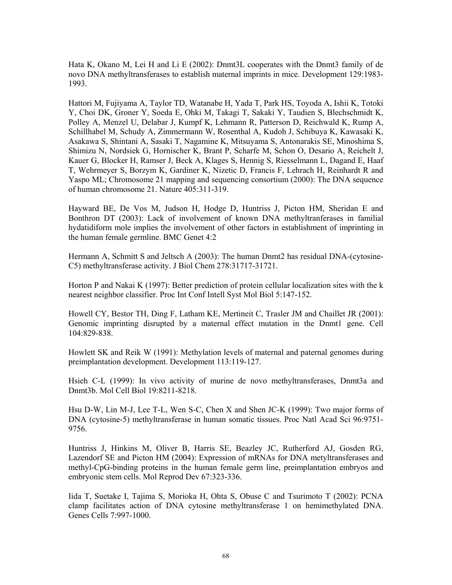Hata K, Okano M, Lei H and Li E (2002): Dnmt3L cooperates with the Dnmt3 family of de novo DNA methyltransferases to establish maternal imprints in mice. Development 129:1983- 1993.

Hattori M, Fujiyama A, Taylor TD, Watanabe H, Yada T, Park HS, Toyoda A, Ishii K, Totoki Y, Choi DK, Groner Y, Soeda E, Ohki M, Takagi T, Sakaki Y, Taudien S, Blechschmidt K, Polley A, Menzel U, Delabar J, Kumpf K, Lehmann R, Patterson D, Reichwald K, Rump A, Schillhabel M, Schudy A, Zimmermann W, Rosenthal A, Kudoh J, Schibuya K, Kawasaki K, Asakawa S, Shintani A, Sasaki T, Nagamine K, Mitsuyama S, Antonarakis SE, Minoshima S, Shimizu N, Nordsiek G, Hornischer K, Brant P, Scharfe M, Schon O, Desario A, Reichelt J, Kauer G, Blocker H, Ramser J, Beck A, Klages S, Hennig S, Riesselmann L, Dagand E, Haaf T, Wehrmeyer S, Borzym K, Gardiner K, Nizetic D, Francis F, Lehrach H, Reinhardt R and Yaspo ML; Chromosome 21 mapping and sequencing consortium (2000): The DNA sequence of human chromosome 21. Nature 405:311-319.

Hayward BE, De Vos M, Judson H, Hodge D, Huntriss J, Picton HM, Sheridan E and Bonthron DT (2003): Lack of involvement of known DNA methyltranferases in familial hydatidiform mole implies the involvement of other factors in establishment of imprinting in the human female germline. BMC Genet 4:2

Hermann A, Schmitt S and Jeltsch A (2003): The human Dnmt2 has residual DNA-(cytosine-C5) methyltransferase activity. J Biol Chem 278:31717-31721.

Horton P and Nakai K (1997): Better prediction of protein cellular localization sites with the k nearest neighbor classifier. Proc Int Conf Intell Syst Mol Biol 5:147-152.

Howell CY, Bestor TH, Ding F, Latham KE, Mertineit C, Trasler JM and Chaillet JR (2001): Genomic imprinting disrupted by a maternal effect mutation in the Dnmt1 gene. Cell 104:829-838.

Howlett SK and Reik W (1991): Methylation levels of maternal and paternal genomes during preimplantation development. Development 113:119-127.

Hsieh C-L (1999): In vivo activity of murine de novo methyltransferases, Dnmt3a and Dnmt3b. Mol Cell Biol 19:8211-8218.

Hsu D-W, Lin M-J, Lee T-L, Wen S-C, Chen X and Shen JC-K (1999): Two major forms of DNA (cytosine-5) methyltransferase in human somatic tissues. Proc Natl Acad Sci 96:9751- 9756.

Huntriss J, Hinkins M, Oliver B, Harris SE, Beazley JC, Rutherford AJ, Gosden RG, Lazendorf SE and Picton HM (2004): Expression of mRNAs for DNA metyltransferases and methyl-CpG-binding proteins in the human female germ line, preimplantation embryos and embryonic stem cells. Mol Reprod Dev 67:323-336.

Iida T, Suetake I, Tajima S, Morioka H, Ohta S, Obuse C and Tsurimoto T (2002): PCNA clamp facilitates action of DNA cytosine methyltransferase 1 on hemimethylated DNA. Genes Cells 7:997-1000.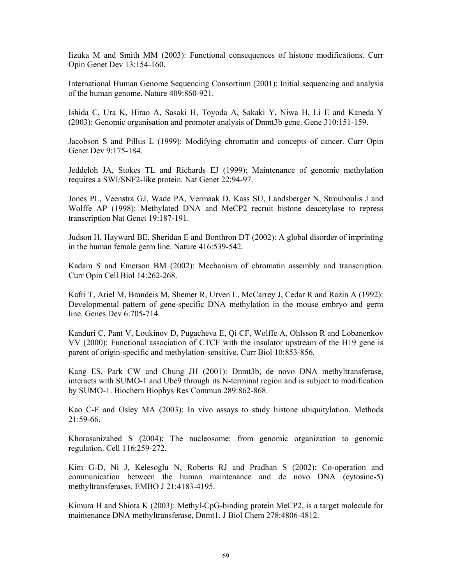Iizuka M and Smith MM (2003): Functional consequences of histone modifications. Curr Opin Genet Dev 13:154-160.

International Human Genome Sequencing Consortium (2001): Initial sequencing and analysis of the human genome. Nature 409:860-921.

Ishida C, Ura K, Hirao A, Sasaki H, Toyoda A, Sakaki Y, Niwa H, Li E and Kaneda Y (2003): Genomic organisation and promoter analysis of Dnmt3b gene. Gene 310:151-159.

Jacobson S and Pillus L (1999): Modifying chromatin and concepts of cancer. Curr Opin Genet Dev 9:175-184.

Jeddeloh JA, Stokes TL and Richards EJ (1999): Maintenance of genomic methylation requires a SWI/SNF2-like protein. Nat Genet 22:94-97.

Jones PL, Veenstra GJ, Wade PA, Vermaak D, Kass SU, Landsberger N, Strouboulis J and Wolffe AP (1998): Methylated DNA and MeCP2 recruit histone deacetylase to repress transcription Nat Genet 19:187-191.

Judson H, Hayward BE, Sheridan E and Bonthron DT (2002): A global disorder of imprinting in the human female germ line. Nature 416:539-542.

Kadam S and Emerson BM (2002): Mechanism of chromatin assembly and transcription. Curr Opin Cell Biol 14:262-268.

Kafri T, Ariel M, Brandeis M, Shemer R, Urven L, McCarrey J, Cedar R and Razin A (1992): Developmental pattern of gene-specific DNA methylation in the mouse embryo and germ line. Genes Dev 6:705-714.

Kanduri C, Pant V, Loukinov D, Pugacheva E, Qi CF, Wolffe A, Ohlsson R and Lobanenkov VV (2000): Functional association of CTCF with the insulator upstream of the H19 gene is parent of origin-specific and methylation-sensitive. Curr Biol 10:853-856.

Kang ES, Park CW and Chung JH (2001): Dnmt3b, de novo DNA methyltransferase, interacts with SUMO-1 and Ubc9 through its N-terminal region and is subject to modification by SUMO-1. Biochem Biophys Res Commun 289:862-868.

Kao C-F and Osley MA (2003): In vivo assays to study histone ubiquitylation. Methods 21:59-66.

Khorasanizahed S (2004): The nucleosome: from genomic organization to genomic regulation. Cell 116:259-272.

Kim G-D, Ni J, Kelesoglu N, Roberts RJ and Pradhan S (2002): Co-operation and communication between the human maintenance and de novo DNA (cytosine-5) methyltransferases. EMBO J 21:4183-4195.

Kimura H and Shiota K (2003): Methyl-CpG-binding protein MeCP2, is a target molecule for maintenance DNA methyltransferase, Dnmt1. J Biol Chem 278:4806-4812.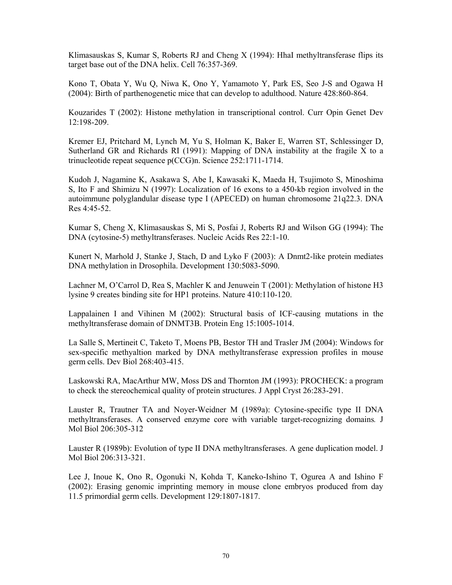Klimasauskas S, Kumar S, Roberts RJ and Cheng X (1994): HhaI methyltransferase flips its target base out of the DNA helix. Cell 76:357-369.

Kono T, Obata Y, Wu Q, Niwa K, Ono Y, Yamamoto Y, Park ES, Seo J-S and Ogawa H (2004): Birth of parthenogenetic mice that can develop to adulthood. Nature 428:860-864.

Kouzarides T (2002): Histone methylation in transcriptional control. Curr Opin Genet Dev 12:198-209.

Kremer EJ, Pritchard M, Lynch M, Yu S, Holman K, Baker E, Warren ST, Schlessinger D, Sutherland GR and Richards RI (1991): Mapping of DNA instability at the fragile X to a trinucleotide repeat sequence p(CCG)n. Science 252:1711-1714.

Kudoh J, Nagamine K, Asakawa S, Abe I, Kawasaki K, Maeda H, Tsujimoto S, Minoshima S, Ito F and Shimizu N (1997): Localization of 16 exons to a 450-kb region involved in the autoimmune polyglandular disease type I (APECED) on human chromosome 21q22.3. DNA Res 4:45-52.

Kumar S, Cheng X, Klimasauskas S, Mi S, Posfai J, Roberts RJ and Wilson GG (1994): The DNA (cytosine-5) methyltransferases. Nucleic Acids Res 22:1-10.

Kunert N, Marhold J, Stanke J, Stach, D and Lyko F (2003): A Dnmt2-like protein mediates DNA methylation in Drosophila. Development 130:5083-5090.

Lachner M, O'Carrol D, Rea S, Machler K and Jenuwein T (2001): Methylation of histone H3 lysine 9 creates binding site for HP1 proteins. Nature 410:110-120.

Lappalainen I and Vihinen M (2002): Structural basis of ICF-causing mutations in the methyltransferase domain of DNMT3B. Protein Eng 15:1005-1014.

La Salle S, Mertineit C, Taketo T, Moens PB, Bestor TH and Trasler JM (2004): Windows for sex-specific methyaltion marked by DNA methyltransferase expression profiles in mouse germ cells. Dev Biol 268:403-415.

Laskowski RA, MacArthur MW, Moss DS and Thornton JM (1993): PROCHECK: a program to check the stereochemical quality of protein structures. J Appl Cryst 26:283-291.

Lauster R, Trautner TA and Noyer-Weidner M (1989a): Cytosine-specific type II DNA methyltransferases. A conserved enzyme core with variable target-recognizing domains*.* J Mol Biol 206:305-312

Lauster R (1989b): Evolution of type II DNA methyltransferases. A gene duplication model. J Mol Biol 206:313-321.

Lee J, Inoue K, Ono R, Ogonuki N, Kohda T, Kaneko-Ishino T, Ogurea A and Ishino F (2002): Erasing genomic imprinting memory in mouse clone embryos produced from day 11.5 primordial germ cells. Development 129:1807-1817.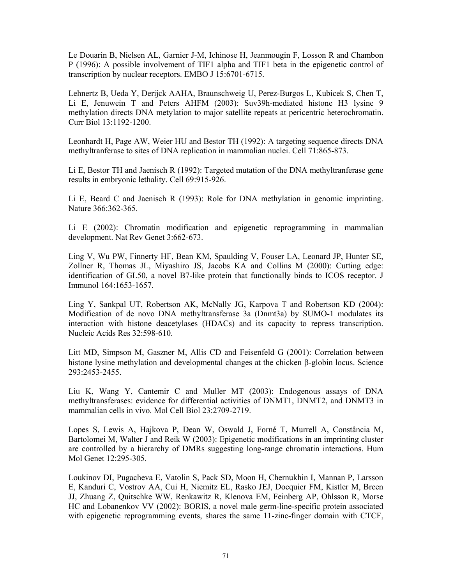Le Douarin B, Nielsen AL, Garnier J-M, Ichinose H, Jeanmougin F, Losson R and Chambon P (1996): A possible involvement of TIF1 alpha and TIF1 beta in the epigenetic control of transcription by nuclear receptors. EMBO J 15:6701-6715.

Lehnertz B, Ueda Y, Derijck AAHA, Braunschweig U, Perez-Burgos L, Kubicek S, Chen T, Li E, Jenuwein T and Peters AHFM (2003): Suv39h-mediated histone H3 lysine 9 methylation directs DNA metylation to major satellite repeats at pericentric heterochromatin. Curr Biol 13:1192-1200.

Leonhardt H, Page AW, Weier HU and Bestor TH (1992): A targeting sequence directs DNA methyltranferase to sites of DNA replication in mammalian nuclei. Cell 71:865-873.

Li E, Bestor TH and Jaenisch R (1992): Targeted mutation of the DNA methyltranferase gene results in embryonic lethality. Cell 69:915-926.

Li E, Beard C and Jaenisch R (1993): Role for DNA methylation in genomic imprinting. Nature 366:362-365.

Li E (2002): Chromatin modification and epigenetic reprogramming in mammalian development. Nat Rev Genet 3:662-673.

Ling V, Wu PW, Finnerty HF, Bean KM, Spaulding V, Fouser LA, Leonard JP, Hunter SE, Zollner R, Thomas JL, Miyashiro JS, Jacobs KA and Collins M (2000): Cutting edge: identification of GL50, a novel B7-like protein that functionally binds to ICOS receptor. J Immunol 164:1653-1657.

Ling Y, Sankpal UT, Robertson AK, McNally JG, Karpova T and Robertson KD (2004): Modification of de novo DNA methyltransferase 3a (Dnmt3a) by SUMO-1 modulates its interaction with histone deacetylases (HDACs) and its capacity to repress transcription. Nucleic Acids Res 32:598-610.

Litt MD, Simpson M, Gaszner M, Allis CD and Feisenfeld G (2001): Correlation between histone lysine methylation and developmental changes at the chicken β-globin locus. Science 293:2453-2455.

Liu K, Wang Y, Cantemir C and Muller MT (2003): Endogenous assays of DNA methyltransferases: evidence for differential activities of DNMT1, DNMT2, and DNMT3 in mammalian cells in vivo. Mol Cell Biol 23:2709-2719.

Lopes S, Lewis A, Hajkova P, Dean W, Oswald J, Forné T, Murrell A, Constância M, Bartolomei M, Walter J and Reik W (2003): Epigenetic modifications in an imprinting cluster are controlled by a hierarchy of DMRs suggesting long-range chromatin interactions. Hum Mol Genet 12:295-305.

Loukinov DI, Pugacheva E, Vatolin S, Pack SD, Moon H, Chernukhin I, Mannan P, Larsson E, Kanduri C, Vostrov AA, Cui H, Niemitz EL, Rasko JEJ, Docquier FM, Kistler M, Breen JJ, Zhuang Z, Quitschke WW, Renkawitz R, Klenova EM, Feinberg AP, Ohlsson R, Morse HC and Lobanenkov VV (2002): BORIS, a novel male germ-line-specific protein associated with epigenetic reprogramming events, shares the same 11-zinc-finger domain with CTCF,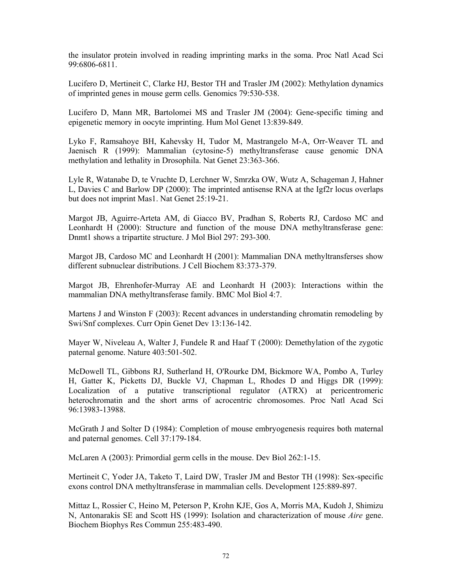the insulator protein involved in reading imprinting marks in the soma. Proc Natl Acad Sci 99:6806-6811.

Lucifero D, Mertineit C, Clarke HJ, Bestor TH and Trasler JM (2002): Methylation dynamics of imprinted genes in mouse germ cells. Genomics 79:530-538.

Lucifero D, Mann MR, Bartolomei MS and Trasler JM (2004): Gene-specific timing and epigenetic memory in oocyte imprinting. Hum Mol Genet 13:839-849.

Lyko F, Ramsahoye BH, Kahevsky H, Tudor M, Mastrangelo M-A, Orr-Weaver TL and Jaenisch R (1999): Mammalian (cytosine-5) methyltransferase cause genomic DNA methylation and lethality in Drosophila. Nat Genet 23:363-366.

Lyle R, Watanabe D, te Vruchte D, Lerchner W, Smrzka OW, Wutz A, Schageman J, Hahner L, Davies C and Barlow DP (2000): The imprinted antisense RNA at the Igf2r locus overlaps but does not imprint Mas1. Nat Genet 25:19-21.

Margot JB, Aguirre-Arteta AM, di Giacco BV, Pradhan S, Roberts RJ, Cardoso MC and Leonhardt H (2000): Structure and function of the mouse DNA methyltransferase gene: Dnmt1 shows a tripartite structure. J Mol Biol 297: 293-300.

Margot JB, Cardoso MC and Leonhardt H (2001): Mammalian DNA methyltransferses show different subnuclear distributions. J Cell Biochem 83:373-379.

Margot JB, Ehrenhofer-Murray AE and Leonhardt H (2003): Interactions within the mammalian DNA methyltransferase family. BMC Mol Biol 4:7.

Martens J and Winston F (2003): Recent advances in understanding chromatin remodeling by Swi/Snf complexes. Curr Opin Genet Dev 13:136-142.

Mayer W, Niveleau A, Walter J, Fundele R and Haaf T (2000): Demethylation of the zygotic paternal genome. Nature 403:501-502.

McDowell TL, Gibbons RJ, Sutherland H, O'Rourke DM, Bickmore WA, Pombo A, Turley H, Gatter K, Picketts DJ, Buckle VJ, Chapman L, Rhodes D and Higgs DR (1999): Localization of a putative transcriptional regulator (ATRX) at pericentromeric heterochromatin and the short arms of acrocentric chromosomes. Proc Natl Acad Sci 96:13983-13988.

McGrath J and Solter D (1984): Completion of mouse embryogenesis requires both maternal and paternal genomes. Cell 37:179-184.

McLaren A (2003): Primordial germ cells in the mouse. Dev Biol 262:1-15.

Mertineit C, Yoder JA, Taketo T, Laird DW, Trasler JM and Bestor TH (1998): Sex-specific exons control DNA methyltransferase in mammalian cells. Development 125:889-897.

Mittaz L, Rossier C, Heino M, Peterson P, Krohn KJE, Gos A, Morris MA, Kudoh J, Shimizu N, Antonarakis SE and Scott HS (1999): Isolation and characterization of mouse *Aire* gene. Biochem Biophys Res Commun 255:483-490.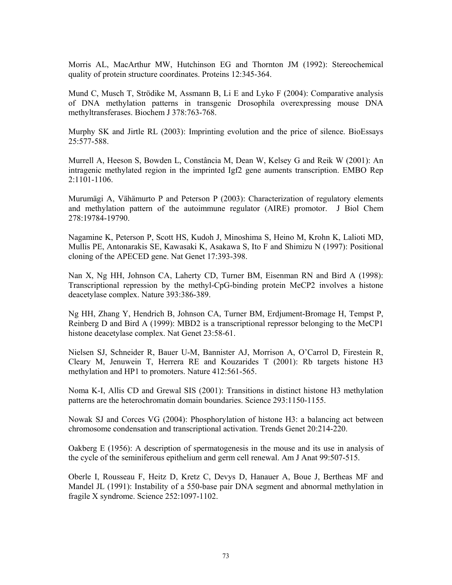Morris AL, MacArthur MW, Hutchinson EG and Thornton JM (1992): Stereochemical quality of protein structure coordinates. Proteins 12:345-364.

Mund C, Musch T, Strödike M, Assmann B, Li E and Lyko F (2004): Comparative analysis of DNA methylation patterns in transgenic Drosophila overexpressing mouse DNA methyltransferases. Biochem J 378:763-768.

Murphy SK and Jirtle RL (2003): Imprinting evolution and the price of silence. BioEssays 25:577-588.

Murrell A, Heeson S, Bowden L, Constância M, Dean W, Kelsey G and Reik W (2001): An intragenic methylated region in the imprinted Igf2 gene auments transcription. EMBO Rep 2:1101-1106.

Murumägi A, Vähämurto P and Peterson P (2003): Characterization of regulatory elements and methylation pattern of the autoimmune regulator (AIRE) promotor. J Biol Chem 278:19784-19790.

Nagamine K, Peterson P, Scott HS, Kudoh J, Minoshima S, Heino M, Krohn K, Lalioti MD, Mullis PE, Antonarakis SE, Kawasaki K, Asakawa S, Ito F and Shimizu N (1997): Positional cloning of the APECED gene. Nat Genet 17:393-398.

Nan X, Ng HH, Johnson CA, Laherty CD, Turner BM, Eisenman RN and Bird A (1998): Transcriptional repression by the methyl-CpG-binding protein MeCP2 involves a histone deacetylase complex. Nature 393:386-389.

Ng HH, Zhang Y, Hendrich B, Johnson CA, Turner BM, Erdjument-Bromage H, Tempst P, Reinberg D and Bird A (1999): MBD2 is a transcriptional repressor belonging to the MeCP1 histone deacetylase complex. Nat Genet 23:58-61.

Nielsen SJ, Schneider R, Bauer U-M, Bannister AJ, Morrison A, O'Carrol D, Firestein R, Cleary M, Jenuwein T, Herrera RE and Kouzarides T (2001): Rb targets histone H3 methylation and HP1 to promoters. Nature 412:561-565.

Noma K-I, Allis CD and Grewal SIS (2001): Transitions in distinct histone H3 methylation patterns are the heterochromatin domain boundaries. Science 293:1150-1155.

Nowak SJ and Corces VG (2004): Phosphorylation of histone H3: a balancing act between chromosome condensation and transcriptional activation. Trends Genet 20:214-220.

Oakberg E (1956): A description of spermatogenesis in the mouse and its use in analysis of the cycle of the seminiferous epithelium and germ cell renewal. Am J Anat 99:507-515.

Oberle I, Rousseau F, Heitz D, Kretz C, Devys D, Hanauer A, Boue J, Bertheas MF and Mandel JL (1991): Instability of a 550-base pair DNA segment and abnormal methylation in fragile X syndrome. Science 252:1097-1102.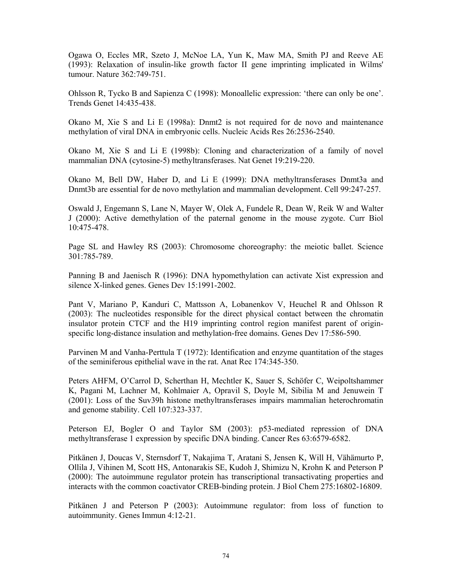Ogawa O, Eccles MR, Szeto J, McNoe LA, Yun K, Maw MA, Smith PJ and Reeve AE (1993): Relaxation of insulin-like growth factor II gene imprinting implicated in Wilms' tumour. Nature 362:749-751.

Ohlsson R, Tycko B and Sapienza C (1998): Monoallelic expression: 'there can only be one'. Trends Genet 14:435-438.

Okano M, Xie S and Li E (1998a): Dnmt2 is not required for de novo and maintenance methylation of viral DNA in embryonic cells. Nucleic Acids Res 26:2536-2540.

Okano M, Xie S and Li E (1998b): Cloning and characterization of a family of novel mammalian DNA (cytosine-5) methyltransferases. Nat Genet 19:219-220.

Okano M, Bell DW, Haber D, and Li E (1999): DNA methyltransferases Dnmt3a and Dnmt3b are essential for de novo methylation and mammalian development. Cell 99:247-257.

Oswald J, Engemann S, Lane N, Mayer W, Olek A, Fundele R, Dean W, Reik W and Walter J (2000): Active demethylation of the paternal genome in the mouse zygote. Curr Biol 10:475-478.

Page SL and Hawley RS (2003): Chromosome choreography: the meiotic ballet. Science 301:785-789.

Panning B and Jaenisch R (1996): DNA hypomethylation can activate Xist expression and silence X-linked genes. Genes Dev 15:1991-2002.

Pant V, Mariano P, Kanduri C, Mattsson A, Lobanenkov V, Heuchel R and Ohlsson R (2003): The nucleotides responsible for the direct physical contact between the chromatin insulator protein CTCF and the H19 imprinting control region manifest parent of originspecific long-distance insulation and methylation-free domains. Genes Dev 17:586-590.

Parvinen M and Vanha-Perttula T (1972): Identification and enzyme quantitation of the stages of the seminiferous epithelial wave in the rat. Anat Rec 174:345-350.

Peters AHFM, O'Carrol D, Scherthan H, Mechtler K, Sauer S, Schöfer C, Weipoltshammer K, Pagani M, Lachner M, Kohlmaier A, Opravil S, Doyle M, Sibilia M and Jenuwein T (2001): Loss of the Suv39h histone methyltransferases impairs mammalian heterochromatin and genome stability. Cell 107:323-337.

Peterson EJ, Bogler O and Taylor SM (2003): p53-mediated repression of DNA methyltransferase 1 expression by specific DNA binding. Cancer Res 63:6579-6582.

Pitkänen J, Doucas V, Sternsdorf T, Nakajima T, Aratani S, Jensen K, Will H, Vähämurto P, Ollila J, Vihinen M, Scott HS, Antonarakis SE, Kudoh J, Shimizu N, Krohn K and Peterson P (2000): The autoimmune regulator protein has transcriptional transactivating properties and interacts with the common coactivator CREB-binding protein. J Biol Chem 275:16802-16809.

Pitkänen J and Peterson P (2003): Autoimmune regulator: from loss of function to autoimmunity. Genes Immun 4:12-21.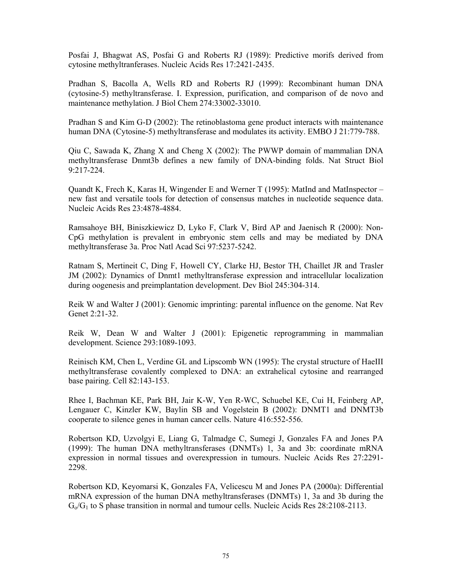Posfai J, Bhagwat AS, Posfai G and Roberts RJ (1989): Predictive morifs derived from cytosine methyltranferases. Nucleic Acids Res 17:2421-2435.

Pradhan S, Bacolla A, Wells RD and Roberts RJ (1999): Recombinant human DNA (cytosine-5) methyltransferase. I. Expression, purification, and comparison of de novo and maintenance methylation. J Biol Chem 274:33002-33010.

Pradhan S and Kim G-D (2002): The retinoblastoma gene product interacts with maintenance human DNA (Cytosine-5) methyltransferase and modulates its activity. EMBO J 21:779-788.

Qiu C, Sawada K, Zhang X and Cheng X (2002): The PWWP domain of mammalian DNA methyltransferase Dnmt3b defines a new family of DNA-binding folds. Nat Struct Biol 9:217-224.

Quandt K, Frech K, Karas H, Wingender E and Werner T (1995): MatInd and MatInspector – new fast and versatile tools for detection of consensus matches in nucleotide sequence data. Nucleic Acids Res 23:4878-4884.

Ramsahoye BH, Biniszkiewicz D, Lyko F, Clark V, Bird AP and Jaenisch R (2000): Non-CpG methylation is prevalent in embryonic stem cells and may be mediated by DNA methyltransferase 3a. Proc Natl Acad Sci 97:5237-5242.

Ratnam S, Mertineit C, Ding F, Howell CY, Clarke HJ, Bestor TH, Chaillet JR and Trasler JM (2002): Dynamics of Dnmt1 methyltransferase expression and intracellular localization during oogenesis and preimplantation development. Dev Biol 245:304-314.

Reik W and Walter J (2001): Genomic imprinting: parental influence on the genome. Nat Rev Genet 2:21-32.

Reik W, Dean W and Walter J (2001): Epigenetic reprogramming in mammalian development. Science 293:1089-1093.

Reinisch KM, Chen L, Verdine GL and Lipscomb WN (1995): The crystal structure of HaeIII methyltransferase covalently complexed to DNA: an extrahelical cytosine and rearranged base pairing. Cell 82:143-153.

Rhee I, Bachman KE, Park BH, Jair K-W, Yen R-WC, Schuebel KE, Cui H, Feinberg AP, Lengauer C, Kinzler KW, Baylin SB and Vogelstein B (2002): DNMT1 and DNMT3b cooperate to silence genes in human cancer cells. Nature 416:552-556.

Robertson KD, Uzvolgyi E, Liang G, Talmadge C, Sumegi J, Gonzales FA and Jones PA (1999): The human DNA methyltransferases (DNMTs) 1, 3a and 3b: coordinate mRNA expression in normal tissues and overexpression in tumours. Nucleic Acids Res 27:2291- 2298.

Robertson KD, Keyomarsi K, Gonzales FA, Velicescu M and Jones PA (2000a): Differential mRNA expression of the human DNA methyltransferases (DNMTs) 1, 3a and 3b during the  $G_0/G_1$  to S phase transition in normal and tumour cells. Nucleic Acids Res 28:2108-2113.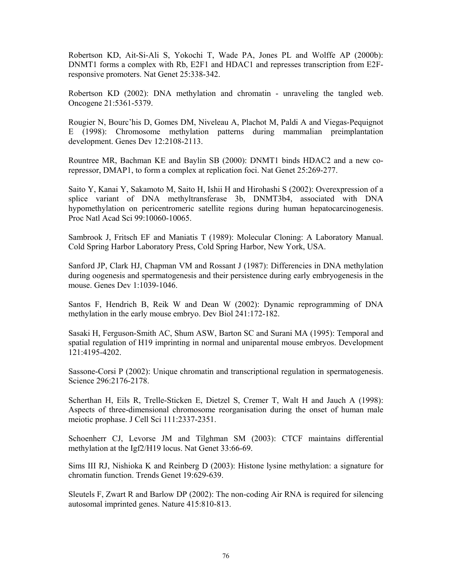Robertson KD, Ait-Si-Ali S, Yokochi T, Wade PA, Jones PL and Wolffe AP (2000b): DNMT1 forms a complex with Rb, E2F1 and HDAC1 and represses transcription from E2Fresponsive promoters. Nat Genet 25:338-342.

Robertson KD (2002): DNA methylation and chromatin - unraveling the tangled web. Oncogene 21:5361-5379.

Rougier N, Bourc'his D, Gomes DM, Niveleau A, Plachot M, Paldi A and Viegas-Pequignot E (1998): Chromosome methylation patterns during mammalian preimplantation development. Genes Dev 12:2108-2113.

Rountree MR, Bachman KE and Baylin SB (2000): DNMT1 binds HDAC2 and a new corepressor, DMAP1, to form a complex at replication foci. Nat Genet 25:269-277.

Saito Y, Kanai Y, Sakamoto M, Saito H, Ishii H and Hirohashi S (2002): Overexpression of a splice variant of DNA methyltransferase 3b, DNMT3b4, associated with DNA hypomethylation on pericentromeric satellite regions during human hepatocarcinogenesis. Proc Natl Acad Sci 99:10060-10065.

Sambrook J, Fritsch EF and Maniatis T (1989): Molecular Cloning: A Laboratory Manual. Cold Spring Harbor Laboratory Press, Cold Spring Harbor, New York, USA.

Sanford JP, Clark HJ, Chapman VM and Rossant J (1987): Differencies in DNA methylation during oogenesis and spermatogenesis and their persistence during early embryogenesis in the mouse. Genes Dev 1:1039-1046.

Santos F, Hendrich B, Reik W and Dean W (2002): Dynamic reprogramming of DNA methylation in the early mouse embryo. Dev Biol 241:172-182.

Sasaki H, Ferguson-Smith AC, Shum ASW, Barton SC and Surani MA (1995): Temporal and spatial regulation of H19 imprinting in normal and uniparental mouse embryos. Development 121:4195-4202.

Sassone-Corsi P (2002): Unique chromatin and transcriptional regulation in spermatogenesis. Science 296:2176-2178.

Scherthan H, Eils R, Trelle-Sticken E, Dietzel S, Cremer T, Walt H and Jauch A (1998): Aspects of three-dimensional chromosome reorganisation during the onset of human male meiotic prophase. J Cell Sci 111:2337-2351.

Schoenherr CJ, Levorse JM and Tilghman SM (2003): CTCF maintains differential methylation at the Igf2/H19 locus. Nat Genet 33:66-69.

Sims III RJ, Nishioka K and Reinberg D (2003): Histone lysine methylation: a signature for chromatin function. Trends Genet 19:629-639.

Sleutels F, Zwart R and Barlow DP (2002): The non-coding Air RNA is required for silencing autosomal imprinted genes. Nature 415:810-813.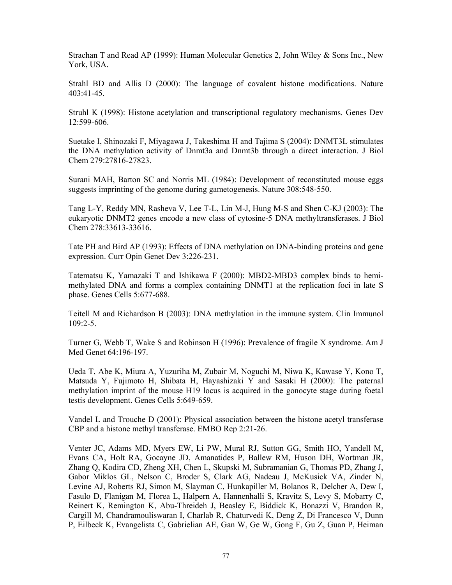Strachan T and Read AP (1999): Human Molecular Genetics 2, John Wiley & Sons Inc., New York, USA.

Strahl BD and Allis D (2000): The language of covalent histone modifications. Nature 403:41-45.

Struhl K (1998): Histone acetylation and transcriptional regulatory mechanisms. Genes Dev 12:599-606.

Suetake I, Shinozaki F, Miyagawa J, Takeshima H and Tajima S (2004): DNMT3L stimulates the DNA methylation activity of Dnmt3a and Dnmt3b through a direct interaction. J Biol Chem 279:27816-27823.

Surani MAH, Barton SC and Norris ML (1984): Development of reconstituted mouse eggs suggests imprinting of the genome during gametogenesis. Nature 308:548-550.

Tang L-Y, Reddy MN, Rasheva V, Lee T-L, Lin M-J, Hung M-S and Shen C-KJ (2003): The eukaryotic DNMT2 genes encode a new class of cytosine-5 DNA methyltransferases. J Biol Chem 278:33613-33616.

Tate PH and Bird AP (1993): Effects of DNA methylation on DNA-binding proteins and gene expression. Curr Opin Genet Dev 3:226-231.

Tatematsu K, Yamazaki T and Ishikawa F (2000): MBD2-MBD3 complex binds to hemimethylated DNA and forms a complex containing DNMT1 at the replication foci in late S phase. Genes Cells 5:677-688.

Teitell M and Richardson B (2003): DNA methylation in the immune system. Clin Immunol 109:2-5.

Turner G, Webb T, Wake S and Robinson H (1996): Prevalence of fragile X syndrome. Am J Med Genet 64:196-197.

Ueda T, Abe K, Miura A, Yuzuriha M, Zubair M, Noguchi M, Niwa K, Kawase Y, Kono T, Matsuda Y, Fujimoto H, Shibata H, Hayashizaki Y and Sasaki H (2000): The paternal methylation imprint of the mouse H19 locus is acquired in the gonocyte stage during foetal testis development. Genes Cells 5:649-659.

Vandel L and Trouche D (2001): Physical association between the histone acetyl transferase CBP and a histone methyl transferase. EMBO Rep 2:21-26.

Venter JC, Adams MD, Myers EW, Li PW, Mural RJ, Sutton GG, Smith HO, Yandell M, Evans CA, Holt RA, Gocayne JD, Amanatides P, Ballew RM, Huson DH, Wortman JR, Zhang Q, Kodira CD, Zheng XH, Chen L, Skupski M, Subramanian G, Thomas PD, Zhang J, Gabor Miklos GL, Nelson C, Broder S, Clark AG, Nadeau J, McKusick VA, Zinder N, Levine AJ, Roberts RJ, Simon M, Slayman C, Hunkapiller M, Bolanos R, Delcher A, Dew I, Fasulo D, Flanigan M, Florea L, Halpern A, Hannenhalli S, Kravitz S, Levy S, Mobarry C, Reinert K, Remington K, Abu-Threideh J, Beasley E, Biddick K, Bonazzi V, Brandon R, Cargill M, Chandramouliswaran I, Charlab R, Chaturvedi K, Deng Z, Di Francesco V, Dunn P, Eilbeck K, Evangelista C, Gabrielian AE, Gan W, Ge W, Gong F, Gu Z, Guan P, Heiman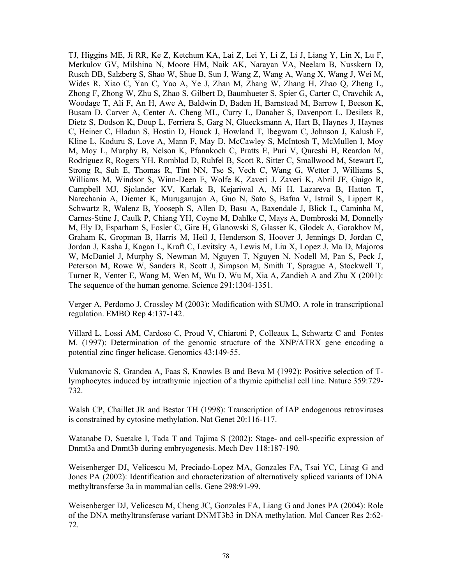TJ, Higgins ME, Ji RR, Ke Z, Ketchum KA, Lai Z, Lei Y, Li Z, Li J, Liang Y, Lin X, Lu F, Merkulov GV, Milshina N, Moore HM, Naik AK, Narayan VA, Neelam B, Nusskern D, Rusch DB, Salzberg S, Shao W, Shue B, Sun J, Wang Z, Wang A, Wang X, Wang J, Wei M, Wides R, Xiao C, Yan C, Yao A, Ye J, Zhan M, Zhang W, Zhang H, Zhao Q, Zheng L, Zhong F, Zhong W, Zhu S, Zhao S, Gilbert D, Baumhueter S, Spier G, Carter C, Cravchik A, Woodage T, Ali F, An H, Awe A, Baldwin D, Baden H, Barnstead M, Barrow I, Beeson K, Busam D, Carver A, Center A, Cheng ML, Curry L, Danaher S, Davenport L, Desilets R, Dietz S, Dodson K, Doup L, Ferriera S, Garg N, Gluecksmann A, Hart B, Haynes J, Haynes C, Heiner C, Hladun S, Hostin D, Houck J, Howland T, Ibegwam C, Johnson J, Kalush F, Kline L, Koduru S, Love A, Mann F, May D, McCawley S, McIntosh T, McMullen I, Moy M, Moy L, Murphy B, Nelson K, Pfannkoch C, Pratts E, Puri V, Qureshi H, Reardon M, Rodriguez R, Rogers YH, Romblad D, Ruhfel B, Scott R, Sitter C, Smallwood M, Stewart E, Strong R, Suh E, Thomas R, Tint NN, Tse S, Vech C, Wang G, Wetter J, Williams S, Williams M, Windsor S, Winn-Deen E, Wolfe K, Zaveri J, Zaveri K, Abril JF, Guigo R, Campbell MJ, Sjolander KV, Karlak B, Kejariwal A, Mi H, Lazareva B, Hatton T, Narechania A, Diemer K, Muruganujan A, Guo N, Sato S, Bafna V, Istrail S, Lippert R, Schwartz R, Walenz B, Yooseph S, Allen D, Basu A, Baxendale J, Blick L, Caminha M, Carnes-Stine J, Caulk P, Chiang YH, Coyne M, Dahlke C, Mays A, Dombroski M, Donnelly M, Ely D, Esparham S, Fosler C, Gire H, Glanowski S, Glasser K, Glodek A, Gorokhov M, Graham K, Gropman B, Harris M, Heil J, Henderson S, Hoover J, Jennings D, Jordan C, Jordan J, Kasha J, Kagan L, Kraft C, Levitsky A, Lewis M, Liu X, Lopez J, Ma D, Majoros W, McDaniel J, Murphy S, Newman M, Nguyen T, Nguyen N, Nodell M, Pan S, Peck J, Peterson M, Rowe W, Sanders R, Scott J, Simpson M, Smith T, Sprague A, Stockwell T, Turner R, Venter E, Wang M, Wen M, Wu D, Wu M, Xia A, Zandieh A and Zhu X (2001): The sequence of the human genome. Science 291:1304-1351.

Verger A, Perdomo J, Crossley M (2003): Modification with SUMO. A role in transcriptional regulation. EMBO Rep 4:137-142.

Villard L, Lossi AM, Cardoso C, Proud V, Chiaroni P, Colleaux L, Schwartz C and Fontes M. (1997): Determination of the genomic structure of the XNP/ATRX gene encoding a potential zinc finger helicase. Genomics 43:149-55.

Vukmanovic S, Grandea A, Faas S, Knowles B and Beva M (1992): Positive selection of Tlymphocytes induced by intrathymic injection of a thymic epithelial cell line. Nature 359:729- 732.

Walsh CP, Chaillet JR and Bestor TH (1998): Transcription of IAP endogenous retroviruses is constrained by cytosine methylation. Nat Genet 20:116-117.

Watanabe D, Suetake I, Tada T and Tajima S (2002): Stage- and cell-specific expression of Dnmt3a and Dnmt3b during embryogenesis. Mech Dev 118:187-190.

Weisenberger DJ, Velicescu M, Preciado-Lopez MA, Gonzales FA, Tsai YC, Linag G and Jones PA (2002): Identification and characterization of alternatively spliced variants of DNA methyltransferse 3a in mammalian cells. Gene 298:91-99.

Weisenberger DJ, Velicescu M, Cheng JC, Gonzales FA, Liang G and Jones PA (2004): Role of the DNA methyltransferase variant DNMT3b3 in DNA methylation. Mol Cancer Res 2:62- 72.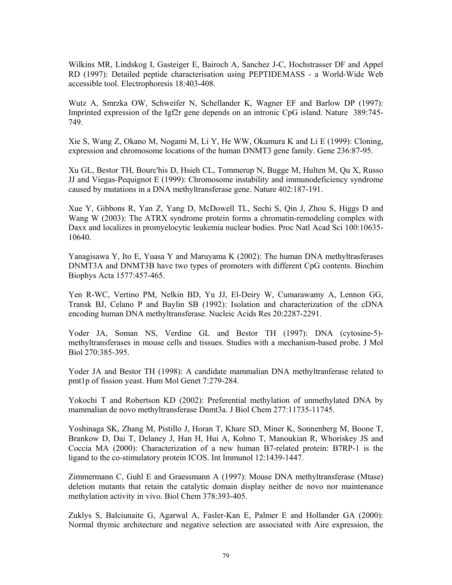Wilkins MR, Lindskog I, Gasteiger E, Bairoch A, Sanchez J-C, Hochstrasser DF and Appel RD (1997): Detailed peptide characterisation using PEPTIDEMASS - a World-Wide Web accessible tool. Electrophoresis 18:403-408.

Wutz A, Smrzka OW, Schweifer N, Schellander K, Wagner EF and Barlow DP (1997): Imprinted expression of the Igf2r gene depends on an intronic CpG island. Nature 389:745- 749.

Xie S, Wang Z, Okano M, Nogami M, Li Y, He WW, Okumura K and Li E (1999): Cloning, expression and chromosome locations of the human DNMT3 gene family. Gene 236:87-95.

Xu GL, Bestor TH, Bourc'his D, Hsieh CL, Tommerup N, Bugge M, Hulten M, Qu X, Russo JJ and Viegas-Pequignot E (1999): Chromosome instability and immunodeficiency syndrome caused by mutations in a DNA methyltransferase gene. Nature 402:187-191.

Xue Y, Gibbons R, Yan Z, Yang D, McDowell TL, Sechi S, Qin J, Zhou S, Higgs D and Wang W (2003): The ATRX syndrome protein forms a chromatin-remodeling complex with Daxx and localizes in promyelocytic leukemia nuclear bodies. Proc Natl Acad Sci 100:10635- 10640.

Yanagisawa Y, Ito E, Yuasa Y and Maruyama K (2002): The human DNA methyltrasferases DNMT3A and DNMT3B have two types of promoters with different CpG contents. Biochim Biophys Acta 1577:457-465.

Yen R-WC, Vertino PM, Nelkin BD, Yu JJ, El-Deiry W, Cumarawamy A, Lennon GG, Transk BJ, Celano P and Baylin SB (1992): Isolation and characterization of the cDNA encoding human DNA methyltransferase. Nucleic Acids Res 20:2287-2291.

Yoder JA, Soman NS, Verdine GL and Bestor TH (1997): DNA (cytosine-5) methyltransferases in mouse cells and tissues. Studies with a mechanism-based probe. J Mol Biol 270:385-395.

Yoder JA and Bestor TH (1998): A candidate mammalian DNA methyltranferase related to pmt1p of fission yeast. Hum Mol Genet 7:279-284.

Yokochi T and Robertson KD (2002): Preferential methylation of unmethylated DNA by mammalian de novo methyltransferase Dnmt3a. J Biol Chem 277:11735-11745.

Yoshinaga SK, Zhang M, Pistillo J, Horan T, Khare SD, Miner K, Sonnenberg M, Boone T, Brankow D, Dai T, Delaney J, Han H, Hui A, Kohno T, Manoukian R, Whoriskey JS and Coccia MA (2000): Characterization of a new human B7-related protein: B7RP-1 is the ligand to the co-stimulatory protein ICOS. Int Immunol 12:1439-1447.

Zimmermann C, Guhl E and Graessmann A (1997): Mouse DNA methyltransferase (Mtase) deletion mutants that retain the catalytic domain display neither de novo nor maintenance methylation activity in vivo. Biol Chem 378:393-405.

Zuklys S, Balciunaite G, Agarwal A, Fasler-Kan E, Palmer E and Hollander GA (2000): Normal thymic architecture and negative selection are associated with Aire expression, the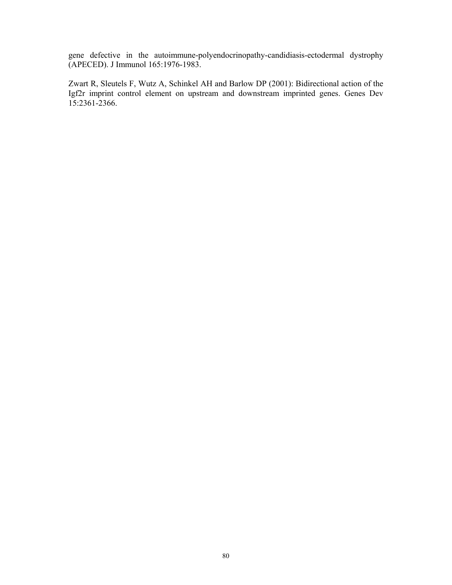gene defective in the autoimmune-polyendocrinopathy-candidiasis-ectodermal dystrophy (APECED). J Immunol 165:1976-1983.

Zwart R, Sleutels F, Wutz A, Schinkel AH and Barlow DP (2001): Bidirectional action of the Igf2r imprint control element on upstream and downstream imprinted genes. Genes Dev 15:2361-2366.